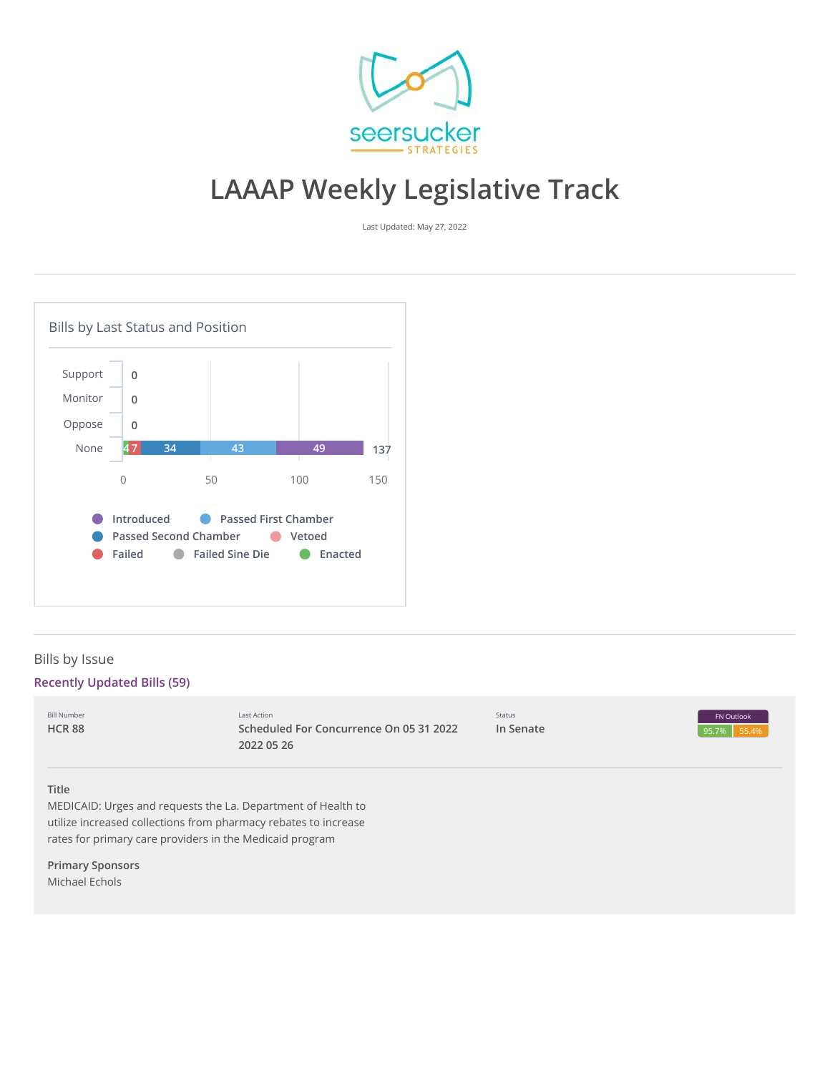

# **LAAAP Weekly Legislative Track**

Last Updated: May 27, 2022



# Bills by Issue

# **Recently Updated Bills (59)**

| <b>Bill Number</b><br><b>HCR 88</b> | Last Action<br>Scheduled For Concurrence On 05 31 2022<br>2022 05 26                                                                                                                        | Status<br>In Senate | FN Outlook<br>55.4%<br>95.7% |
|-------------------------------------|---------------------------------------------------------------------------------------------------------------------------------------------------------------------------------------------|---------------------|------------------------------|
| <b>Title</b>                        | MEDICAID: Urges and requests the La. Department of Health to<br>utilize increased collections from pharmacy rebates to increase<br>rates for primary care providers in the Medicaid program |                     |                              |
| <b>Primary Sponsors</b>             |                                                                                                                                                                                             |                     |                              |

Michael Echols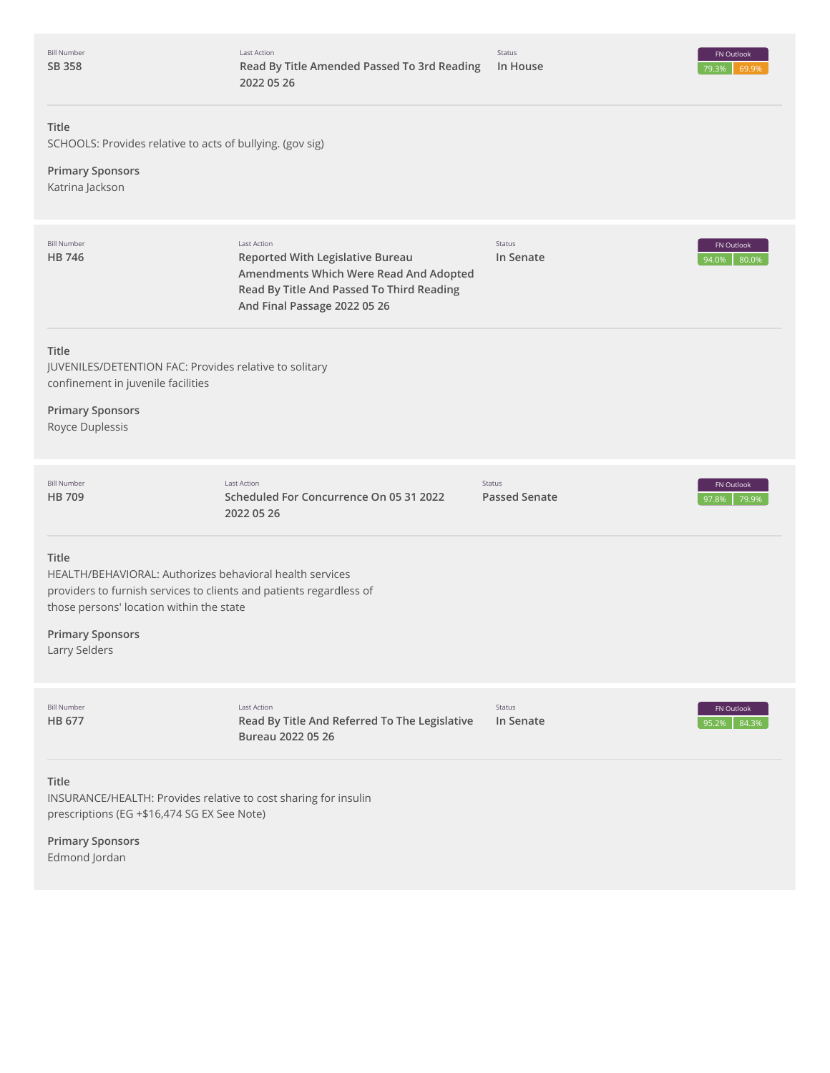Bill Number **SB [358](http://app.fiscalnote.com/share/bill?url=ce6f22b3c23de11e31bfe1cb4cc96645)**



# **Title**

SCHOOLS: Provides relative to acts of bullying. (gov sig)

# **Primary Sponsors** Katrina Jackson

| <b>Bill Number</b><br><b>HB746</b>                                                                                                                                                                                               | Last Action<br><b>Reported With Legislative Bureau</b><br>Amendments Which Were Read And Adopted<br>Read By Title And Passed To Third Reading<br>And Final Passage 2022 05 26 | Status<br>In Senate                   | FN Outlook<br>80.0%<br>94.0% |
|----------------------------------------------------------------------------------------------------------------------------------------------------------------------------------------------------------------------------------|-------------------------------------------------------------------------------------------------------------------------------------------------------------------------------|---------------------------------------|------------------------------|
| <b>Title</b><br>JUVENILES/DETENTION FAC: Provides relative to solitary<br>confinement in juvenile facilities<br><b>Primary Sponsors</b><br>Royce Duplessis                                                                       |                                                                                                                                                                               |                                       |                              |
| <b>Bill Number</b><br><b>HB709</b>                                                                                                                                                                                               | <b>Last Action</b><br>Scheduled For Concurrence On 05 31 2022<br>2022 05 26                                                                                                   | <b>Status</b><br><b>Passed Senate</b> | FN Outlook<br>97.8%<br>79.9% |
| Title<br>HEALTH/BEHAVIORAL: Authorizes behavioral health services<br>providers to furnish services to clients and patients regardless of<br>those persons' location within the state<br><b>Primary Sponsors</b><br>Larry Selders |                                                                                                                                                                               |                                       |                              |
| <b>Bill Number</b><br><b>HB 677</b>                                                                                                                                                                                              | Last Action<br>Read By Title And Referred To The Legislative<br>Bureau 2022 05 26                                                                                             | Status<br>In Senate                   | FN Outlook<br>84.3%<br>95.2% |
| <b>Title</b><br>INSURANCE/HEALTH: Provides relative to cost sharing for insulin<br>prescriptions (EG +\$16,474 SG EX See Note)                                                                                                   |                                                                                                                                                                               |                                       |                              |
| <b>Primary Sponsors</b><br>Edmond Jordan                                                                                                                                                                                         |                                                                                                                                                                               |                                       |                              |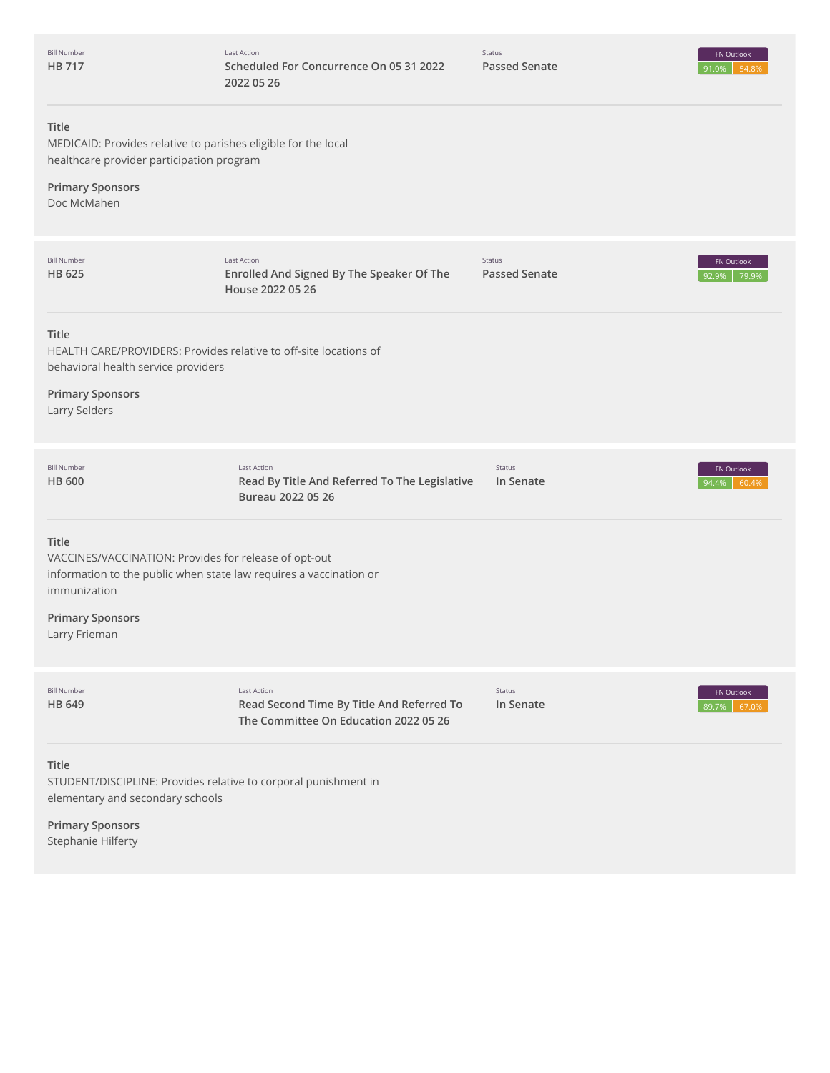| <b>Bill Number</b><br>HB 717                                                                                                                                  | Last Action<br>Scheduled For Concurrence On 05 31 2022<br>2022 05 26                                     | Status<br><b>Passed Senate</b> | FN Outlook<br>54.8%<br>91.0% |
|---------------------------------------------------------------------------------------------------------------------------------------------------------------|----------------------------------------------------------------------------------------------------------|--------------------------------|------------------------------|
| Title<br>MEDICAID: Provides relative to parishes eligible for the local<br>healthcare provider participation program<br><b>Primary Sponsors</b>               |                                                                                                          |                                |                              |
| Doc McMahen                                                                                                                                                   |                                                                                                          |                                |                              |
| <b>Bill Number</b><br>HB 625                                                                                                                                  | <b>Last Action</b><br>Enrolled And Signed By The Speaker Of The<br>House 2022 05 26                      | Status<br><b>Passed Senate</b> | FN Outlook<br>92.9%<br>79.9% |
| Title<br>HEALTH CARE/PROVIDERS: Provides relative to off-site locations of<br>behavioral health service providers<br><b>Primary Sponsors</b><br>Larry Selders |                                                                                                          |                                |                              |
|                                                                                                                                                               |                                                                                                          |                                |                              |
| <b>Bill Number</b><br>HB 600                                                                                                                                  | Last Action<br>Read By Title And Referred To The Legislative<br>Bureau 2022 05 26                        | Status<br>In Senate            | FN Outlook<br>60.4%<br>94.4% |
| Title<br>VACCINES/VACCINATION: Provides for release of opt-out<br>information to the public when state law requires a vaccination or<br>immunization          |                                                                                                          |                                |                              |
| <b>Primary Sponsors</b><br>Larry Frieman                                                                                                                      |                                                                                                          |                                |                              |
| <b>Bill Number</b><br>HB 649                                                                                                                                  | <b>Last Action</b><br>Read Second Time By Title And Referred To<br>The Committee On Education 2022 05 26 | Status<br>In Senate            | FN Outlook<br>89.7%<br>67.0% |
| Title<br>STUDENT/DISCIPLINE: Provides relative to corporal punishment in<br>elementary and secondary schools                                                  |                                                                                                          |                                |                              |
| <b>Primary Sponsors</b><br>Stephanie Hilferty                                                                                                                 |                                                                                                          |                                |                              |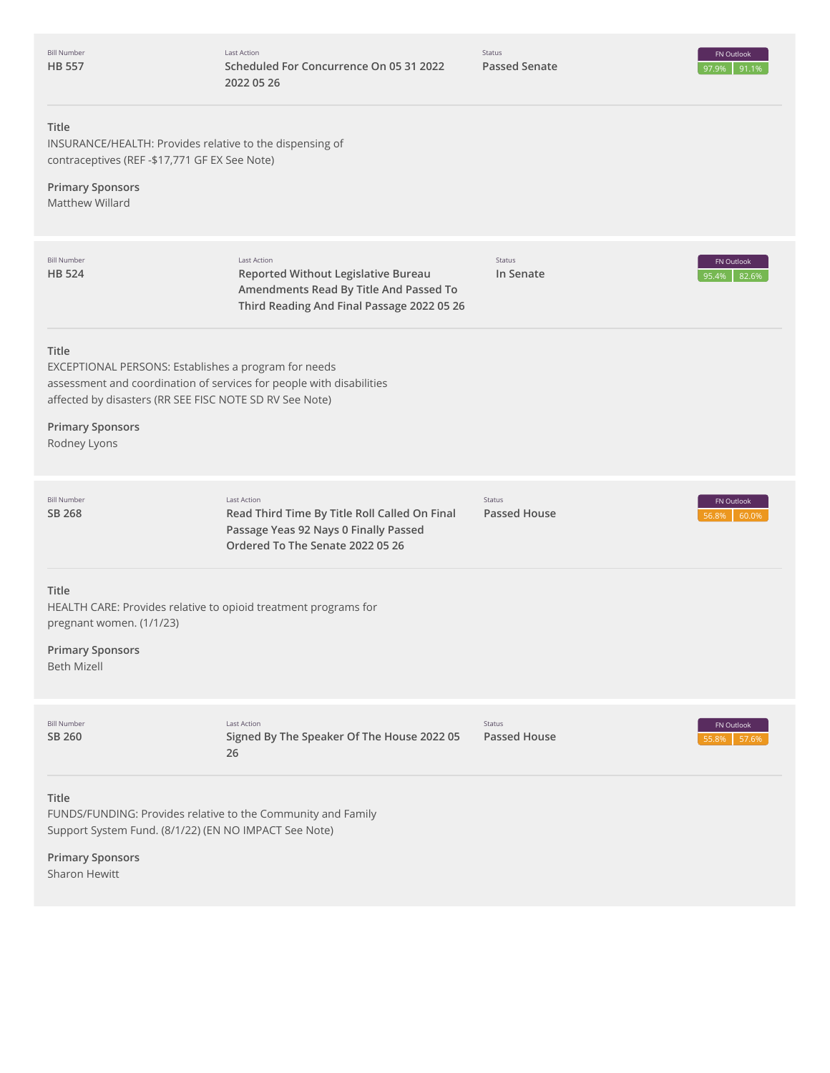| <b>Bill Number</b><br><b>HB 557</b>                   | <b>Last Action</b><br>Scheduled For Concurrence On 05 31 2022<br>2022 05 26                                                                                                             | Status<br><b>Passed Senate</b> | FN Outlook<br>97.9%<br>91.1% |
|-------------------------------------------------------|-----------------------------------------------------------------------------------------------------------------------------------------------------------------------------------------|--------------------------------|------------------------------|
| Title<br>contraceptives (REF-\$17,771 GF EX See Note) | INSURANCE/HEALTH: Provides relative to the dispensing of                                                                                                                                |                                |                              |
| <b>Primary Sponsors</b><br>Matthew Willard            |                                                                                                                                                                                         |                                |                              |
| <b>Bill Number</b><br><b>HB 524</b>                   | <b>Last Action</b><br>Reported Without Legislative Bureau<br>Amendments Read By Title And Passed To<br>Third Reading And Final Passage 2022 05 26                                       | Status<br>In Senate            | FN Outlook<br>95.4%<br>82.6% |
| Title                                                 | EXCEPTIONAL PERSONS: Establishes a program for needs<br>assessment and coordination of services for people with disabilities<br>affected by disasters (RR SEE FISC NOTE SD RV See Note) |                                |                              |
| <b>Primary Sponsors</b><br>Rodney Lyons               |                                                                                                                                                                                         |                                |                              |
| <b>Bill Number</b><br>SB 268                          | <b>Last Action</b><br>Read Third Time By Title Roll Called On Final<br>Passage Yeas 92 Nays 0 Finally Passed<br>Ordered To The Senate 2022 05 26                                        | Status<br><b>Passed House</b>  | FN Outlook<br>60.0%<br>56.8% |
| Title<br>pregnant women. (1/1/23)                     | HEALTH CARE: Provides relative to opioid treatment programs for                                                                                                                         |                                |                              |
| <b>Primary Sponsors</b><br><b>Beth Mizell</b>         |                                                                                                                                                                                         |                                |                              |
| <b>Bill Number</b><br>SB 260                          | <b>Last Action</b><br>Signed By The Speaker Of The House 2022 05<br>26                                                                                                                  | Status<br><b>Passed House</b>  | FN Outlook<br>57.6%<br>55.8% |
| <b>Title</b>                                          | FUNDS/FUNDING: Provides relative to the Community and Family<br>Support System Fund. (8/1/22) (EN NO IMPACT See Note)                                                                   |                                |                              |

**Primary Sponsors** Sharon Hewitt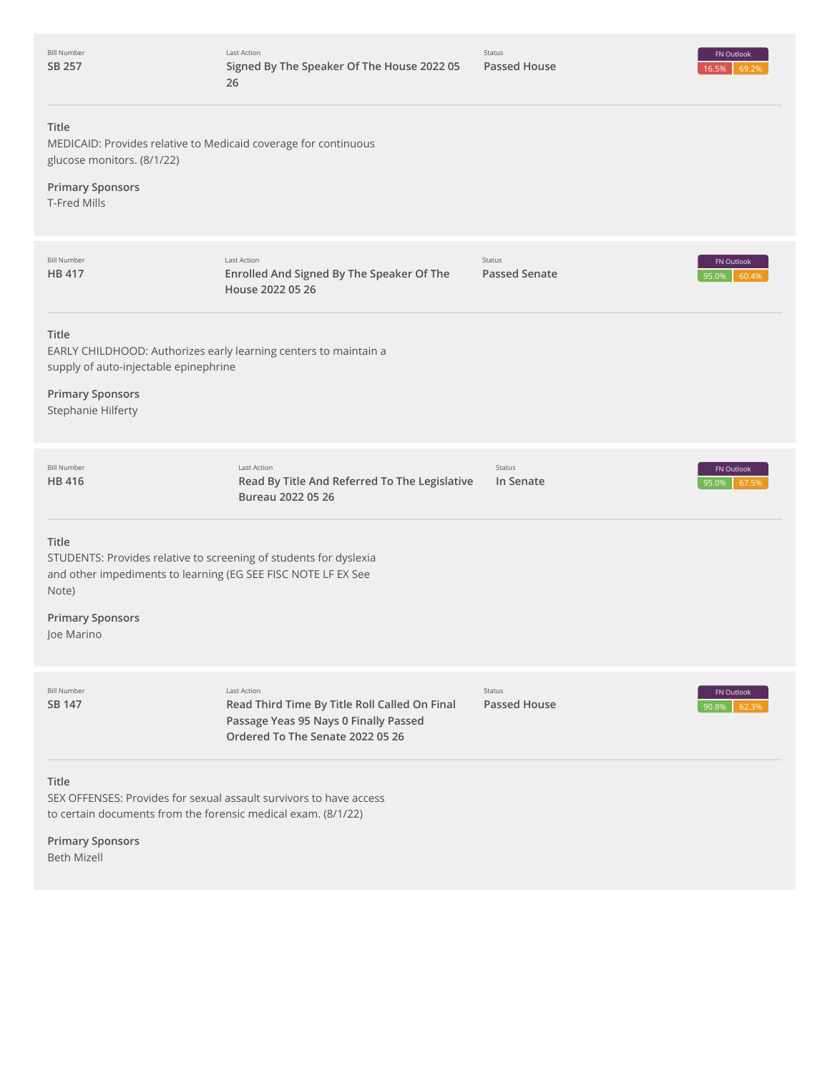| <b>Bill Number</b><br>SB 257                                                                                                                                                                  | Last Action<br>Signed By The Speaker Of The House 2022 05<br>26                   | Status<br><b>Passed House</b>  | FN Outlook<br>16.5%<br>69.2% |
|-----------------------------------------------------------------------------------------------------------------------------------------------------------------------------------------------|-----------------------------------------------------------------------------------|--------------------------------|------------------------------|
| Title<br>MEDICAID: Provides relative to Medicaid coverage for continuous<br>glucose monitors. (8/1/22)<br><b>Primary Sponsors</b><br><b>T-Fred Mills</b>                                      |                                                                                   |                                |                              |
| <b>Bill Number</b><br>HB 417                                                                                                                                                                  | Last Action<br>Enrolled And Signed By The Speaker Of The<br>House 2022 05 26      | Status<br><b>Passed Senate</b> | FN Outlook<br>60.4%<br>95.0% |
| Title<br>EARLY CHILDHOOD: Authorizes early learning centers to maintain a<br>supply of auto-injectable epinephrine<br><b>Primary Sponsors</b><br>Stephanie Hilferty                           |                                                                                   |                                |                              |
| <b>Bill Number</b><br>HB 416                                                                                                                                                                  | Last Action<br>Read By Title And Referred To The Legislative<br>Bureau 2022 05 26 | Status<br>In Senate            | FN Outlook<br>95.0%<br>67.5% |
| Title<br>STUDENTS: Provides relative to screening of students for dyslexia<br>and other impediments to learning (EG SEE FISC NOTE LF EX See<br>Note)<br><b>Primary Sponsors</b><br>Joe Marino |                                                                                   |                                |                              |
| <b>Bill Number</b><br>SB 147                                                                                                                                                                  | Last Action<br>Read Third Time By Title Roll Called On Final                      | Status<br><b>Passed House</b>  | FN Outlook<br>90.8%<br>62.39 |
|                                                                                                                                                                                               | Passage Yeas 95 Nays 0 Finally Passed<br>Ordered To The Senate 2022 05 26         |                                |                              |

Beth Mizell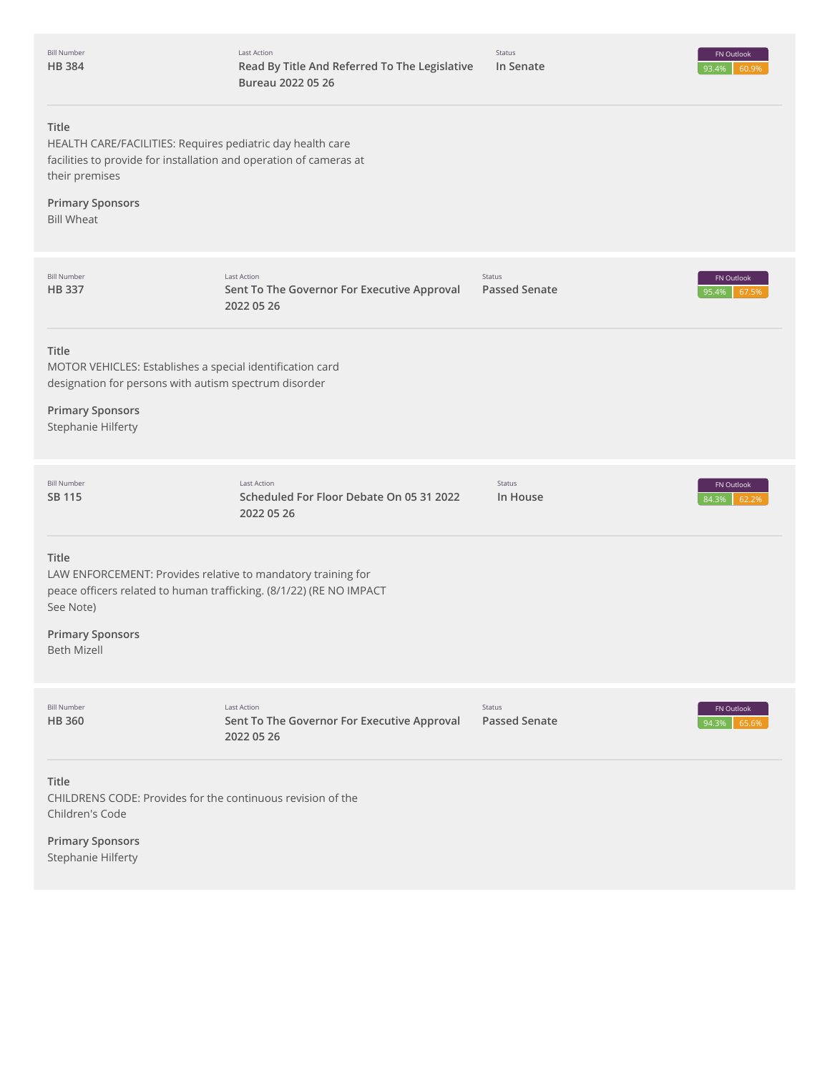| <b>Bill Number</b> |
|--------------------|
| <b>HB384</b>       |



# **Title**

HEALTH CARE/FACILITIES: Requires pediatric day health care facilities to provide for installation and operation of cameras at their premises

# **Primary Sponsors**

Bill Wheat

| <b>Bill Number</b><br><b>HB337</b>                                                                                                                                                  | <b>Last Action</b><br>Sent To The Governor For Executive Approval<br>2022 05 26                                                     | Status<br><b>Passed Senate</b> | FN Outlook<br>95.4%<br>67.5% |
|-------------------------------------------------------------------------------------------------------------------------------------------------------------------------------------|-------------------------------------------------------------------------------------------------------------------------------------|--------------------------------|------------------------------|
| <b>Title</b><br>MOTOR VEHICLES: Establishes a special identification card<br>designation for persons with autism spectrum disorder<br><b>Primary Sponsors</b><br>Stephanie Hilferty |                                                                                                                                     |                                |                              |
| <b>Bill Number</b><br><b>SB 115</b>                                                                                                                                                 | <b>Last Action</b><br>Scheduled For Floor Debate On 05 31 2022<br>2022 05 26                                                        | Status<br>In House             | FN Outlook<br>84.3%<br>62.2% |
| <b>Title</b><br>See Note)<br><b>Primary Sponsors</b><br><b>Beth Mizell</b>                                                                                                          | LAW ENFORCEMENT: Provides relative to mandatory training for<br>peace officers related to human trafficking. (8/1/22) (RE NO IMPACT |                                |                              |
| <b>Bill Number</b><br><b>HB360</b>                                                                                                                                                  | Last Action<br>Sent To The Governor For Executive Approval<br>2022 05 26                                                            | Status<br><b>Passed Senate</b> | FN Outlook<br>94.3%<br>65.6% |
| Title<br>CHILDRENS CODE: Provides for the continuous revision of the<br>Children's Code<br><b>Primary Sponsors</b><br><b>Stephanie Hilferty</b>                                     |                                                                                                                                     |                                |                              |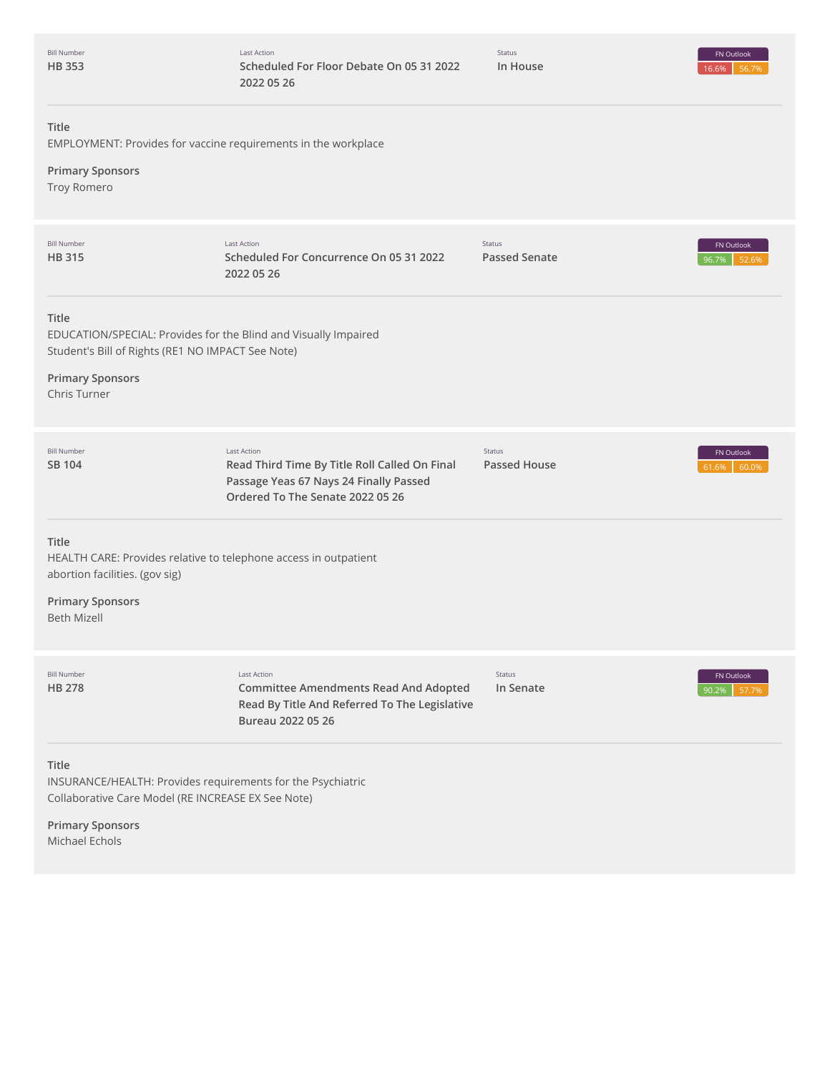| <b>Bill Number</b> |
|--------------------|
| <b>HB353</b>       |

Status **In House**



# **Title**

EMPLOYMENT: Provides for vaccine requirements in the workplace

# **Primary Sponsors**

Troy Romero

| <b>Bill Number</b><br><b>HB315</b>                                                                                                                                       | <b>Last Action</b><br>Scheduled For Concurrence On 05 31 2022<br>2022 05 26                                                                       | Status<br><b>Passed Senate</b>       | FN Outlook<br>52.6%<br>96.7% |
|--------------------------------------------------------------------------------------------------------------------------------------------------------------------------|---------------------------------------------------------------------------------------------------------------------------------------------------|--------------------------------------|------------------------------|
| Title<br>EDUCATION/SPECIAL: Provides for the Blind and Visually Impaired<br>Student's Bill of Rights (RE1 NO IMPACT See Note)<br><b>Primary Sponsors</b><br>Chris Turner |                                                                                                                                                   |                                      |                              |
| <b>Bill Number</b><br><b>SB 104</b>                                                                                                                                      | <b>Last Action</b><br>Read Third Time By Title Roll Called On Final<br>Passage Yeas 67 Nays 24 Finally Passed<br>Ordered To The Senate 2022 05 26 | <b>Status</b><br><b>Passed House</b> | FN Outlook<br>60.0%<br>61.6% |
| Title<br>HEALTH CARE: Provides relative to telephone access in outpatient<br>abortion facilities. (gov sig)<br><b>Primary Sponsors</b><br><b>Beth Mizell</b>             |                                                                                                                                                   |                                      |                              |
| <b>Bill Number</b><br><b>HB 278</b>                                                                                                                                      | <b>Last Action</b><br><b>Committee Amendments Read And Adopted</b><br>Read By Title And Referred To The Legislative<br>Bureau 2022 05 26          | Status<br>In Senate                  | FN Outlook<br>90.2%<br>57.7  |
| Title<br>INSURANCE/HEALTH: Provides requirements for the Psychiatric<br>Collaborative Care Model (RE INCREASE EX See Note)<br><b>Primary Sponsors</b>                    |                                                                                                                                                   |                                      |                              |

Michael Echols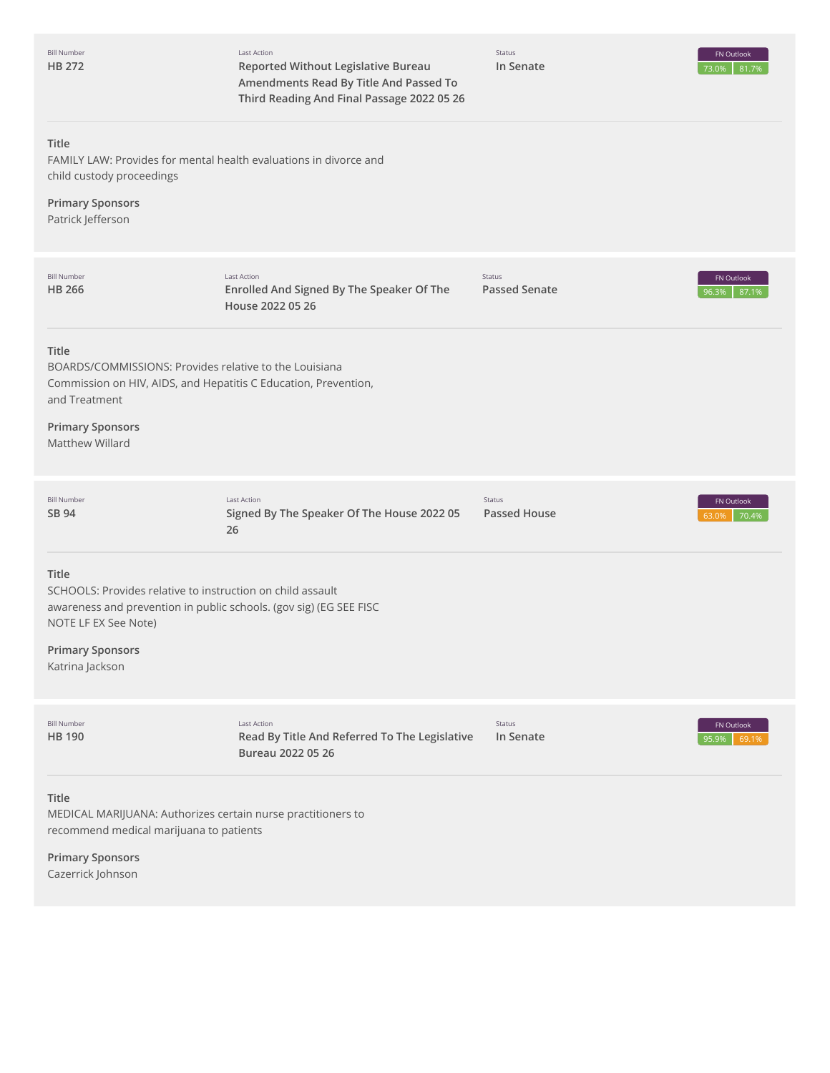| <b>Bill Number</b><br>HB 272                                                                                                                                                                                    | Last Action<br>Reported Without Legislative Bureau<br>Amendments Read By Title And Passed To<br>Third Reading And Final Passage 2022 05 26 | Status<br>In Senate                  | <b>FN Outlook</b><br>81.7%<br>73.0% |
|-----------------------------------------------------------------------------------------------------------------------------------------------------------------------------------------------------------------|--------------------------------------------------------------------------------------------------------------------------------------------|--------------------------------------|-------------------------------------|
| Title<br>FAMILY LAW: Provides for mental health evaluations in divorce and<br>child custody proceedings                                                                                                         |                                                                                                                                            |                                      |                                     |
| <b>Primary Sponsors</b><br>Patrick Jefferson                                                                                                                                                                    |                                                                                                                                            |                                      |                                     |
| <b>Bill Number</b><br><b>HB 266</b>                                                                                                                                                                             | Last Action<br>Enrolled And Signed By The Speaker Of The<br>House 2022 05 26                                                               | Status<br><b>Passed Senate</b>       | <b>FN Outlook</b><br>87.1%<br>96.3% |
| Title<br>BOARDS/COMMISSIONS: Provides relative to the Louisiana<br>Commission on HIV, AIDS, and Hepatitis C Education, Prevention,<br>and Treatment<br><b>Primary Sponsors</b><br><b>Matthew Willard</b>        |                                                                                                                                            |                                      |                                     |
| <b>Bill Number</b><br>SB 94                                                                                                                                                                                     | <b>Last Action</b><br>Signed By The Speaker Of The House 2022 05<br>26                                                                     | <b>Status</b><br><b>Passed House</b> | FN Outlook<br>70.4%<br>63.0%        |
| Title<br>SCHOOLS: Provides relative to instruction on child assault<br>awareness and prevention in public schools. (gov sig) (EG SEE FISC<br>NOTE LF EX See Note)<br><b>Primary Sponsors</b><br>Katrina Jackson |                                                                                                                                            |                                      |                                     |
| <b>Bill Number</b><br><b>HB 190</b>                                                                                                                                                                             | Last Action<br>Read By Title And Referred To The Legislative<br>Bureau 2022 05 26                                                          | Status<br>In Senate                  | FN Outlook<br>69.1%<br>95.9%        |
| Title<br>MEDICAL MARIJUANA: Authorizes certain nurse practitioners to<br>recommend medical marijuana to patients                                                                                                |                                                                                                                                            |                                      |                                     |
| <b>Primary Sponsors</b><br>Cazerrick Johnson                                                                                                                                                                    |                                                                                                                                            |                                      |                                     |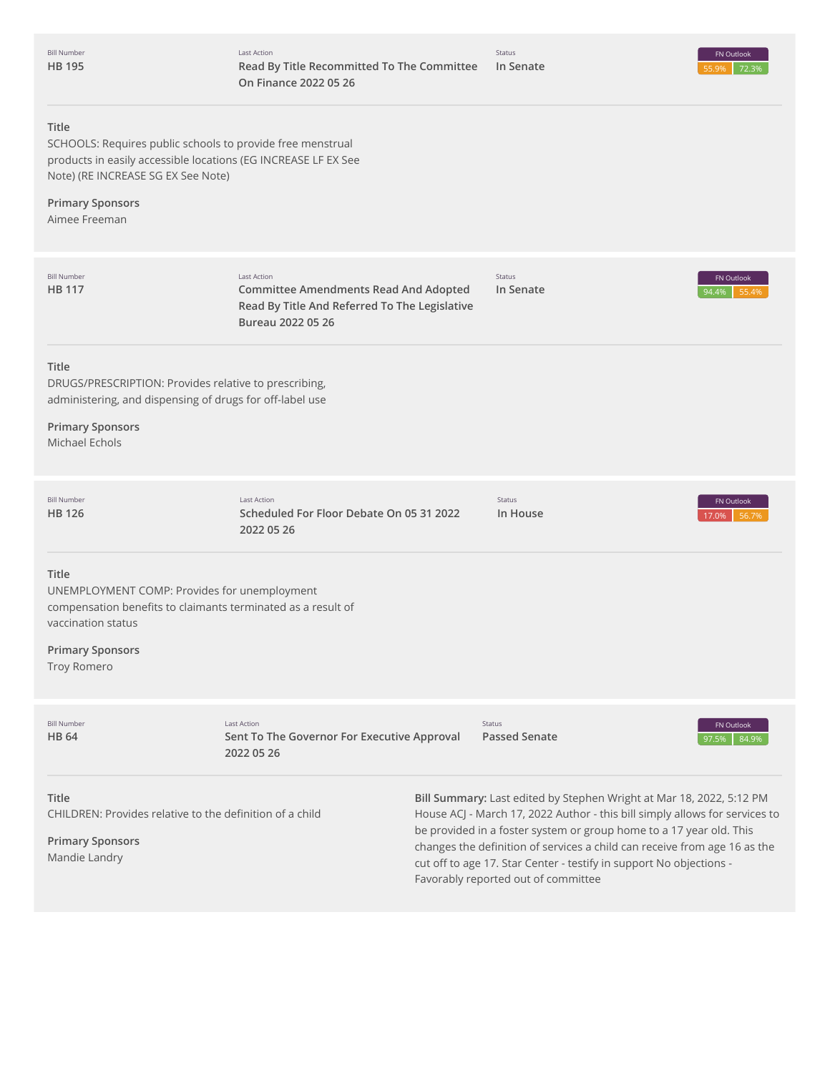

#### **Title**

SCHOOLS: Requires public schools to provide free menstrual products in easily accessible locations (EG INCREASE LF EX See Note) (RE INCREASE SG EX See Note)

**Primary Sponsors** Aimee Freeman

| <b>Bill Number</b><br><b>HB 117</b>                                                                                                                                                   | <b>Last Action</b><br><b>Committee Amendments Read And Adopted</b><br>Read By Title And Referred To The Legislative<br>Bureau 2022 05 26 | Status<br>In Senate                                                                                                                                                                                                        | FN Outlook<br>94.4%<br>55.4% |
|---------------------------------------------------------------------------------------------------------------------------------------------------------------------------------------|------------------------------------------------------------------------------------------------------------------------------------------|----------------------------------------------------------------------------------------------------------------------------------------------------------------------------------------------------------------------------|------------------------------|
| Title<br>DRUGS/PRESCRIPTION: Provides relative to prescribing,<br>administering, and dispensing of drugs for off-label use<br><b>Primary Sponsors</b><br>Michael Echols               |                                                                                                                                          |                                                                                                                                                                                                                            |                              |
| <b>Bill Number</b><br>HB 126                                                                                                                                                          | <b>Last Action</b><br>Scheduled For Floor Debate On 05 31 2022<br>2022 05 26                                                             | Status<br>In House                                                                                                                                                                                                         | FN Outlook<br>56.7%<br>17.0% |
| Title<br>UNEMPLOYMENT COMP: Provides for unemployment<br>compensation benefits to claimants terminated as a result of<br>vaccination status<br><b>Primary Sponsors</b><br>Troy Romero |                                                                                                                                          |                                                                                                                                                                                                                            |                              |
| <b>Bill Number</b><br><b>HB 64</b>                                                                                                                                                    | <b>Last Action</b><br>Sent To The Governor For Executive Approval<br>2022 05 26                                                          | Status<br><b>Passed Senate</b>                                                                                                                                                                                             | FN Outlook<br>84.9%<br>97.5% |
| <b>Title</b><br>CHILDREN: Provides relative to the definition of a child                                                                                                              |                                                                                                                                          | Bill Summary: Last edited by Stephen Wright at Mar 18, 2022, 5:12 PM<br>House ACJ - March 17, 2022 Author - this bill simply allows for services to<br>be provided in a foster system or group home to a 17 year old. This |                              |

changes the definition of services a child can receive from age 16 as the

cut off to age 17. Star Center - testify in support No objections -

Favorably reported out of committee

**Primary Sponsors** Mandie Landry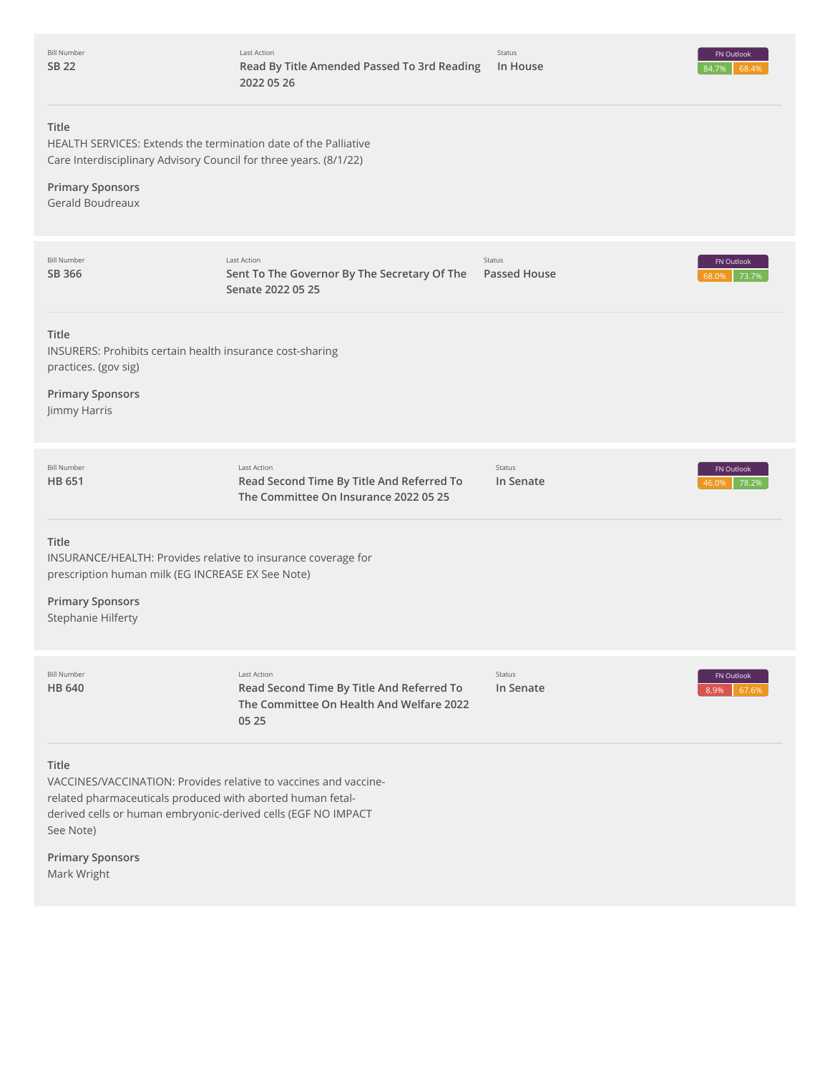|              | <b>Bill Number</b> |
|--------------|--------------------|
| <b>SB 22</b> |                    |



# **Title**

HEALTH SERVICES: Extends the termination date of the Palliative Care Interdisciplinary Advisory Council for three years. (8/1/22)

# **Primary Sponsors**

Gerald Boudreaux

| <b>Bill Number</b><br>SB 366                                                                                                                                                                                                 | Last Action<br>Sent To The Governor By The Secretary Of The<br>Senate 2022 05 25                              | Status<br><b>Passed House</b> | FN Outlook<br>73.7%<br>68.0% |
|------------------------------------------------------------------------------------------------------------------------------------------------------------------------------------------------------------------------------|---------------------------------------------------------------------------------------------------------------|-------------------------------|------------------------------|
| <b>Title</b><br>INSURERS: Prohibits certain health insurance cost-sharing<br>practices. (gov sig)                                                                                                                            |                                                                                                               |                               |                              |
| <b>Primary Sponsors</b><br>Jimmy Harris                                                                                                                                                                                      |                                                                                                               |                               |                              |
| <b>Bill Number</b><br><b>HB 651</b>                                                                                                                                                                                          | <b>Last Action</b><br>Read Second Time By Title And Referred To<br>The Committee On Insurance 2022 05 25      | Status<br>In Senate           | FN Outlook<br>78.2%<br>LG N9 |
| Title<br>INSURANCE/HEALTH: Provides relative to insurance coverage for<br>prescription human milk (EG INCREASE EX See Note)                                                                                                  |                                                                                                               |                               |                              |
| <b>Primary Sponsors</b><br>Stephanie Hilferty                                                                                                                                                                                |                                                                                                               |                               |                              |
| <b>Bill Number</b><br><b>HB 640</b>                                                                                                                                                                                          | Last Action<br>Read Second Time By Title And Referred To<br>The Committee On Health And Welfare 2022<br>05 25 | Status<br>In Senate           | FN Outlook<br>8.9%<br>67.69  |
| <b>Title</b><br>VACCINES/VACCINATION: Provides relative to vaccines and vaccine-<br>related pharmaceuticals produced with aborted human fetal-<br>derived cells or human embryonic-derived cells (EGF NO IMPACT<br>See Note) |                                                                                                               |                               |                              |
| <b>Primary Sponsors</b><br>Mark Wright                                                                                                                                                                                       |                                                                                                               |                               |                              |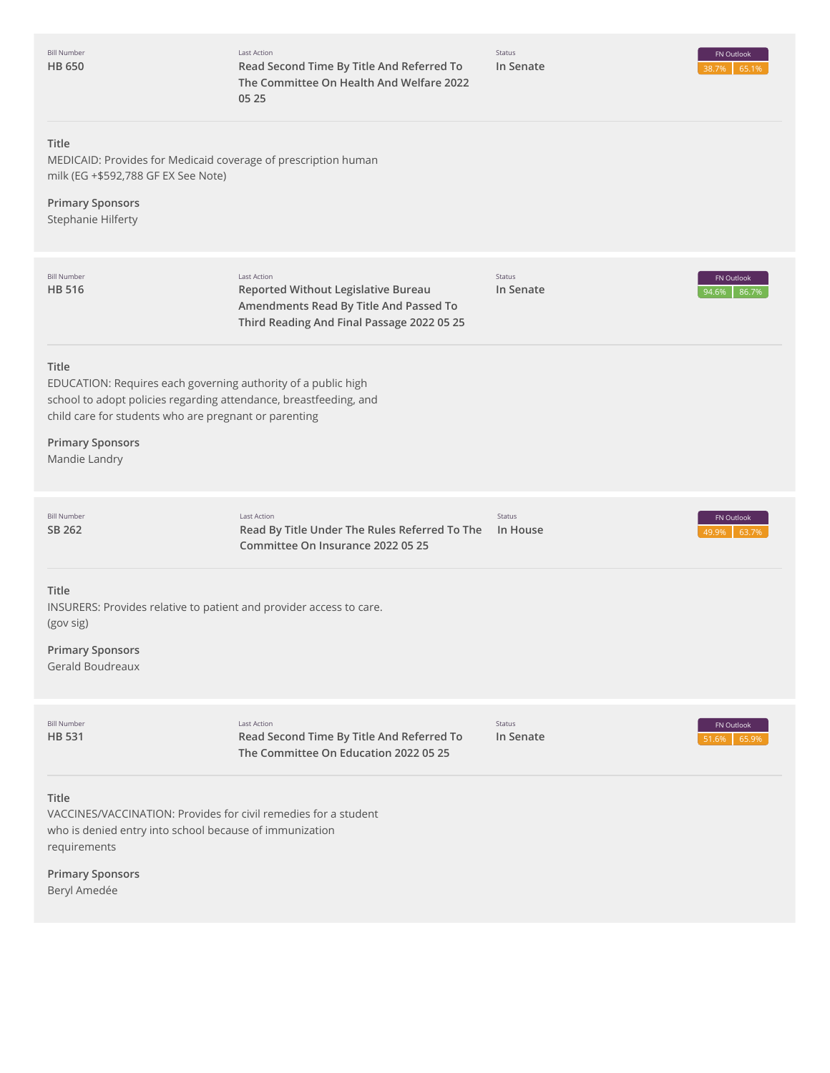| <b>Bill Number</b><br><b>HB 650</b>                                                                                                                                                                                                              | Last Action<br>Read Second Time By Title And Referred To<br>The Committee On Health And Welfare 2022<br>05 25                              | Status<br>In Senate | FN Outlook<br>65.1%          |
|--------------------------------------------------------------------------------------------------------------------------------------------------------------------------------------------------------------------------------------------------|--------------------------------------------------------------------------------------------------------------------------------------------|---------------------|------------------------------|
| Title<br>MEDICAID: Provides for Medicaid coverage of prescription human<br>milk (EG +\$592,788 GF EX See Note)<br><b>Primary Sponsors</b><br>Stephanie Hilferty                                                                                  |                                                                                                                                            |                     |                              |
| <b>Bill Number</b><br><b>HB 516</b>                                                                                                                                                                                                              | Last Action<br>Reported Without Legislative Bureau<br>Amendments Read By Title And Passed To<br>Third Reading And Final Passage 2022 05 25 | Status<br>In Senate | FN Outlook<br>94.6%<br>86.7% |
| Title<br>EDUCATION: Requires each governing authority of a public high<br>school to adopt policies regarding attendance, breastfeeding, and<br>child care for students who are pregnant or parenting<br><b>Primary Sponsors</b><br>Mandie Landry |                                                                                                                                            |                     |                              |
| <b>Bill Number</b><br>SB 262                                                                                                                                                                                                                     | Last Action<br>Read By Title Under The Rules Referred To The<br>Committee On Insurance 2022 05 25                                          | Status<br>In House  | FN Outlook<br>63.7%<br>49.9% |
| Title<br>INSURERS: Provides relative to patient and provider access to care.<br>(gov sig)<br><b>Primary Sponsors</b><br>Gerald Boudreaux                                                                                                         |                                                                                                                                            |                     |                              |
| <b>Bill Number</b><br><b>HB 531</b>                                                                                                                                                                                                              | Last Action<br>Read Second Time By Title And Referred To<br>The Committee On Education 2022 05 25                                          | Status<br>In Senate | FN Outlook<br>65.9%<br>51.6% |
| Title<br>VACCINES/VACCINATION: Provides for civil remedies for a student<br>who is denied entry into school because of immunization<br>requirements                                                                                              |                                                                                                                                            |                     |                              |

**Primary Sponsors** Beryl Amedée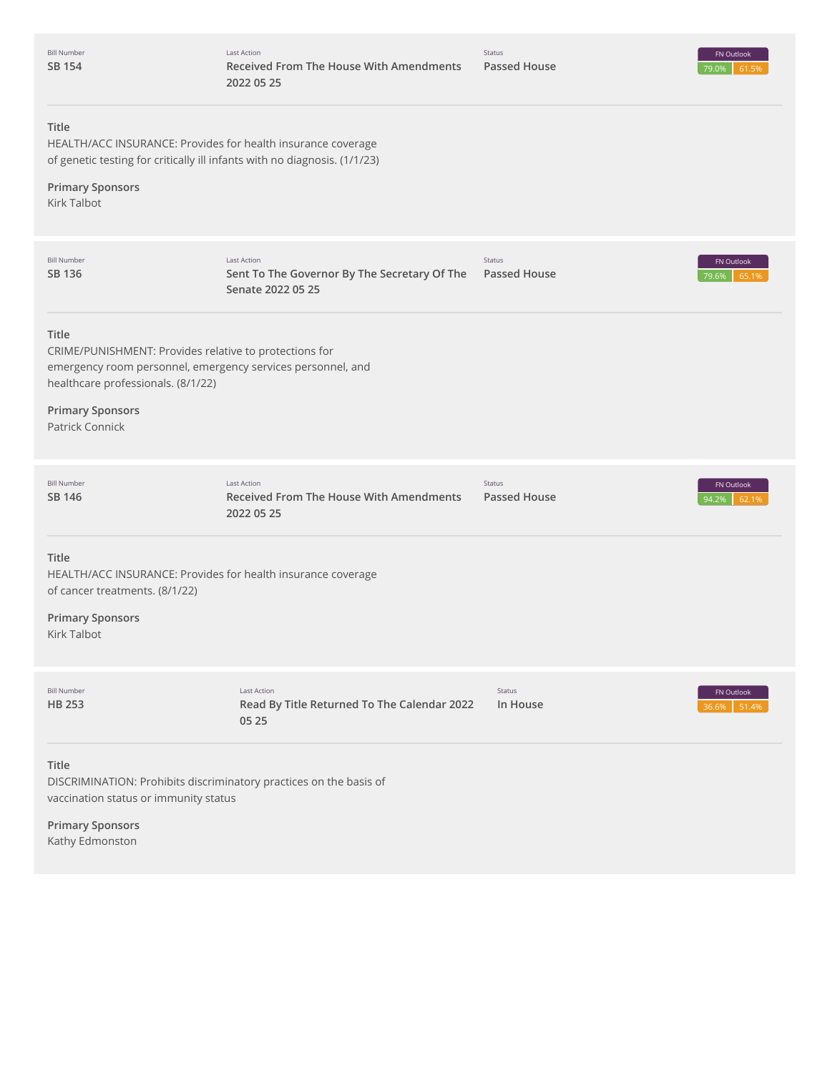| <b>Bill Number</b><br><b>SB 154</b>                                                                                                                                                                                | <b>Last Action</b><br>Received From The House With Amendments<br>2022 05 25      | Status<br><b>Passed House</b> | FN Outlook<br>79.0%<br>61.5% |
|--------------------------------------------------------------------------------------------------------------------------------------------------------------------------------------------------------------------|----------------------------------------------------------------------------------|-------------------------------|------------------------------|
| Title<br>HEALTH/ACC INSURANCE: Provides for health insurance coverage<br>of genetic testing for critically ill infants with no diagnosis. (1/1/23)<br><b>Primary Sponsors</b>                                      |                                                                                  |                               |                              |
| Kirk Talbot                                                                                                                                                                                                        |                                                                                  |                               |                              |
| <b>Bill Number</b><br>SB 136                                                                                                                                                                                       | Last Action<br>Sent To The Governor By The Secretary Of The<br>Senate 2022 05 25 | Status<br><b>Passed House</b> | FN Outlook<br>79.6%<br>65.1% |
| Title<br>CRIME/PUNISHMENT: Provides relative to protections for<br>emergency room personnel, emergency services personnel, and<br>healthcare professionals. (8/1/22)<br><b>Primary Sponsors</b><br>Patrick Connick |                                                                                  |                               |                              |
| <b>Bill Number</b><br>SB 146                                                                                                                                                                                       | <b>Last Action</b><br>Received From The House With Amendments<br>2022 05 25      | Status<br>Passed House        | FN Outlook<br>94.2%<br>62.1% |
| Title<br>HEALTH/ACC INSURANCE: Provides for health insurance coverage<br>of cancer treatments. (8/1/22)<br><b>Primary Sponsors</b><br>Kirk Talbot                                                                  |                                                                                  |                               |                              |
| <b>Bill Number</b><br>HB 253                                                                                                                                                                                       | Last Action<br>Read By Title Returned To The Calendar 2022<br>05 25              | Status<br>In House            | FN Outlook<br>51.4%<br>36.6% |
| <b>Title</b><br>DISCRIMINATION: Prohibits discriminatory practices on the basis of<br>vaccination status or immunity status<br><b>Primary Sponsors</b><br>Kathy Edmonston                                          |                                                                                  |                               |                              |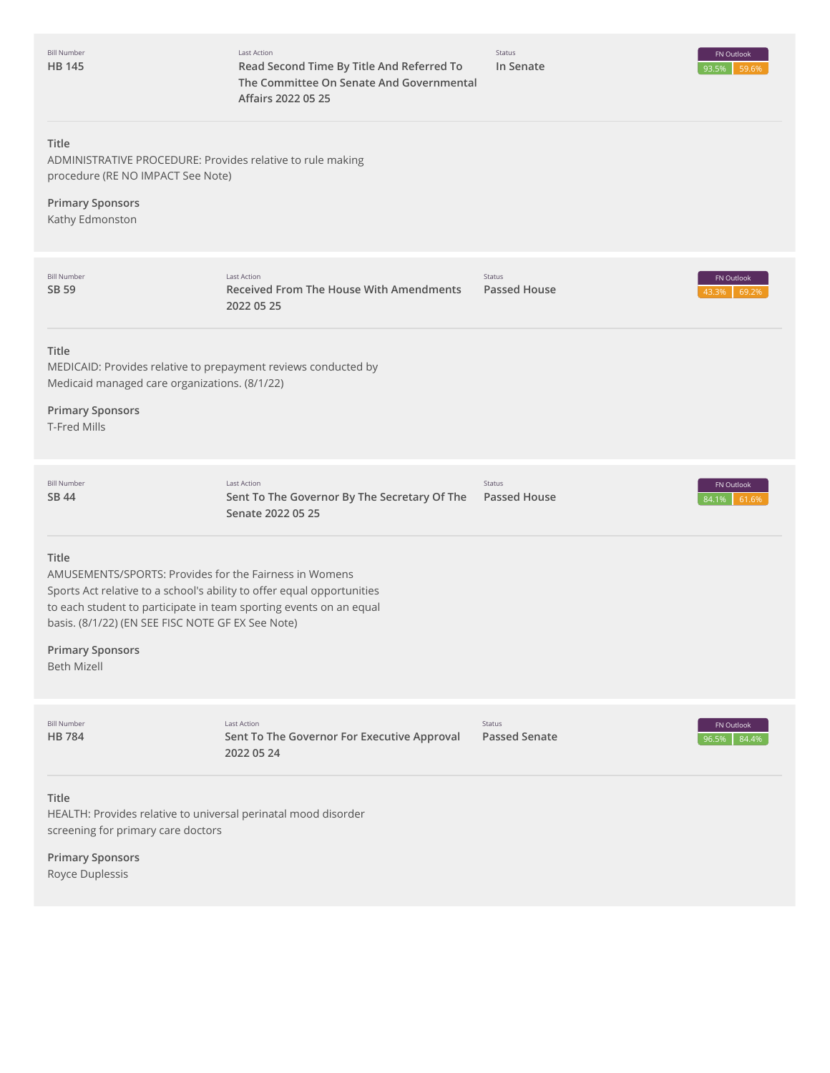| <b>Bill Number</b><br><b>HB 145</b>                                                                                                                                                                                                                                  | Last Action<br>Read Second Time By Title And Referred To<br>The Committee On Senate And Governmental<br>Affairs 2022 05 25 | Status<br>In Senate            | FN Outlook<br>93.5%<br>59.6% |
|----------------------------------------------------------------------------------------------------------------------------------------------------------------------------------------------------------------------------------------------------------------------|----------------------------------------------------------------------------------------------------------------------------|--------------------------------|------------------------------|
| Title<br>ADMINISTRATIVE PROCEDURE: Provides relative to rule making<br>procedure (RE NO IMPACT See Note)                                                                                                                                                             |                                                                                                                            |                                |                              |
| <b>Primary Sponsors</b><br>Kathy Edmonston                                                                                                                                                                                                                           |                                                                                                                            |                                |                              |
| <b>Bill Number</b><br>SB 59                                                                                                                                                                                                                                          | <b>Last Action</b><br>Received From The House With Amendments<br>2022 05 25                                                | Status<br><b>Passed House</b>  | FN Outlook<br>69.2%<br>43.3% |
| Title<br>MEDICAID: Provides relative to prepayment reviews conducted by<br>Medicaid managed care organizations. (8/1/22)<br><b>Primary Sponsors</b><br><b>T-Fred Mills</b>                                                                                           |                                                                                                                            |                                |                              |
| <b>Bill Number</b><br>SB 44                                                                                                                                                                                                                                          | <b>Last Action</b><br>Sent To The Governor By The Secretary Of The<br>Senate 2022 05 25                                    | Status<br><b>Passed House</b>  | FN Outlook<br>84.1%<br>61.6% |
| Title<br>AMUSEMENTS/SPORTS: Provides for the Fairness in Womens<br>Sports Act relative to a school's ability to offer equal opportunities<br>to each student to participate in team sporting events on an equal<br>basis. (8/1/22) (EN SEE FISC NOTE GF EX See Note) |                                                                                                                            |                                |                              |
| <b>Primary Sponsors</b><br><b>Beth Mizell</b>                                                                                                                                                                                                                        |                                                                                                                            |                                |                              |
| <b>Bill Number</b><br><b>HB784</b>                                                                                                                                                                                                                                   | <b>Last Action</b><br>Sent To The Governor For Executive Approval<br>2022 05 24                                            | Status<br><b>Passed Senate</b> | FN Outlook<br>84.4%<br>96.5% |
| Title<br>HEALTH: Provides relative to universal perinatal mood disorder<br>screening for primary care doctors                                                                                                                                                        |                                                                                                                            |                                |                              |

**Primary Sponsors** Royce Duplessis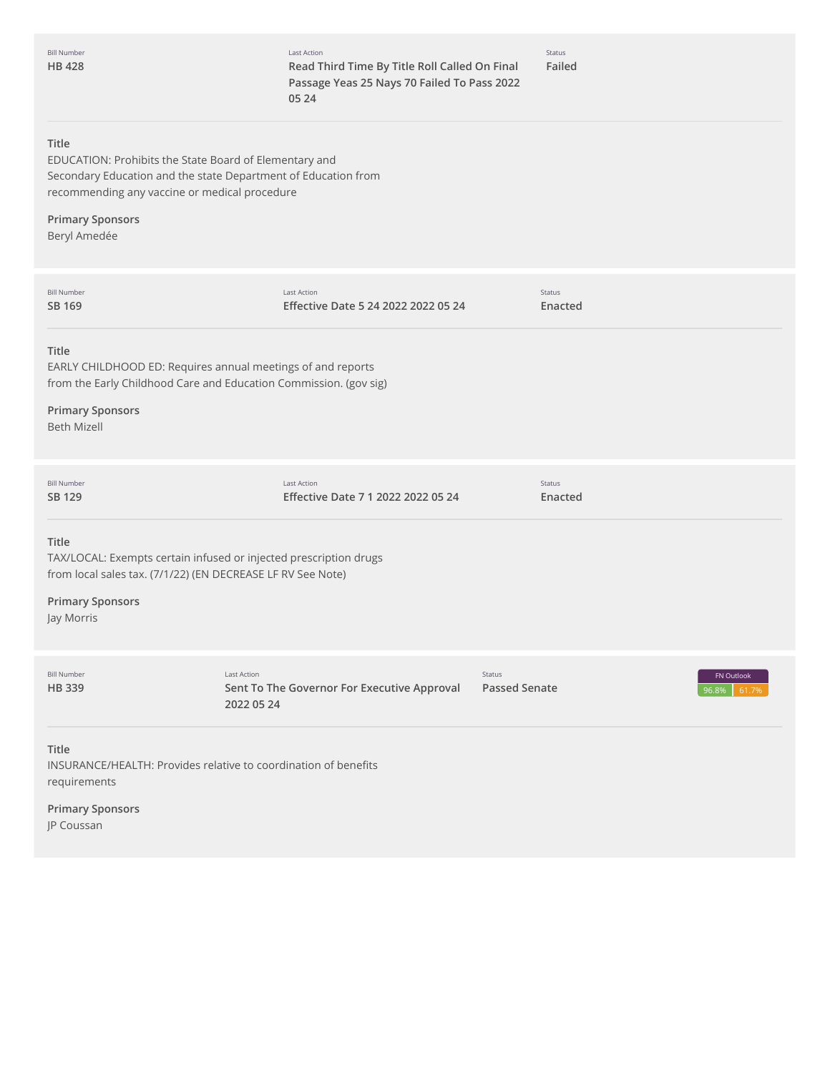Last Action **Read Third Time By Title Roll Called On Final Passage Yeas 25 Nays 70 Failed To Pass 2022 05 24**

Status **Failed**

#### **Title**

EDUCATION: Prohibits the State Board of Elementary and Secondary Education and the state Department of Education from recommending any vaccine or medical procedure

# **Primary Sponsors**

Beryl Amedée

| <b>Bill Number</b><br>SB 169                                                                                                                                                       | <b>Last Action</b><br>Effective Date 5 24 2022 2022 05 24                       | Status<br>Enacted              |                              |
|------------------------------------------------------------------------------------------------------------------------------------------------------------------------------------|---------------------------------------------------------------------------------|--------------------------------|------------------------------|
| Title<br>EARLY CHILDHOOD ED: Requires annual meetings of and reports<br><b>Primary Sponsors</b><br><b>Beth Mizell</b>                                                              | from the Early Childhood Care and Education Commission. (gov sig)               |                                |                              |
| <b>Bill Number</b><br><b>SB 129</b>                                                                                                                                                | <b>Last Action</b><br>Effective Date 7 1 2022 2022 05 24                        | <b>Status</b><br>Enacted       |                              |
| Title<br>TAX/LOCAL: Exempts certain infused or injected prescription drugs<br>from local sales tax. (7/1/22) (EN DECREASE LF RV See Note)<br><b>Primary Sponsors</b><br>Jay Morris |                                                                                 |                                |                              |
| <b>Bill Number</b><br><b>HB339</b>                                                                                                                                                 | <b>Last Action</b><br>Sent To The Governor For Executive Approval<br>2022 05 24 | Status<br><b>Passed Senate</b> | FN Outlook<br>96.8%<br>61.7% |
| <b>Title</b><br>INSURANCE/HEALTH: Provides relative to coordination of benefits                                                                                                    |                                                                                 |                                |                              |

requirements

**Primary Sponsors**

JP Coussan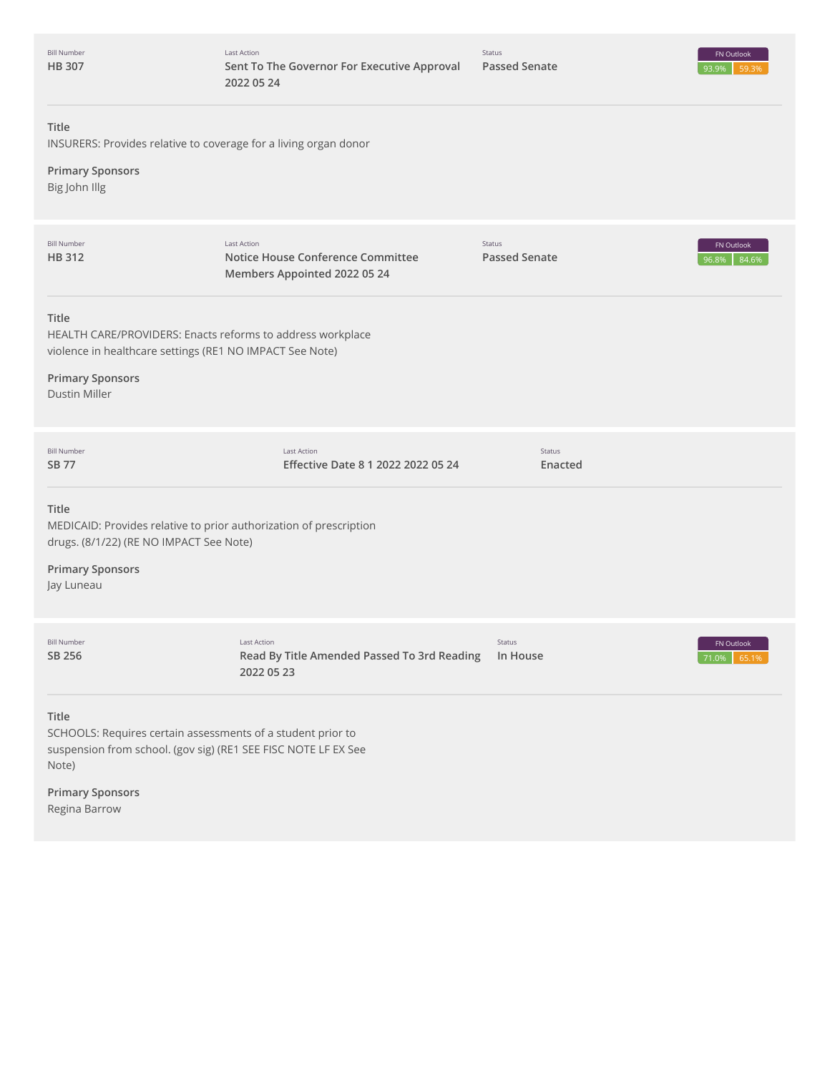| <b>Bill Number</b><br><b>HB307</b>                                                                                                                                          | Last Action<br>Sent To The Governor For Executive Approval<br>2022 05 24                | <b>Status</b><br><b>Passed Senate</b> | FN Outlook<br>93.9%<br>59.3% |
|-----------------------------------------------------------------------------------------------------------------------------------------------------------------------------|-----------------------------------------------------------------------------------------|---------------------------------------|------------------------------|
| <b>Title</b><br>INSURERS: Provides relative to coverage for a living organ donor<br><b>Primary Sponsors</b><br>Big John Illg                                                |                                                                                         |                                       |                              |
| <b>Bill Number</b><br><b>HB312</b>                                                                                                                                          | <b>Last Action</b><br>Notice House Conference Committee<br>Members Appointed 2022 05 24 | <b>Status</b><br><b>Passed Senate</b> | FN Outlook<br>84.6%<br>96.8% |
| Title<br>HEALTH CARE/PROVIDERS: Enacts reforms to address workplace<br>violence in healthcare settings (RE1 NO IMPACT See Note)<br><b>Primary Sponsors</b><br>Dustin Miller |                                                                                         |                                       |                              |
| <b>Bill Number</b><br>SB 77                                                                                                                                                 | <b>Last Action</b><br>Effective Date 8 1 2022 2022 05 24                                | Status<br>Enacted                     |                              |
| Title<br>MEDICAID: Provides relative to prior authorization of prescription<br>drugs. (8/1/22) (RE NO IMPACT See Note)<br><b>Primary Sponsors</b><br>Jay Luneau             |                                                                                         |                                       |                              |
| <b>Bill Number</b><br>SB 256                                                                                                                                                | <b>Last Action</b><br>Read By Title Amended Passed To 3rd Reading<br>2022 05 23         | Status<br>In House                    | FN Outlook<br>71.0% 65.1%    |
| Title<br>SCHOOLS: Requires certain assessments of a student prior to<br>suspension from school. (gov sig) (RE1 SEE FISC NOTE LF EX See<br>Note)                             |                                                                                         |                                       |                              |

**Primary Sponsors** Regina Barrow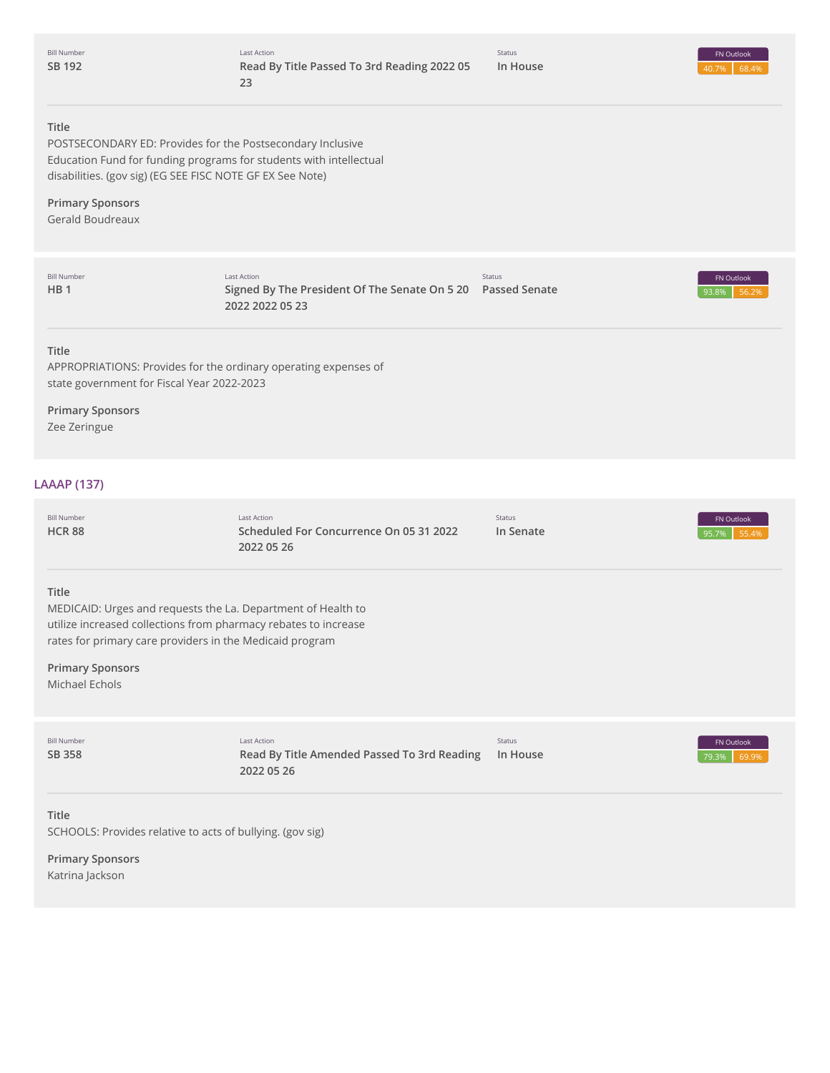Bill Number **SB [192](http://app.fiscalnote.com/share/bill?url=28e2d18981f07ffa3cccfac0b7c7ca93)**

#### **Title**

POSTSECONDARY ED: Provides for the Postsecondary Inclusive Education Fund for funding programs for students with intellectual disabilities. (gov sig) (EG SEE FISC NOTE GF EX See Note)

#### **Primary Sponsors** Gerald Boudreaux

93.8% 56.2% **Title** APPROPRIATIONS: Provides for the ordinary operating expenses of state government for Fiscal Year 2022-2023 **Primary Sponsors** Zee Zeringue 95.7% 55.4% **Title** MEDICAID: Urges and requests the La. Department of Health to utilize increased collections from pharmacy rebates to increase rates for primary care providers in the Medicaid program **Primary Sponsors** Michael Echols 79.3% 69.9% **Title** Bill Number **[HB](http://app.fiscalnote.com/share/bill?url=0dd7b2dba3147e18b2f0a6e554a24515) 1** Last Action **Signed By The President Of The Senate On 5 20 Passed Senate 2022 2022 05 23** Status FN Outlook **LAAAP (137)** Bill Number **[HCR](http://app.fiscalnote.com/share/bill?url=18e9327e8264d7e69ab7b182b28a7102) 88** Last Action **Scheduled For Concurrence On 05 31 2022 2022 05 26** Status **In Senate** FN Outlook Bill Number **SB [358](http://app.fiscalnote.com/share/bill?url=ce6f22b3c23de11e31bfe1cb4cc96645)** Last Action **Read By Title Amended Passed To 3rd Reading 2022 05 26** Status **In House** FN Outlook

SCHOOLS: Provides relative to acts of bullying. (gov sig)

**Primary Sponsors** Katrina Jackson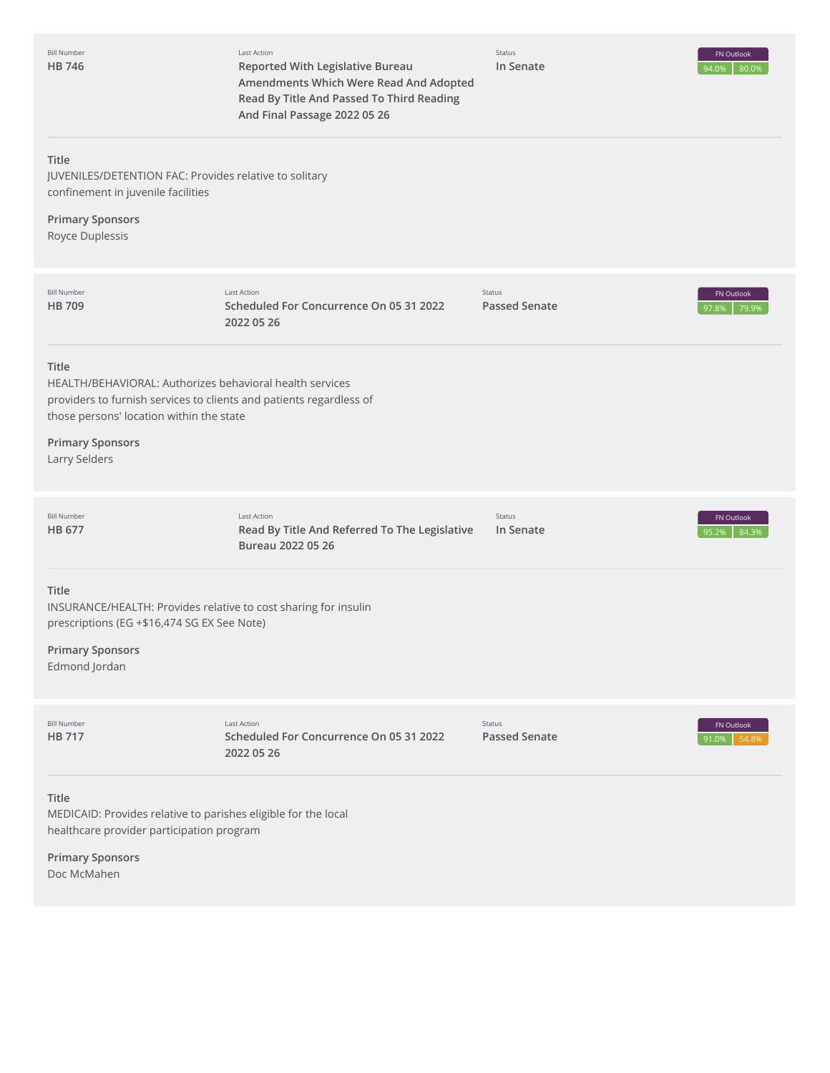Bill Number **HB [746](http://app.fiscalnote.com/share/bill?url=4ee6d26938f80619bfb7331e12ac4182)** Last Action **Reported With Legislative Bureau Amendments Which Were Read And Adopted Read By Title And Passed To Third Reading And Final Passage 2022 05 26**

Status **In Senate**



#### **Title**

JUVENILES/DETENTION FAC: Provides relative to solitary confinement in juvenile facilities

# **Primary Sponsors**

Royce Duplessis

| <b>Bill Number</b><br><b>HB 709</b>                                                              | Last Action<br>Scheduled For Concurrence On 05 31 2022<br>2022 05 26                                                            | Status<br><b>Passed Senate</b> | FN Outlook<br>79.9%<br>97.8% |
|--------------------------------------------------------------------------------------------------|---------------------------------------------------------------------------------------------------------------------------------|--------------------------------|------------------------------|
| Title<br>those persons' location within the state<br><b>Primary Sponsors</b><br>Larry Selders    | HEALTH/BEHAVIORAL: Authorizes behavioral health services<br>providers to furnish services to clients and patients regardless of |                                |                              |
| <b>Bill Number</b><br>HB 677                                                                     | Last Action<br>Read By Title And Referred To The Legislative<br>Bureau 2022 05 26                                               | Status<br>In Senate            | FN Outlook<br>84.3%<br>95.2% |
| Title<br>prescriptions (EG +\$16,474 SG EX See Note)<br><b>Primary Sponsors</b><br>Edmond Jordan | INSURANCE/HEALTH: Provides relative to cost sharing for insulin                                                                 |                                |                              |
| <b>Bill Number</b><br><b>HB 717</b>                                                              | <b>Last Action</b><br>Scheduled For Concurrence On 05 31 2022<br>2022 05 26                                                     | Status<br><b>Passed Senate</b> | FN Outlook<br>91.0%<br>54.8% |
| Title<br>healthcare provider participation program<br><b>Primary Sponsors</b><br>Doc McMahen     | MEDICAID: Provides relative to parishes eligible for the local                                                                  |                                |                              |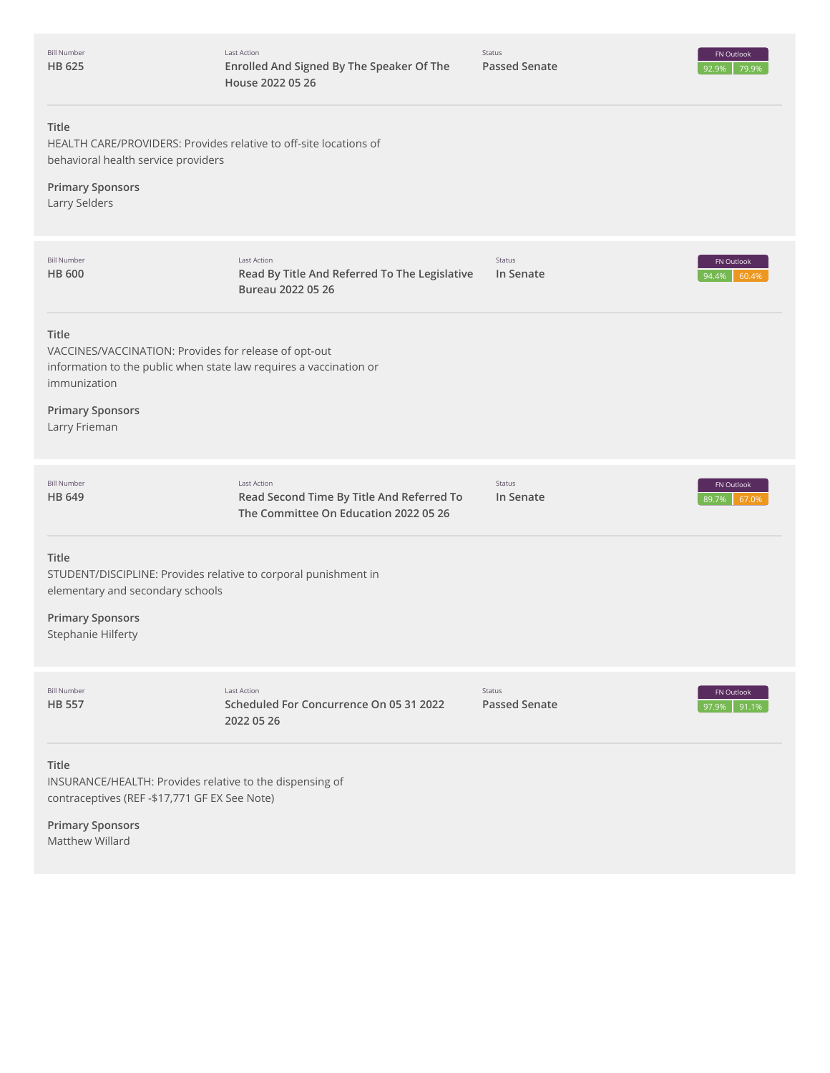| <b>Bill Number</b><br>HB 625                                                                                                                         | <b>Last Action</b><br>Enrolled And Signed By The Speaker Of The<br>House 2022 05 26                      | Status<br><b>Passed Senate</b> | FN Outlook<br>79.99<br>92.9% |
|------------------------------------------------------------------------------------------------------------------------------------------------------|----------------------------------------------------------------------------------------------------------|--------------------------------|------------------------------|
| Title<br>HEALTH CARE/PROVIDERS: Provides relative to off-site locations of<br>behavioral health service providers                                    |                                                                                                          |                                |                              |
| <b>Primary Sponsors</b><br>Larry Selders                                                                                                             |                                                                                                          |                                |                              |
| <b>Bill Number</b><br><b>HB 600</b>                                                                                                                  | Last Action<br>Read By Title And Referred To The Legislative<br>Bureau 2022 05 26                        | Status<br>In Senate            | FN Outlook<br>94.4%<br>60.4% |
| Title<br>VACCINES/VACCINATION: Provides for release of opt-out<br>information to the public when state law requires a vaccination or<br>immunization |                                                                                                          |                                |                              |
| <b>Primary Sponsors</b><br>Larry Frieman                                                                                                             |                                                                                                          |                                |                              |
| <b>Bill Number</b><br>HB 649                                                                                                                         | <b>Last Action</b><br>Read Second Time By Title And Referred To<br>The Committee On Education 2022 05 26 | Status<br>In Senate            | FN Outlook<br>89.7%<br>67.0% |
| Title<br>STUDENT/DISCIPLINE: Provides relative to corporal punishment in<br>elementary and secondary schools<br><b>Primary Sponsors</b>              |                                                                                                          |                                |                              |
| Stephanie Hilferty                                                                                                                                   |                                                                                                          |                                |                              |
| <b>Bill Number</b><br><b>HB 557</b>                                                                                                                  | <b>Last Action</b><br>Scheduled For Concurrence On 05 31 2022<br>2022 05 26                              | Status<br><b>Passed Senate</b> | FN Outlook<br>91.1%<br>97.9% |
| Title<br>INSURANCE/HEALTH: Provides relative to the dispensing of<br>contraceptives (REF -\$17,771 GF EX See Note)                                   |                                                                                                          |                                |                              |

**Primary Sponsors** Matthew Willard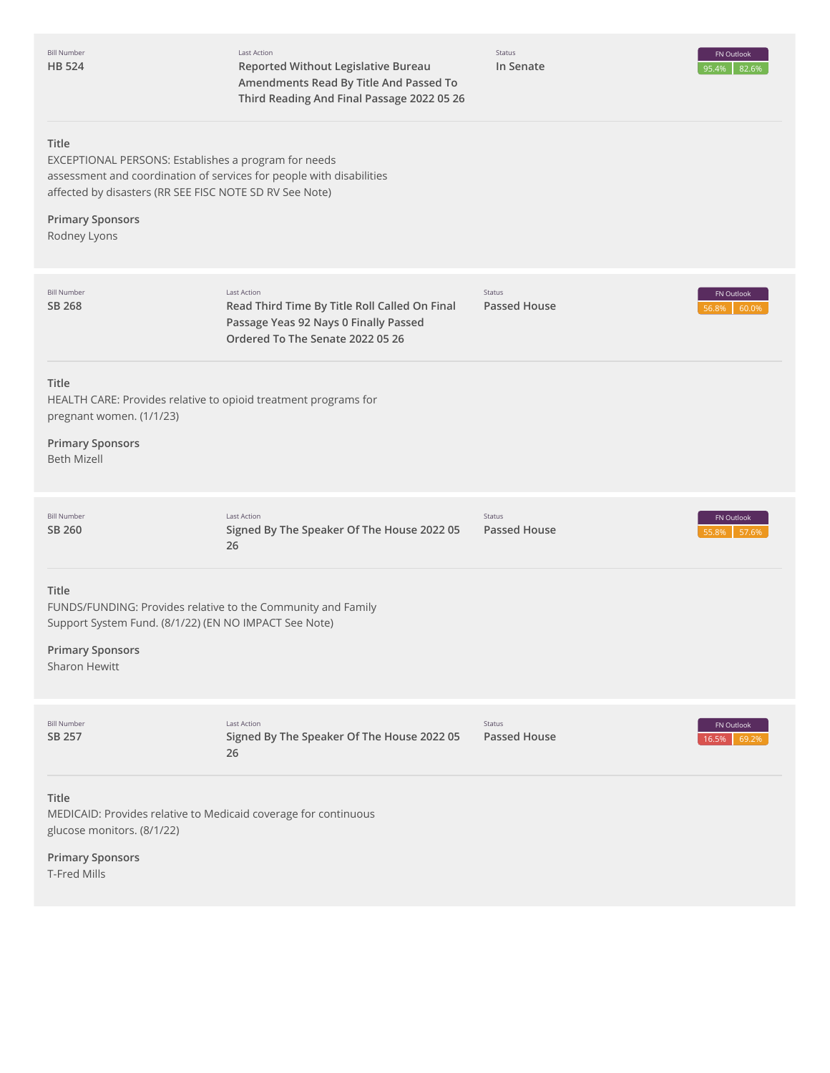| <b>Bill Number</b><br><b>HB 524</b>                                                                                                                                        | Last Action<br>Reported Without Legislative Bureau<br>Amendments Read By Title And Passed To<br>Third Reading And Final Passage 2022 05 26       | Status<br>In Senate           | FN Outlook<br>95.4%<br>82.6% |
|----------------------------------------------------------------------------------------------------------------------------------------------------------------------------|--------------------------------------------------------------------------------------------------------------------------------------------------|-------------------------------|------------------------------|
| Title<br>EXCEPTIONAL PERSONS: Establishes a program for needs<br>affected by disasters (RR SEE FISC NOTE SD RV See Note)<br><b>Primary Sponsors</b><br>Rodney Lyons        | assessment and coordination of services for people with disabilities                                                                             |                               |                              |
| <b>Bill Number</b><br>SB 268                                                                                                                                               | <b>Last Action</b><br>Read Third Time By Title Roll Called On Final<br>Passage Yeas 92 Nays 0 Finally Passed<br>Ordered To The Senate 2022 05 26 | Status<br><b>Passed House</b> | FN Outlook<br>56.8%<br>60.0% |
| Title<br>HEALTH CARE: Provides relative to opioid treatment programs for<br>pregnant women. (1/1/23)<br><b>Primary Sponsors</b><br><b>Beth Mizell</b>                      |                                                                                                                                                  |                               |                              |
| <b>Bill Number</b><br>SB 260                                                                                                                                               | <b>Last Action</b><br>Signed By The Speaker Of The House 2022 05<br>26                                                                           | Status<br><b>Passed House</b> | FN Outlook<br>55.8%<br>57.6% |
| Title<br>FUNDS/FUNDING: Provides relative to the Community and Family<br>Support System Fund. (8/1/22) (EN NO IMPACT See Note)<br><b>Primary Sponsors</b><br>Sharon Hewitt |                                                                                                                                                  |                               |                              |
| <b>Bill Number</b><br>SB 257                                                                                                                                               | <b>Last Action</b><br>Signed By The Speaker Of The House 2022 05<br>26                                                                           | Status<br><b>Passed House</b> | FN Outlook<br>16.5%<br>69.2% |
| Title<br>MEDICAID: Provides relative to Medicaid coverage for continuous<br>glucose monitors. (8/1/22)<br><b>Primary Sponsors</b><br>T-Fred Mills                          |                                                                                                                                                  |                               |                              |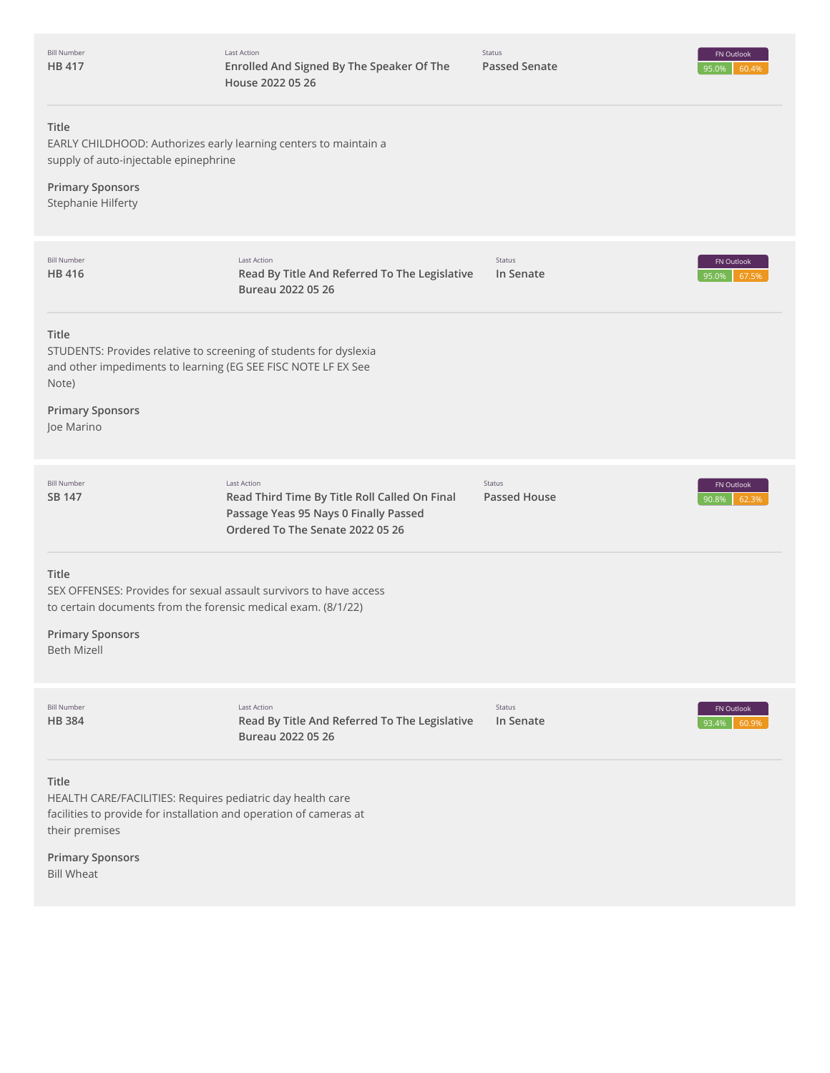| <b>Bill Number</b><br>HB 417                                                                                                                                                                  | <b>Last Action</b><br>Enrolled And Signed By The Speaker Of The<br>House 2022 05 26                                                       | Status<br><b>Passed Senate</b> | FN Outlook<br>95.0%<br>60.4% |
|-----------------------------------------------------------------------------------------------------------------------------------------------------------------------------------------------|-------------------------------------------------------------------------------------------------------------------------------------------|--------------------------------|------------------------------|
| Title<br>EARLY CHILDHOOD: Authorizes early learning centers to maintain a<br>supply of auto-injectable epinephrine<br><b>Primary Sponsors</b><br>Stephanie Hilferty                           |                                                                                                                                           |                                |                              |
| <b>Bill Number</b><br>HB 416                                                                                                                                                                  | Last Action<br>Read By Title And Referred To The Legislative<br>Bureau 2022 05 26                                                         | Status<br>In Senate            | FN Outlook<br>95.0%<br>67.5% |
| Title<br>STUDENTS: Provides relative to screening of students for dyslexia<br>and other impediments to learning (EG SEE FISC NOTE LF EX See<br>Note)<br><b>Primary Sponsors</b><br>Joe Marino |                                                                                                                                           |                                |                              |
| <b>Bill Number</b><br>SB 147                                                                                                                                                                  | Last Action<br>Read Third Time By Title Roll Called On Final<br>Passage Yeas 95 Nays 0 Finally Passed<br>Ordered To The Senate 2022 05 26 | Status<br><b>Passed House</b>  | FN Outlook<br>90.8%<br>62.3% |
| Title<br>SEX OFFENSES: Provides for sexual assault survivors to have access<br>to certain documents from the forensic medical exam. (8/1/22)<br><b>Primary Sponsors</b><br><b>Beth Mizell</b> |                                                                                                                                           |                                |                              |
| <b>Bill Number</b><br><b>HB384</b>                                                                                                                                                            | <b>Last Action</b><br>Read By Title And Referred To The Legislative<br>Bureau 2022 05 26                                                  | Status<br>In Senate            | FN Outlook<br>93.4%<br>60.9% |
| <b>Title</b><br>HEALTH CARE/FACILITIES: Requires pediatric day health care<br>facilities to provide for installation and operation of cameras at<br>their premises<br><b>Primary Sponsors</b> |                                                                                                                                           |                                |                              |
|                                                                                                                                                                                               |                                                                                                                                           |                                |                              |

Bill Wheat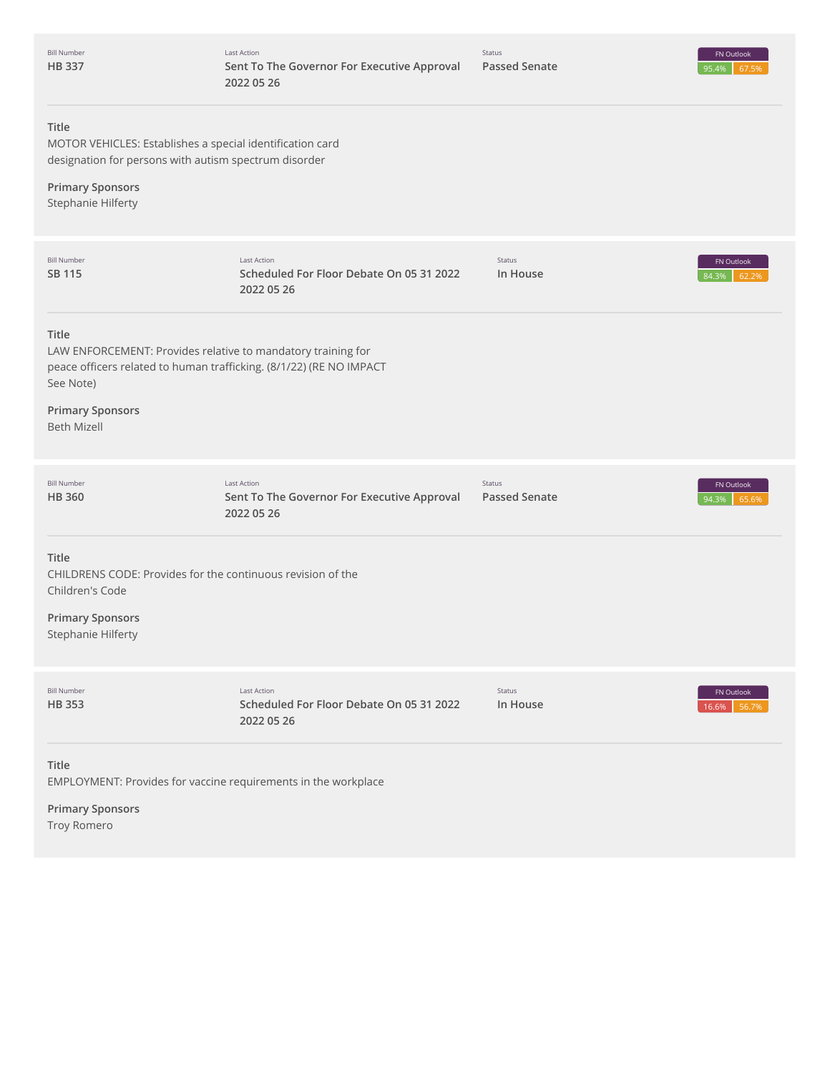| <b>Bill Number</b><br><b>HB337</b>                                                                                                                        | <b>Last Action</b><br>Sent To The Governor For Executive Approval<br>2022 05 26 | Status<br><b>Passed Senate</b> | FN Outlook<br>95.4%<br>67.5% |
|-----------------------------------------------------------------------------------------------------------------------------------------------------------|---------------------------------------------------------------------------------|--------------------------------|------------------------------|
| Title<br>MOTOR VEHICLES: Establishes a special identification card<br>designation for persons with autism spectrum disorder                               |                                                                                 |                                |                              |
| <b>Primary Sponsors</b><br>Stephanie Hilferty                                                                                                             |                                                                                 |                                |                              |
| <b>Bill Number</b><br>SB 115                                                                                                                              | <b>Last Action</b><br>Scheduled For Floor Debate On 05 31 2022<br>2022 05 26    | Status<br>In House             | FN Outlook<br>84.3%<br>62.2% |
| Title<br>LAW ENFORCEMENT: Provides relative to mandatory training for<br>peace officers related to human trafficking. (8/1/22) (RE NO IMPACT<br>See Note) |                                                                                 |                                |                              |
| <b>Primary Sponsors</b><br><b>Beth Mizell</b>                                                                                                             |                                                                                 |                                |                              |
| <b>Bill Number</b><br><b>HB 360</b>                                                                                                                       | <b>Last Action</b><br>Sent To The Governor For Executive Approval<br>2022 05 26 | Status<br><b>Passed Senate</b> | FN Outlook<br>65.6%<br>94.3% |
| Title<br>CHILDRENS CODE: Provides for the continuous revision of the<br>Children's Code                                                                   |                                                                                 |                                |                              |
| <b>Primary Sponsors</b><br>Stephanie Hilferty                                                                                                             |                                                                                 |                                |                              |
| <b>Bill Number</b><br><b>HB353</b>                                                                                                                        | <b>Last Action</b><br>Scheduled For Floor Debate On 05 31 2022<br>2022 05 26    | Status<br>In House             | FN Outlook<br>56.7%<br>16.6% |
| Title<br>EMPLOYMENT: Provides for vaccine requirements in the workplace                                                                                   |                                                                                 |                                |                              |
| <b>Primary Sponsors</b>                                                                                                                                   |                                                                                 |                                |                              |

Troy Romero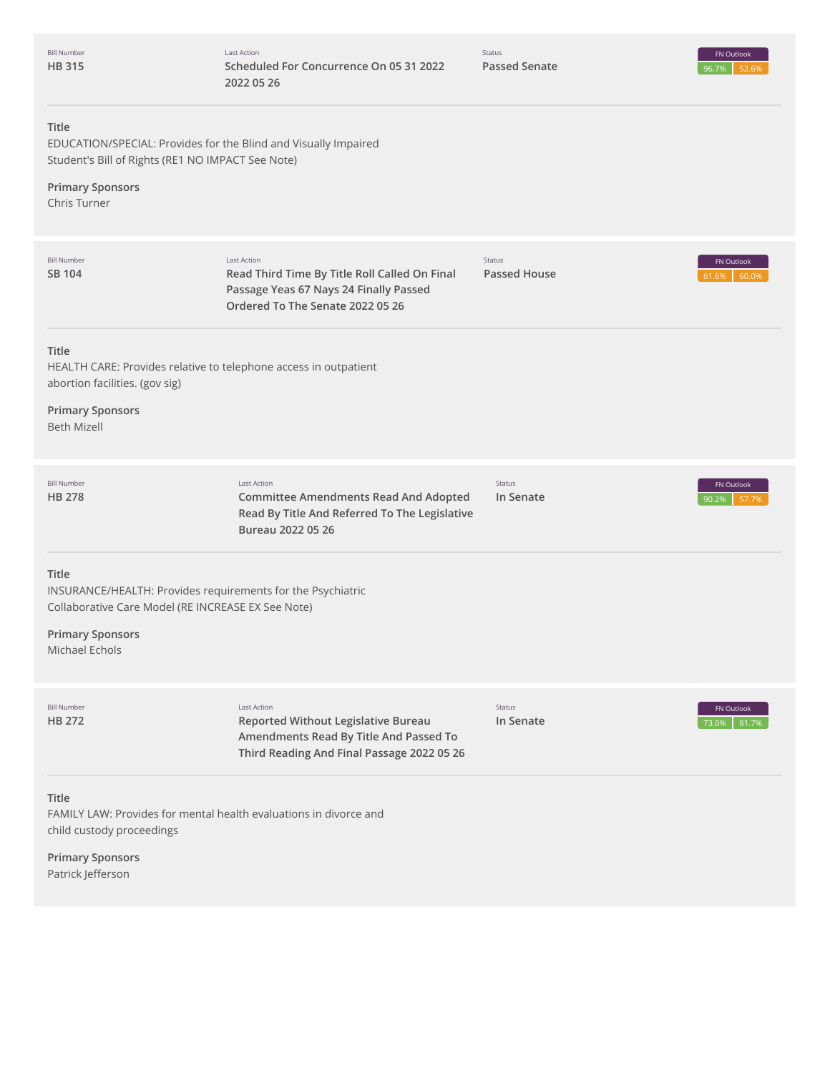| <b>Bill Number</b><br><b>HB315</b>                                                       | Last Action<br>Scheduled For Concurrence On 05 31 2022<br>2022 05 26                                                                              | Status<br><b>Passed Senate</b> | FN Outlook<br>96.7%<br>52.6% |
|------------------------------------------------------------------------------------------|---------------------------------------------------------------------------------------------------------------------------------------------------|--------------------------------|------------------------------|
| Title<br>Student's Bill of Rights (RE1 NO IMPACT See Note)                               | EDUCATION/SPECIAL: Provides for the Blind and Visually Impaired                                                                                   |                                |                              |
| <b>Primary Sponsors</b><br>Chris Turner                                                  |                                                                                                                                                   |                                |                              |
| <b>Bill Number</b><br>SB 104                                                             | Last Action<br>Read Third Time By Title Roll Called On Final<br>Passage Yeas 67 Nays 24 Finally Passed<br>Ordered To The Senate 2022 05 26        | Status<br><b>Passed House</b>  | FN Outlook<br>60.0%<br>61.6% |
| Title<br>abortion facilities. (gov sig)<br><b>Primary Sponsors</b><br><b>Beth Mizell</b> | HEALTH CARE: Provides relative to telephone access in outpatient                                                                                  |                                |                              |
| <b>Bill Number</b><br><b>HB 278</b>                                                      | <b>Last Action</b><br><b>Committee Amendments Read And Adopted</b><br>Read By Title And Referred To The Legislative<br>Bureau 2022 05 26          | Status<br>In Senate            | FN Outlook<br>90.2%<br>57.7% |
| Title<br><b>Primary Sponsors</b><br>Michael Echols                                       | INSURANCE/HEALTH: Provides requirements for the Psychiatric<br>Collaborative Care Model (RE INCREASE EX See Note)                                 |                                |                              |
| <b>Bill Number</b><br>HB 272                                                             | <b>Last Action</b><br>Reported Without Legislative Bureau<br>Amendments Read By Title And Passed To<br>Third Reading And Final Passage 2022 05 26 | Status<br>In Senate            | FN Outlook<br>73.0%<br>81.7% |
| <b>Title</b><br>child custody proceedings<br><b>Primary Sponsors</b>                     | FAMILY LAW: Provides for mental health evaluations in divorce and                                                                                 |                                |                              |

Patrick Jefferson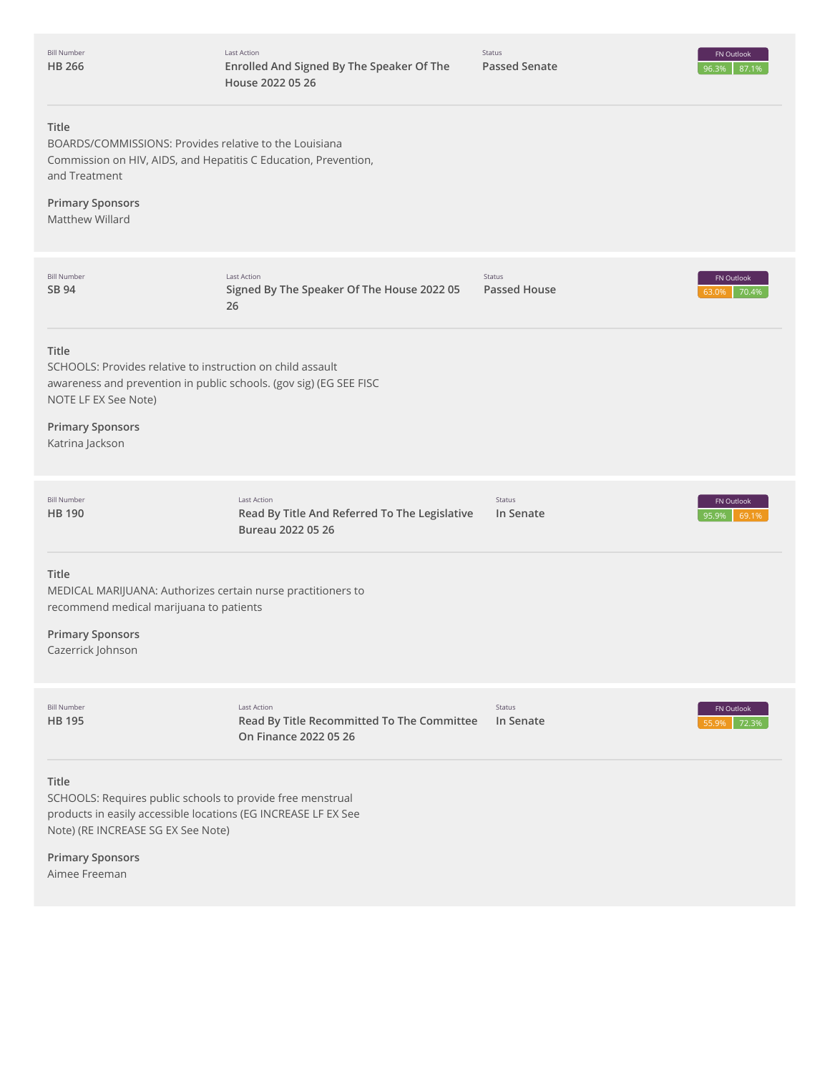| <b>Bill Number</b><br><b>HB 266</b>                                                                                                                                                                                     | <b>Last Action</b><br>Enrolled And Signed By The Speaker Of The<br>House 2022 05 26 | Status<br><b>Passed Senate</b> | FN Outlook<br>87.1%<br>96.3% |
|-------------------------------------------------------------------------------------------------------------------------------------------------------------------------------------------------------------------------|-------------------------------------------------------------------------------------|--------------------------------|------------------------------|
| Title<br>BOARDS/COMMISSIONS: Provides relative to the Louisiana<br>Commission on HIV, AIDS, and Hepatitis C Education, Prevention,<br>and Treatment<br><b>Primary Sponsors</b><br>Matthew Willard                       |                                                                                     |                                |                              |
| <b>Bill Number</b><br>SB 94                                                                                                                                                                                             | <b>Last Action</b><br>Signed By The Speaker Of The House 2022 05<br>26              | Status<br><b>Passed House</b>  | FN Outlook<br>70.4%<br>63.0% |
| Title<br>SCHOOLS: Provides relative to instruction on child assault<br>awareness and prevention in public schools. (gov sig) (EG SEE FISC<br>NOTE LF EX See Note)<br><b>Primary Sponsors</b><br>Katrina Jackson         |                                                                                     |                                |                              |
| <b>Bill Number</b><br><b>HB</b> 190                                                                                                                                                                                     | Last Action<br>Read By Title And Referred To The Legislative<br>Bureau 2022 05 26   | Status<br>In Senate            | FN Outlook<br>95.9%<br>69.1% |
| Title<br>MEDICAL MARIJUANA: Authorizes certain nurse practitioners to<br>recommend medical marijuana to patients<br><b>Primary Sponsors</b><br>Cazerrick Johnson                                                        |                                                                                     |                                |                              |
| <b>Bill Number</b><br><b>HB 195</b>                                                                                                                                                                                     | Last Action<br>Read By Title Recommitted To The Committee<br>On Finance 2022 05 26  | Status<br>In Senate            | FN Outlook<br>72.3%          |
| Title<br>SCHOOLS: Requires public schools to provide free menstrual<br>products in easily accessible locations (EG INCREASE LF EX See<br>Note) (RE INCREASE SG EX See Note)<br><b>Primary Sponsors</b><br>Aimee Freeman |                                                                                     |                                |                              |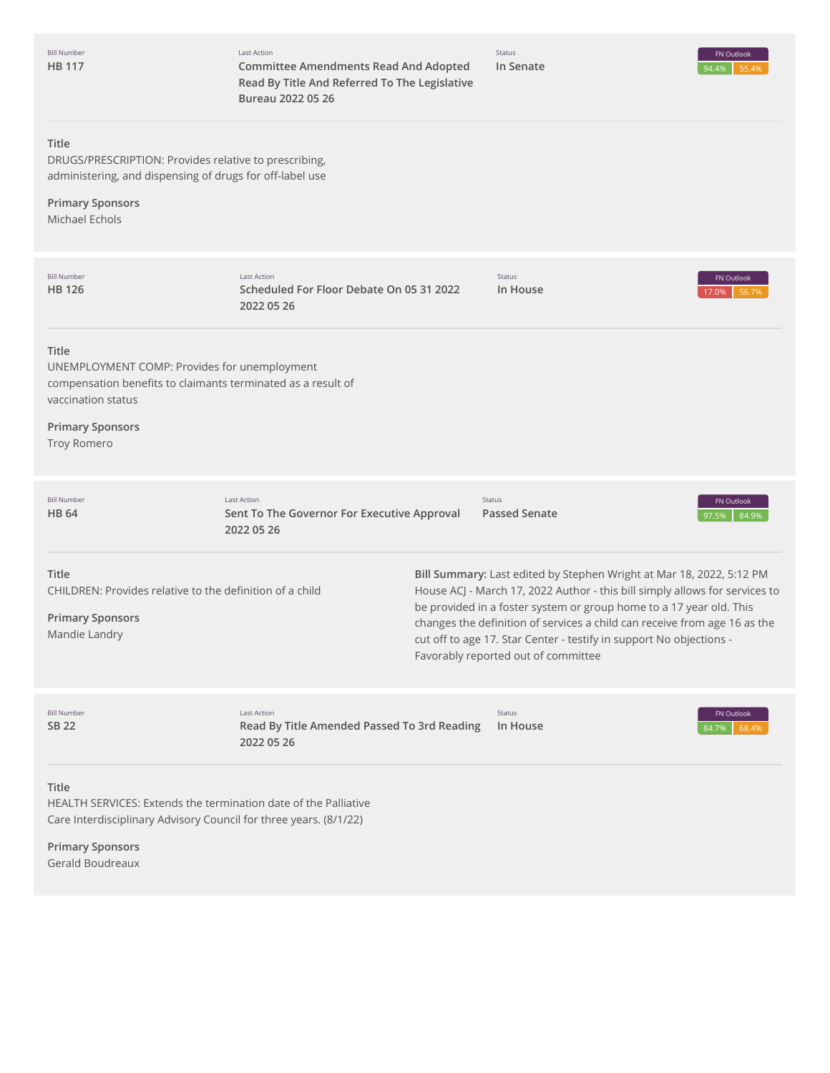| <b>Bill Number</b><br><b>HB 117</b>                                                                                                           | <b>Last Action</b><br><b>Committee Amendments Read And Adopted</b><br>Read By Title And Referred To The Legislative<br>Bureau 2022 05 26 | Status<br>In Senate                                                                                                                                                                                                                                                                                                                                                                                                   | FN Outlook<br>94.4%<br>55.4% |
|-----------------------------------------------------------------------------------------------------------------------------------------------|------------------------------------------------------------------------------------------------------------------------------------------|-----------------------------------------------------------------------------------------------------------------------------------------------------------------------------------------------------------------------------------------------------------------------------------------------------------------------------------------------------------------------------------------------------------------------|------------------------------|
| <b>Title</b><br>DRUGS/PRESCRIPTION: Provides relative to prescribing,<br>administering, and dispensing of drugs for off-label use             |                                                                                                                                          |                                                                                                                                                                                                                                                                                                                                                                                                                       |                              |
| <b>Primary Sponsors</b><br>Michael Echols                                                                                                     |                                                                                                                                          |                                                                                                                                                                                                                                                                                                                                                                                                                       |                              |
| <b>Bill Number</b><br><b>HB 126</b>                                                                                                           | <b>Last Action</b><br>Scheduled For Floor Debate On 05 31 2022<br>2022 05 26                                                             | Status<br>In House                                                                                                                                                                                                                                                                                                                                                                                                    | FN Outlook<br>56.7%<br>17.0% |
| Title<br>UNEMPLOYMENT COMP: Provides for unemployment<br>compensation benefits to claimants terminated as a result of<br>vaccination status   |                                                                                                                                          |                                                                                                                                                                                                                                                                                                                                                                                                                       |                              |
| <b>Primary Sponsors</b><br>Troy Romero                                                                                                        |                                                                                                                                          |                                                                                                                                                                                                                                                                                                                                                                                                                       |                              |
| <b>Bill Number</b><br><b>HB 64</b>                                                                                                            | Last Action<br>Sent To The Governor For Executive Approval<br>2022 05 26                                                                 | Status<br><b>Passed Senate</b>                                                                                                                                                                                                                                                                                                                                                                                        | FN Outlook<br>84.9%<br>97.5% |
| <b>Title</b><br>CHILDREN: Provides relative to the definition of a child<br><b>Primary Sponsors</b><br>Mandie Landry                          |                                                                                                                                          | Bill Summary: Last edited by Stephen Wright at Mar 18, 2022, 5:12 PM<br>House ACJ - March 17, 2022 Author - this bill simply allows for services to<br>be provided in a foster system or group home to a 17 year old. This<br>changes the definition of services a child can receive from age 16 as the<br>cut off to age 17. Star Center - testify in support No objections -<br>Favorably reported out of committee |                              |
| <b>Bill Number</b><br>SB 22                                                                                                                   | <b>Last Action</b><br>Read By Title Amended Passed To 3rd Reading<br>2022 05 26                                                          | Status<br>In House                                                                                                                                                                                                                                                                                                                                                                                                    | FN Outlook<br>68.4%<br>84.7% |
| Title<br>HEALTH SERVICES: Extends the termination date of the Palliative<br>Care Interdisciplinary Advisory Council for three years. (8/1/22) |                                                                                                                                          |                                                                                                                                                                                                                                                                                                                                                                                                                       |                              |
| <b>Primary Sponsors</b><br>Gerald Boudreaux                                                                                                   |                                                                                                                                          |                                                                                                                                                                                                                                                                                                                                                                                                                       |                              |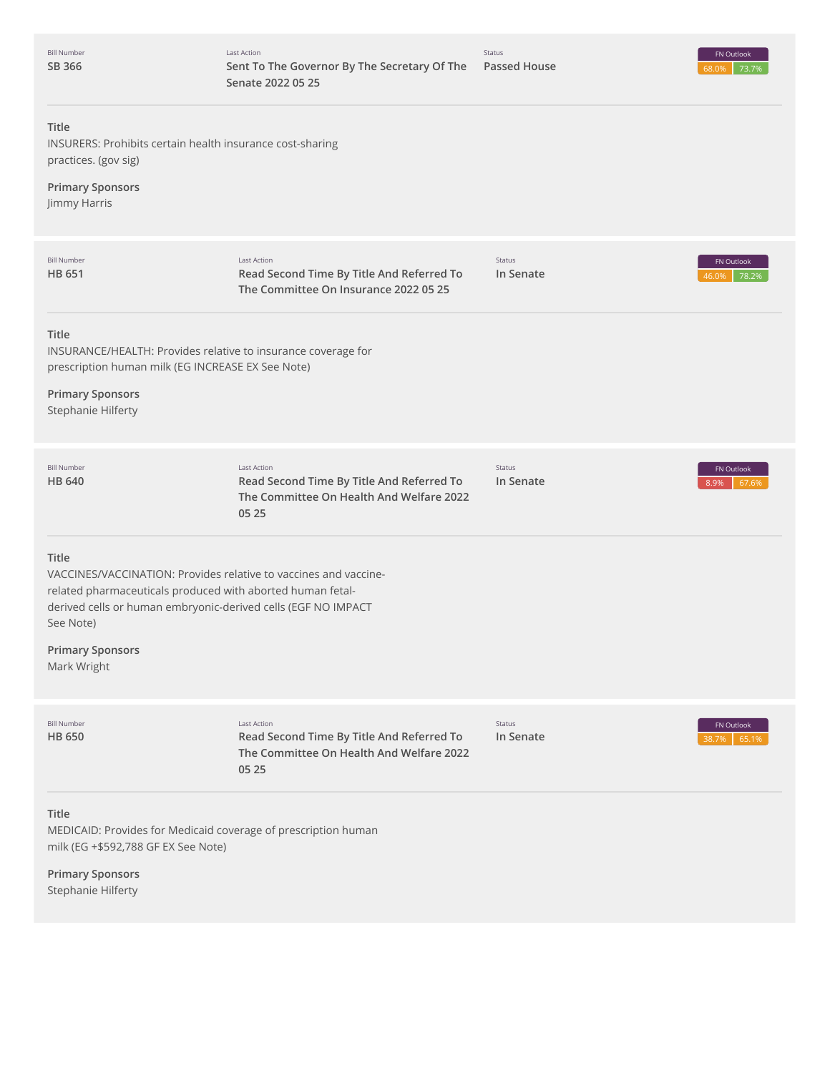| <b>Bill Number</b><br>SB 366                                                                                | Last Action<br>Sent To The Governor By The Secretary Of The<br>Senate 2022 05 25                                                                                                                | Status<br><b>Passed House</b> | FN Outlook<br>73.7%<br>68.0% |
|-------------------------------------------------------------------------------------------------------------|-------------------------------------------------------------------------------------------------------------------------------------------------------------------------------------------------|-------------------------------|------------------------------|
| Title<br>practices. (gov sig)<br><b>Primary Sponsors</b><br>Jimmy Harris                                    | INSURERS: Prohibits certain health insurance cost-sharing                                                                                                                                       |                               |                              |
| <b>Bill Number</b><br><b>HB 651</b>                                                                         | <b>Last Action</b><br>Read Second Time By Title And Referred To<br>The Committee On Insurance 2022 05 25                                                                                        | Status<br>In Senate           | FN Outlook<br>78.2%<br>16.0% |
| Title<br>prescription human milk (EG INCREASE EX See Note)<br><b>Primary Sponsors</b><br>Stephanie Hilferty | INSURANCE/HEALTH: Provides relative to insurance coverage for                                                                                                                                   |                               |                              |
| <b>Bill Number</b><br><b>HB 640</b>                                                                         | Last Action<br>Read Second Time By Title And Referred To<br>The Committee On Health And Welfare 2022<br>05 25                                                                                   | Status<br>In Senate           | FN Outlook<br>8.9%<br>67.6%  |
| <b>Title</b><br>See Note)<br><b>Primary Sponsors</b><br>Mark Wright                                         | VACCINES/VACCINATION: Provides relative to vaccines and vaccine-<br>related pharmaceuticals produced with aborted human fetal-<br>derived cells or human embryonic-derived cells (EGF NO IMPACT |                               |                              |
| <b>Bill Number</b><br><b>HB 650</b>                                                                         | <b>Last Action</b><br>Read Second Time By Title And Referred To<br>The Committee On Health And Welfare 2022<br>05 25                                                                            | Status<br>In Senate           | FN Outlook<br>65.1%<br>88 7% |
| Title<br>milk (EG +\$592,788 GF EX See Note)<br><b>Primary Sponsors</b>                                     | MEDICAID: Provides for Medicaid coverage of prescription human                                                                                                                                  |                               |                              |

Stephanie Hilferty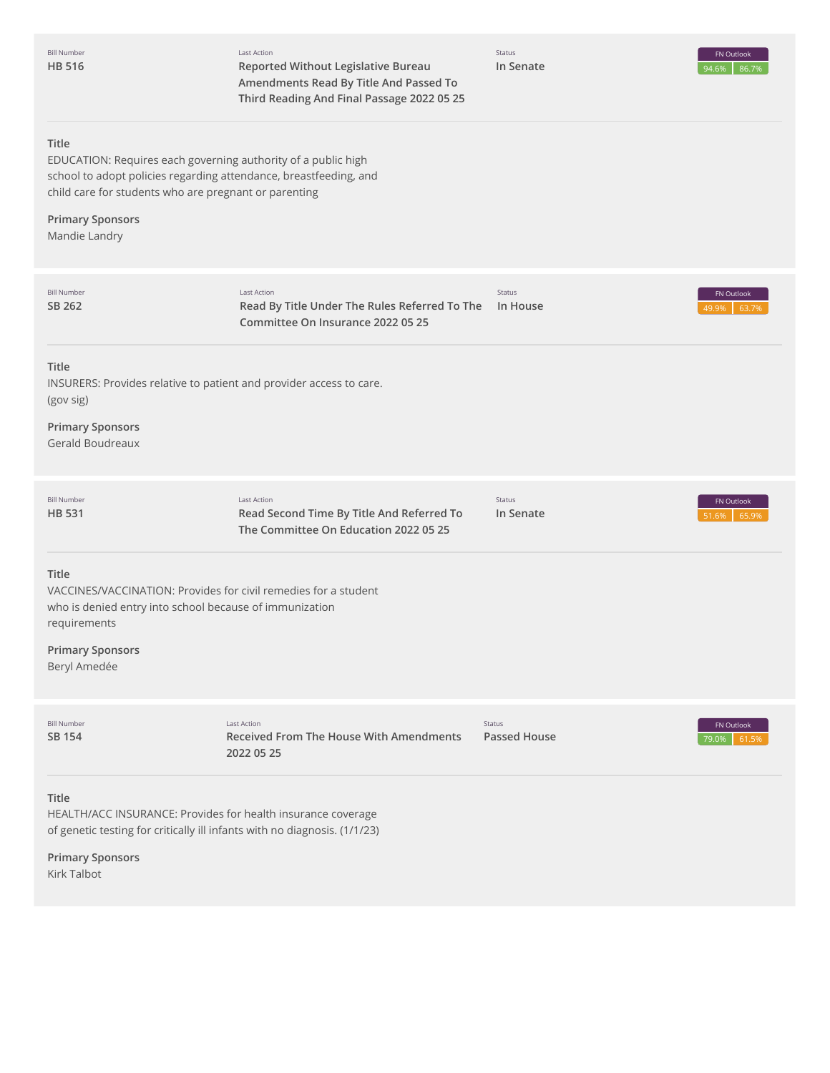Last Action **Reported Without Legislative Bureau Amendments Read By Title And Passed To Third Reading And Final Passage 2022 05 25**

Status **In Senate**

#### **Title**

EDUCATION: Requires each governing authority of a public high school to adopt policies regarding attendance, breastfeeding, and child care for students who are pregnant or parenting

# **Primary Sponsors**

Mandie Landry

| <b>Bill Number</b><br>SB 262                                                                                                                                                                   | <b>Last Action</b><br>Read By Title Under The Rules Referred To The<br>Committee On Insurance 2022 05 25 | <b>Status</b><br>In House | FN Outlook<br>49.9%<br>63.7% |
|------------------------------------------------------------------------------------------------------------------------------------------------------------------------------------------------|----------------------------------------------------------------------------------------------------------|---------------------------|------------------------------|
| Title<br>INSURERS: Provides relative to patient and provider access to care.<br>(gov sig)<br><b>Primary Sponsors</b><br>Gerald Boudreaux                                                       |                                                                                                          |                           |                              |
| <b>Bill Number</b><br><b>HB 531</b>                                                                                                                                                            | <b>Last Action</b><br>Read Second Time By Title And Referred To<br>The Committee On Education 2022 05 25 | Status<br>In Senate       | FN Outlook<br>65.9%<br>51.6% |
| Title<br>VACCINES/VACCINATION: Provides for civil remedies for a student<br>who is denied entry into school because of immunization<br>requirements<br><b>Primary Sponsors</b><br>Beryl Amedée |                                                                                                          |                           |                              |
| <b>Bill Number</b><br><b>SB 154</b>                                                                                                                                                            | <b>Last Action</b><br><b>Received From The House With Amendments</b><br>2022 05 25                       | Status<br>Passed House    | FN Outlook<br>79.0%<br>61.5% |
| Title<br>HEALTH/ACC INSURANCE: Provides for health insurance coverage<br>of genetic testing for critically ill infants with no diagnosis. (1/1/23)                                             |                                                                                                          |                           |                              |

**Primary Sponsors** Kirk Talbot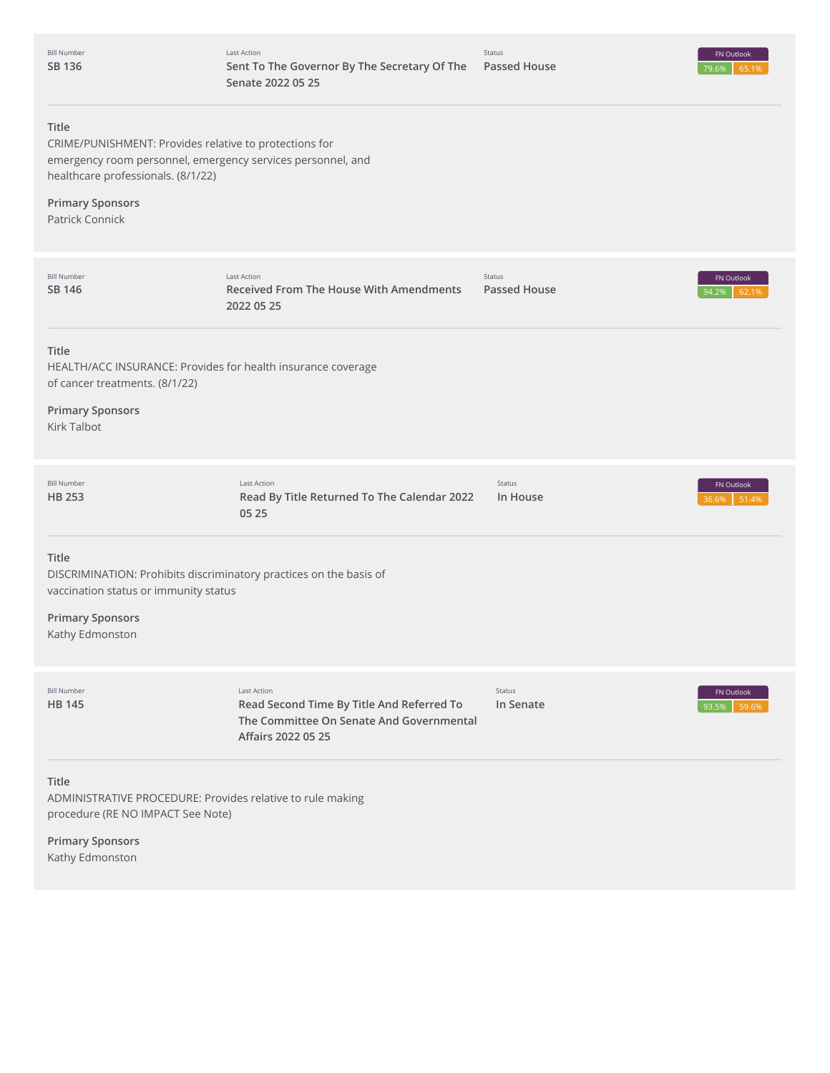| <b>Bill Number</b> |
|--------------------|
| SB 136             |



# **Title**

CRIME/PUNISHMENT: Provides relative to protections for emergency room personnel, emergency services personnel, and healthcare professionals. (8/1/22)

**Primary Sponsors** Patrick Connick

| <b>Bill Number</b><br><b>SB 146</b>                                                                                                                                       | <b>Last Action</b><br><b>Received From The House With Amendments</b><br>2022 05 25                                         | Status<br>Passed House | FN Outlook<br>94.2%<br>62.1% |
|---------------------------------------------------------------------------------------------------------------------------------------------------------------------------|----------------------------------------------------------------------------------------------------------------------------|------------------------|------------------------------|
| <b>Title</b><br>HEALTH/ACC INSURANCE: Provides for health insurance coverage<br>of cancer treatments. (8/1/22)                                                            |                                                                                                                            |                        |                              |
| <b>Primary Sponsors</b><br><b>Kirk Talbot</b>                                                                                                                             |                                                                                                                            |                        |                              |
| <b>Bill Number</b><br><b>HB 253</b>                                                                                                                                       | <b>Last Action</b><br>Read By Title Returned To The Calendar 2022<br>05 25                                                 | Status<br>In House     | FN Outlook<br>51.4%<br>36.6% |
| <b>Title</b><br>DISCRIMINATION: Prohibits discriminatory practices on the basis of<br>vaccination status or immunity status<br><b>Primary Sponsors</b><br>Kathy Edmonston |                                                                                                                            |                        |                              |
| <b>Bill Number</b><br><b>HB 145</b>                                                                                                                                       | Last Action<br>Read Second Time By Title And Referred To<br>The Committee On Senate And Governmental<br>Affairs 2022 05 25 | Status<br>In Senate    | FN Outlook<br>59.6%<br>93.5% |
| <b>Title</b><br>ADMINISTRATIVE PROCEDURE: Provides relative to rule making<br>procedure (RE NO IMPACT See Note)<br><b>Primary Sponsors</b><br>Kathy Edmonston             |                                                                                                                            |                        |                              |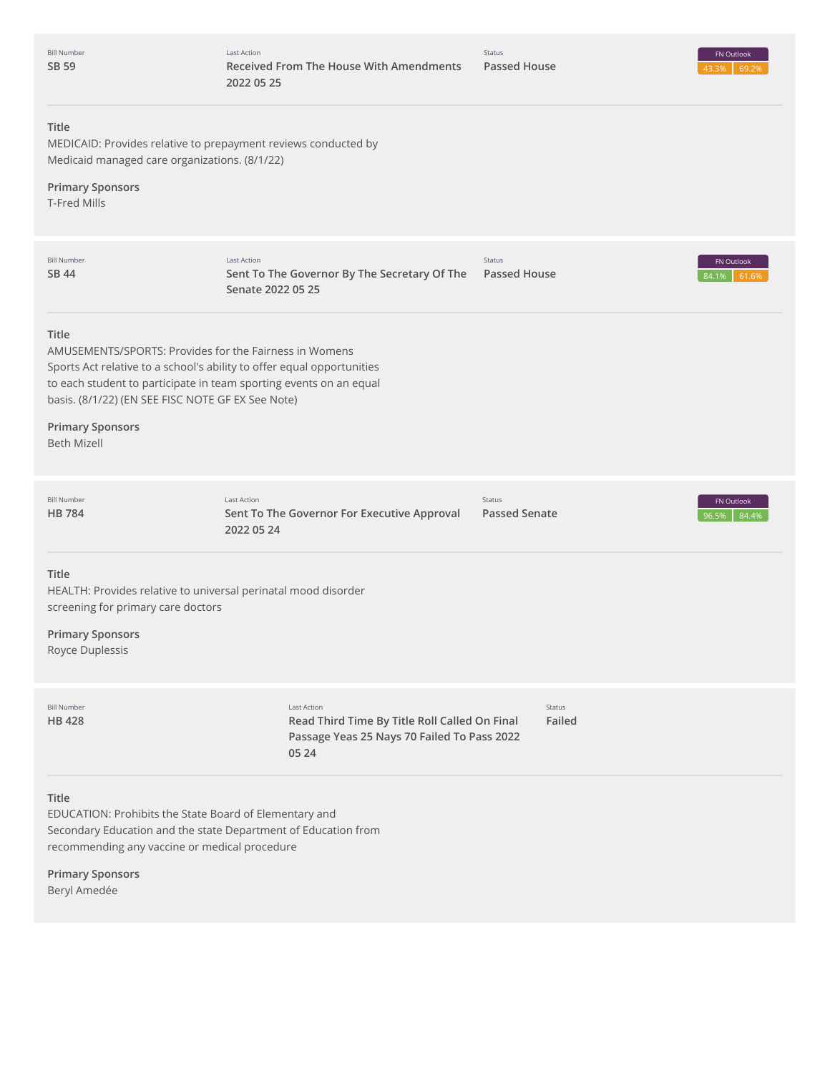| <b>Bill Number</b> |
|--------------------|
| SB 59              |

# **Title**

MEDICAID: Provides relative to prepayment reviews conducted by Medicaid managed care organizations. (8/1/22)

# **Primary Sponsors**

T-Fred Mills

| <b>Bill Number</b><br>SB 44                                                                                                                                                                                                                                                                                           | Last Action<br>Sent To The Governor By The Secretary Of The<br>Senate 2022 05 25                                            | Status<br>Passed House         | FN Outlook<br>61.6%<br>84.1% |
|-----------------------------------------------------------------------------------------------------------------------------------------------------------------------------------------------------------------------------------------------------------------------------------------------------------------------|-----------------------------------------------------------------------------------------------------------------------------|--------------------------------|------------------------------|
| Title<br>AMUSEMENTS/SPORTS: Provides for the Fairness in Womens<br>Sports Act relative to a school's ability to offer equal opportunities<br>to each student to participate in team sporting events on an equal<br>basis. (8/1/22) (EN SEE FISC NOTE GF EX See Note)<br><b>Primary Sponsors</b><br><b>Beth Mizell</b> |                                                                                                                             |                                |                              |
| <b>Bill Number</b><br><b>HB784</b>                                                                                                                                                                                                                                                                                    | <b>Last Action</b><br>Sent To The Governor For Executive Approval<br>2022 05 24                                             | Status<br><b>Passed Senate</b> | FN Outlook<br>96.5%<br>84.4% |
| Title<br>HEALTH: Provides relative to universal perinatal mood disorder<br>screening for primary care doctors<br><b>Primary Sponsors</b><br>Royce Duplessis                                                                                                                                                           |                                                                                                                             |                                |                              |
| <b>Bill Number</b><br><b>HB428</b>                                                                                                                                                                                                                                                                                    | <b>Last Action</b><br>Read Third Time By Title Roll Called On Final<br>Passage Yeas 25 Nays 70 Failed To Pass 2022<br>05 24 | Status<br>Failed               |                              |
| Title<br>EDUCATION: Prohibits the State Board of Elementary and<br>Secondary Education and the state Department of Education from<br>recommending any vaccine or medical procedure                                                                                                                                    |                                                                                                                             |                                |                              |
| <b>Primary Sponsors</b><br>Beryl Amedée                                                                                                                                                                                                                                                                               |                                                                                                                             |                                |                              |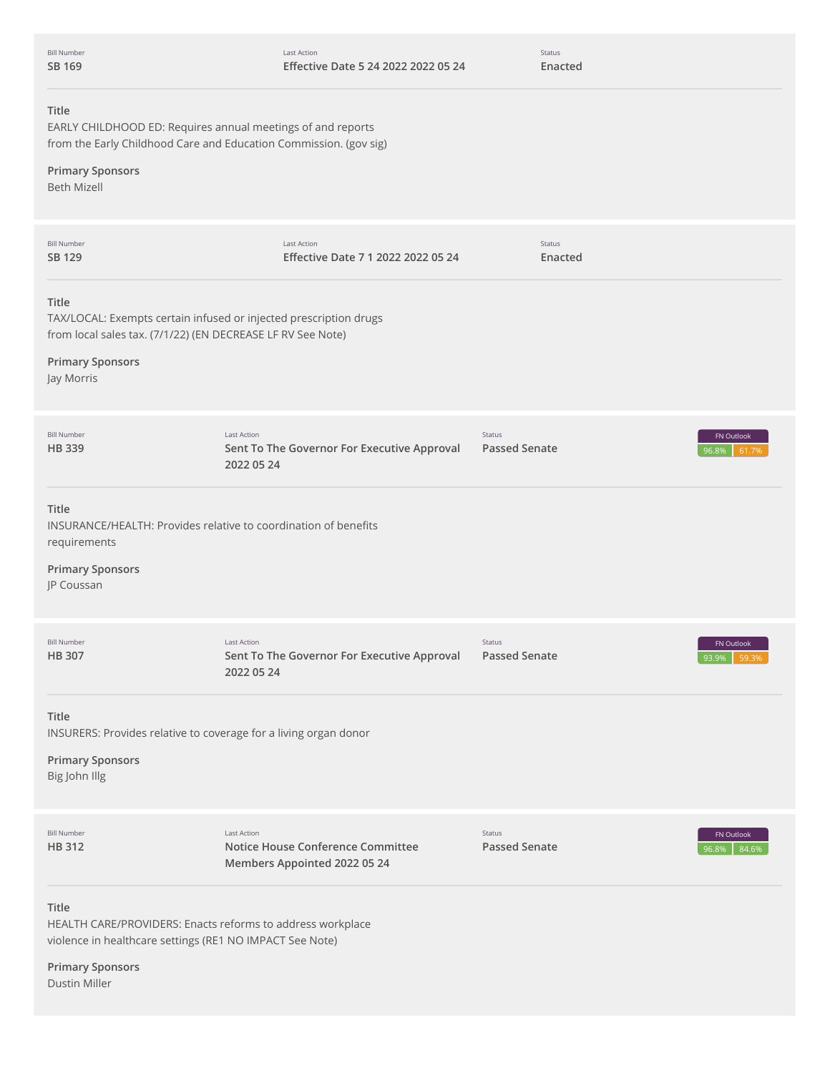Status **Enacted**

| Title<br>EARLY CHILDHOOD ED: Requires annual meetings of and reports<br>from the Early Childhood Care and Education Commission. (gov sig)<br><b>Primary Sponsors</b><br><b>Beth Mizell</b> |                                                                                         |                                       |                                     |
|--------------------------------------------------------------------------------------------------------------------------------------------------------------------------------------------|-----------------------------------------------------------------------------------------|---------------------------------------|-------------------------------------|
| <b>Bill Number</b><br>SB 129                                                                                                                                                               | <b>Last Action</b><br>Effective Date 7 1 2022 2022 05 24                                | Status<br>Enacted                     |                                     |
| Title<br>TAX/LOCAL: Exempts certain infused or injected prescription drugs<br>from local sales tax. (7/1/22) (EN DECREASE LF RV See Note)<br><b>Primary Sponsors</b><br>Jay Morris         |                                                                                         |                                       |                                     |
| <b>Bill Number</b><br><b>HB 339</b>                                                                                                                                                        | <b>Last Action</b><br>Sent To The Governor For Executive Approval<br>2022 05 24         | <b>Status</b><br><b>Passed Senate</b> | <b>FN Outlook</b><br>96.8%<br>61.7% |
| Title<br>INSURANCE/HEALTH: Provides relative to coordination of benefits<br>requirements<br><b>Primary Sponsors</b><br>JP Coussan                                                          |                                                                                         |                                       |                                     |
| <b>Bill Number</b><br><b>HB 307</b>                                                                                                                                                        | <b>Last Action</b><br>Sent To The Governor For Executive Approval<br>2022 05 24         | <b>Status</b><br><b>Passed Senate</b> | FN Outlook<br>93.9%<br>59.39        |
| Title<br>INSURERS: Provides relative to coverage for a living organ donor<br><b>Primary Sponsors</b><br>Big John Illg                                                                      |                                                                                         |                                       |                                     |
| <b>Bill Number</b><br>HB 312                                                                                                                                                               | <b>Last Action</b><br>Notice House Conference Committee<br>Members Appointed 2022 05 24 | Status<br><b>Passed Senate</b>        | <b>FN Outlook</b><br>96.8%<br>84.6% |
| Title<br>HEALTH CARE/PROVIDERS: Enacts reforms to address workplace<br>violence in healthcare settings (RE1 NO IMPACT See Note)<br><b>Primary Sponsors</b><br><b>Dustin Miller</b>         |                                                                                         |                                       |                                     |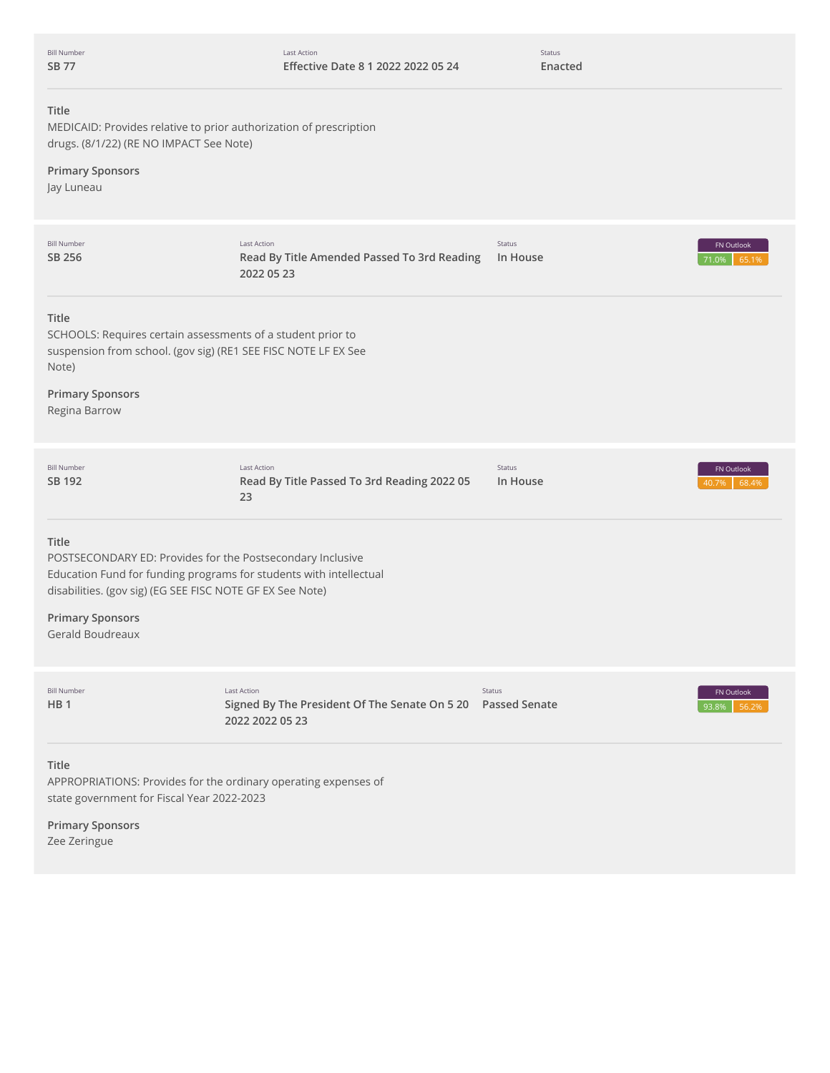| <b>Bill Number</b> |
|--------------------|
| SR 7               |

Status **Enacted**

# **Title**

MEDICAID: Provides relative to prior authorization of prescription drugs. (8/1/22) (RE NO IMPACT See Note)

# **Primary Sponsors**

Jay Luneau

| <b>Bill Number</b><br>SB 256                                                                                                                                                                                                                          | Last Action<br>Read By Title Amended Passed To 3rd Reading<br>2022 05 23                              | Status<br>In House | FN Outlook<br>65.1%<br>71.0% |
|-------------------------------------------------------------------------------------------------------------------------------------------------------------------------------------------------------------------------------------------------------|-------------------------------------------------------------------------------------------------------|--------------------|------------------------------|
| Title<br>SCHOOLS: Requires certain assessments of a student prior to<br>suspension from school. (gov sig) (RE1 SEE FISC NOTE LF EX See<br>Note)<br><b>Primary Sponsors</b><br>Regina Barrow                                                           |                                                                                                       |                    |                              |
| <b>Bill Number</b><br>SB 192                                                                                                                                                                                                                          | Last Action<br>Read By Title Passed To 3rd Reading 2022 05<br>23                                      | Status<br>In House | FN Outlook<br>68.4%<br>40.7% |
| Title<br>POSTSECONDARY ED: Provides for the Postsecondary Inclusive<br>Education Fund for funding programs for students with intellectual<br>disabilities. (gov sig) (EG SEE FISC NOTE GF EX See Note)<br><b>Primary Sponsors</b><br>Gerald Boudreaux |                                                                                                       |                    |                              |
| <b>Bill Number</b><br>HB <sub>1</sub>                                                                                                                                                                                                                 | <b>Last Action</b><br>Signed By The President Of The Senate On 5 20  Passed Senate<br>2022 2022 05 23 | Status             | FN Outlook<br>56.29<br>93.8% |
| Title<br>APPROPRIATIONS: Provides for the ordinary operating expenses of<br>state government for Fiscal Year 2022-2023                                                                                                                                |                                                                                                       |                    |                              |
| <b>Primary Sponsors</b><br>Zee Zeringue                                                                                                                                                                                                               |                                                                                                       |                    |                              |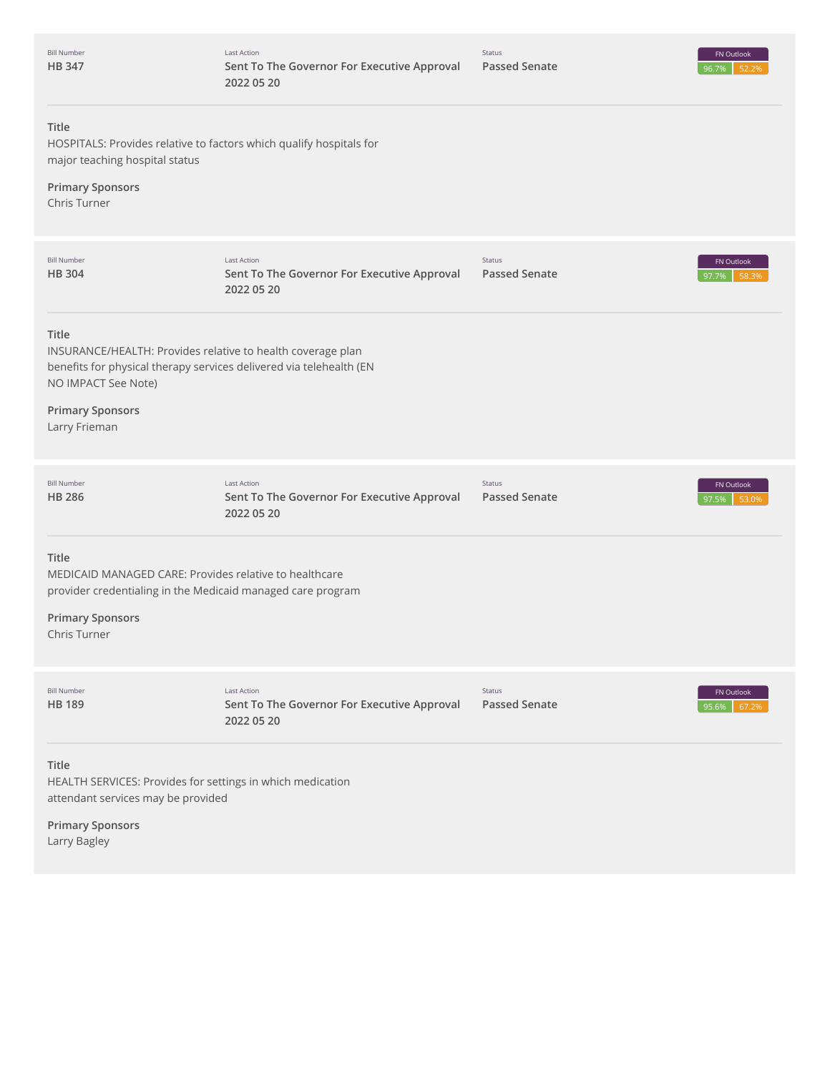| <b>Bill Number</b><br><b>HB347</b>                                                                                                                                        | <b>Last Action</b><br>Sent To The Governor For Executive Approval<br>2022 05 20 | Status<br><b>Passed Senate</b> | FN Outlook<br>96.7%<br>52.2% |
|---------------------------------------------------------------------------------------------------------------------------------------------------------------------------|---------------------------------------------------------------------------------|--------------------------------|------------------------------|
| <b>Title</b><br>HOSPITALS: Provides relative to factors which qualify hospitals for<br>major teaching hospital status                                                     |                                                                                 |                                |                              |
| <b>Primary Sponsors</b><br>Chris Turner                                                                                                                                   |                                                                                 |                                |                              |
| <b>Bill Number</b><br>HB 304                                                                                                                                              | <b>Last Action</b><br>Sent To The Governor For Executive Approval<br>2022 05 20 | Status<br><b>Passed Senate</b> | FN Outlook<br>58.3%<br>97.7% |
| <b>Title</b><br>INSURANCE/HEALTH: Provides relative to health coverage plan<br>benefits for physical therapy services delivered via telehealth (EN<br>NO IMPACT See Note) |                                                                                 |                                |                              |
| <b>Primary Sponsors</b><br>Larry Frieman                                                                                                                                  |                                                                                 |                                |                              |
| <b>Bill Number</b><br>HB 286                                                                                                                                              | <b>Last Action</b><br>Sent To The Governor For Executive Approval<br>2022 05 20 | Status<br><b>Passed Senate</b> | FN Outlook<br>97.5%<br>53.0% |
| <b>Title</b><br>MEDICAID MANAGED CARE: Provides relative to healthcare<br>provider credentialing in the Medicaid managed care program                                     |                                                                                 |                                |                              |
| <b>Primary Sponsors</b><br>Chris Turner                                                                                                                                   |                                                                                 |                                |                              |
| <b>Bill Number</b><br>HB 189                                                                                                                                              | <b>Last Action</b><br>Sent To The Governor For Executive Approval<br>2022 05 20 | Status<br><b>Passed Senate</b> | FN Outlook<br>95.6%<br>67.2% |
| <b>Title</b><br>HEALTH SERVICES: Provides for settings in which medication<br>attendant services may be provided                                                          |                                                                                 |                                |                              |
| <b>Primary Sponsors</b>                                                                                                                                                   |                                                                                 |                                |                              |

Larry Bagley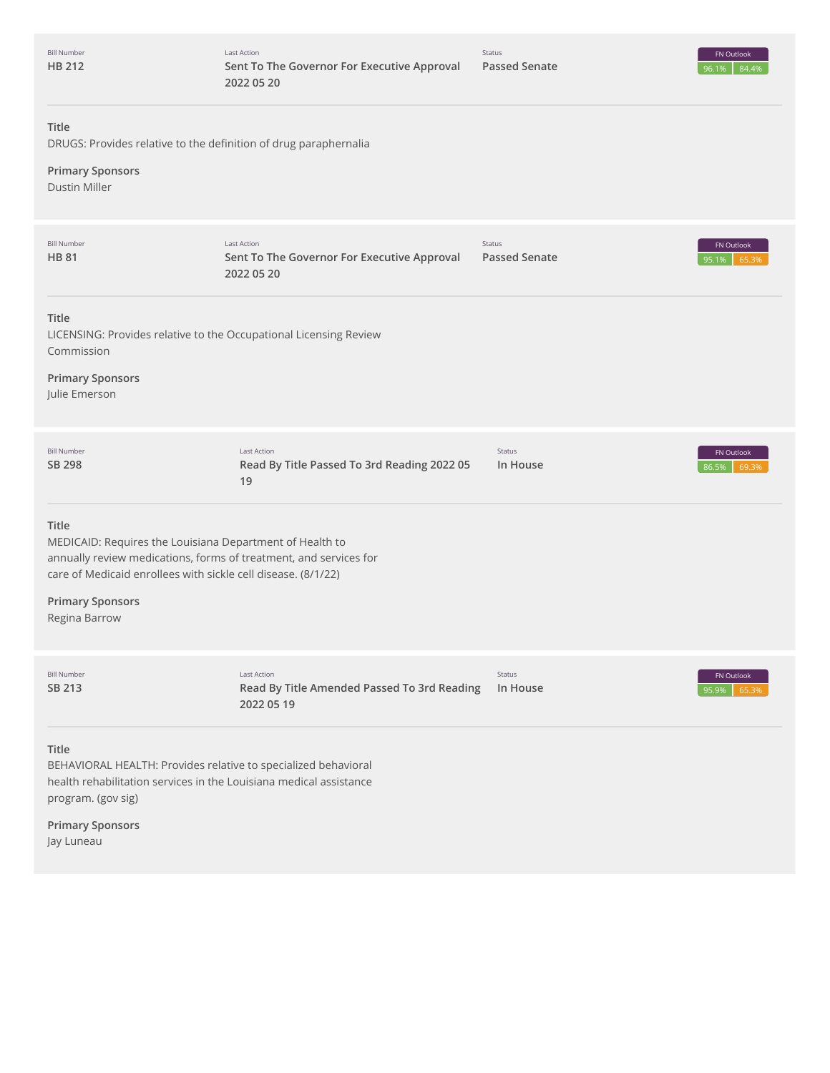| <b>Bill Number</b><br><b>HB 212</b>                                                                                                                                                                     | <b>Last Action</b><br>Sent To The Governor For Executive Approval<br>2022 05 20 | Status<br><b>Passed Senate</b> | FN Outlook<br>84.4%<br>96.1%       |
|---------------------------------------------------------------------------------------------------------------------------------------------------------------------------------------------------------|---------------------------------------------------------------------------------|--------------------------------|------------------------------------|
| Title<br>DRUGS: Provides relative to the definition of drug paraphernalia                                                                                                                               |                                                                                 |                                |                                    |
| <b>Primary Sponsors</b><br><b>Dustin Miller</b>                                                                                                                                                         |                                                                                 |                                |                                    |
| <b>Bill Number</b><br><b>HB 81</b>                                                                                                                                                                      | <b>Last Action</b><br>Sent To The Governor For Executive Approval<br>2022 05 20 | Status<br><b>Passed Senate</b> | FN Outlook<br>95.1%<br>65.39       |
| Title<br>LICENSING: Provides relative to the Occupational Licensing Review<br>Commission                                                                                                                |                                                                                 |                                |                                    |
| <b>Primary Sponsors</b><br>Julie Emerson                                                                                                                                                                |                                                                                 |                                |                                    |
| <b>Bill Number</b><br>SB 298                                                                                                                                                                            | <b>Last Action</b><br>Read By Title Passed To 3rd Reading 2022 05<br>19         | Status<br>In House             | FN Outlook<br>69.3%<br>86.5%       |
| Title<br>MEDICAID: Requires the Louisiana Department of Health to<br>annually review medications, forms of treatment, and services for<br>care of Medicaid enrollees with sickle cell disease. (8/1/22) |                                                                                 |                                |                                    |
| <b>Primary Sponsors</b><br>Regina Barrow                                                                                                                                                                |                                                                                 |                                |                                    |
| <b>Bill Number</b><br>SB 213                                                                                                                                                                            | <b>Last Action</b><br>Read By Title Amended Passed To 3rd Reading<br>2022 05 19 | Status<br>In House             | <b>FN</b> Outlook<br>95.9%<br>65.3 |
| Title<br>BEHAVIORAL HEALTH: Provides relative to specialized behavioral<br>health rehabilitation services in the Louisiana medical assistance<br>program. (gov sig)                                     |                                                                                 |                                |                                    |

**Primary Sponsors** Jay Luneau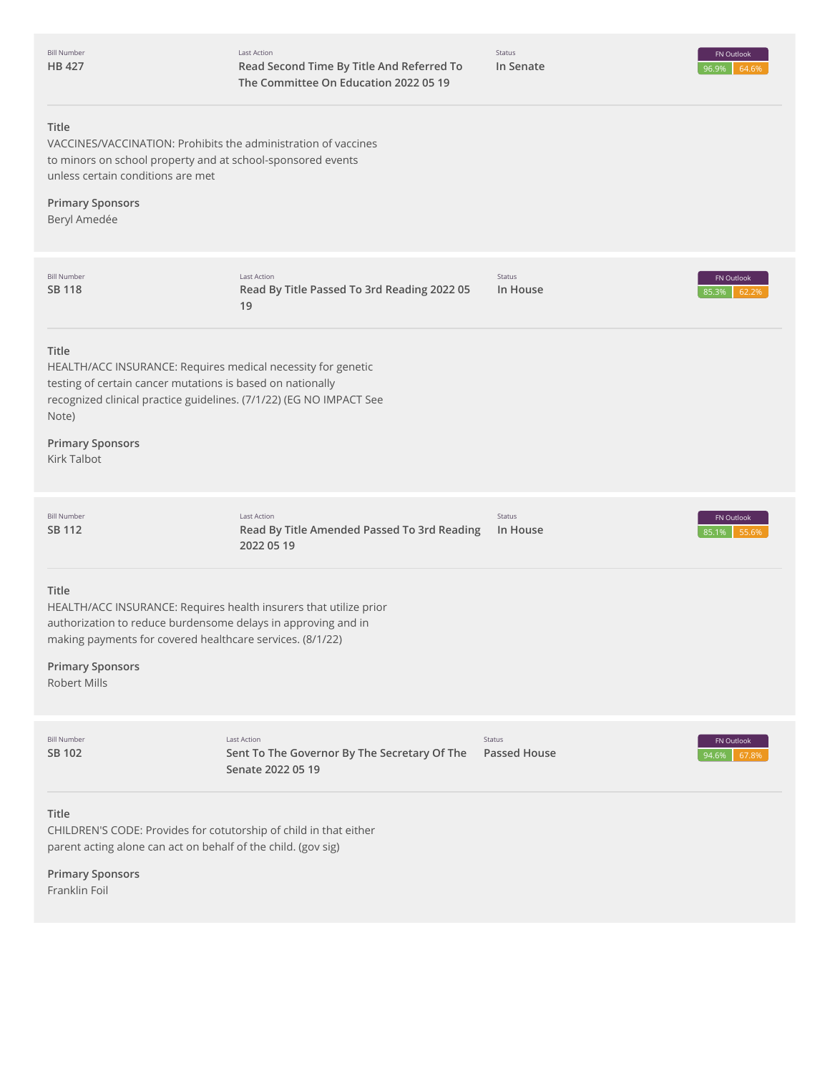| <b>Bill Number</b><br>HB 427                                                                              | Last Action<br>Read Second Time By Title /<br>The Committee On Educatio |
|-----------------------------------------------------------------------------------------------------------|-------------------------------------------------------------------------|
| Title<br>to minors on school property and at school-sponsored events<br>unless certain conditions are met | VACCINES/VACCINATION: Prohibits the administration of vaccines          |
| <b>Primary Sponsors</b><br>Beryl Amedée                                                                   |                                                                         |

| <b>Bill Number</b><br><b>SB 118</b>                                                                                                                                                           | Last Action<br>Read By Title Passed To 3rd Reading 2022 05<br>19                        | Status<br>In House            | FN Outlook<br>85.3%<br>62.29 |
|-----------------------------------------------------------------------------------------------------------------------------------------------------------------------------------------------|-----------------------------------------------------------------------------------------|-------------------------------|------------------------------|
| Title<br>HEALTH/ACC INSURANCE: Requires medical necessity for genetic<br>testing of certain cancer mutations is based on nationally<br>Note)<br><b>Primary Sponsors</b><br><b>Kirk Talbot</b> | recognized clinical practice guidelines. (7/1/22) (EG NO IMPACT See                     |                               |                              |
| <b>Bill Number</b><br><b>SB 112</b>                                                                                                                                                           | <b>Last Action</b><br>Read By Title Amended Passed To 3rd Reading<br>2022 05 19         | Status<br>In House            | FN Outlook<br>55.6%<br>85.1% |
| Title<br>authorization to reduce burdensome delays in approving and in<br>making payments for covered healthcare services. (8/1/22)<br><b>Primary Sponsors</b><br>Robert Mills                | HEALTH/ACC INSURANCE: Requires health insurers that utilize prior                       |                               |                              |
| <b>Bill Number</b><br><b>SB 102</b>                                                                                                                                                           | <b>Last Action</b><br>Sent To The Governor By The Secretary Of The<br>Senate 2022 05 19 | Status<br><b>Passed House</b> | FN Outlook<br>94.6%<br>67.89 |
| <b>Title</b><br>CHILDREN'S CODE: Provides for cotutorship of child in that either<br>parent acting alone can act on behalf of the child. (gov sig)                                            |                                                                                         |                               |                              |

**Primary Sponsors** Franklin Foil

Status **In Senate**

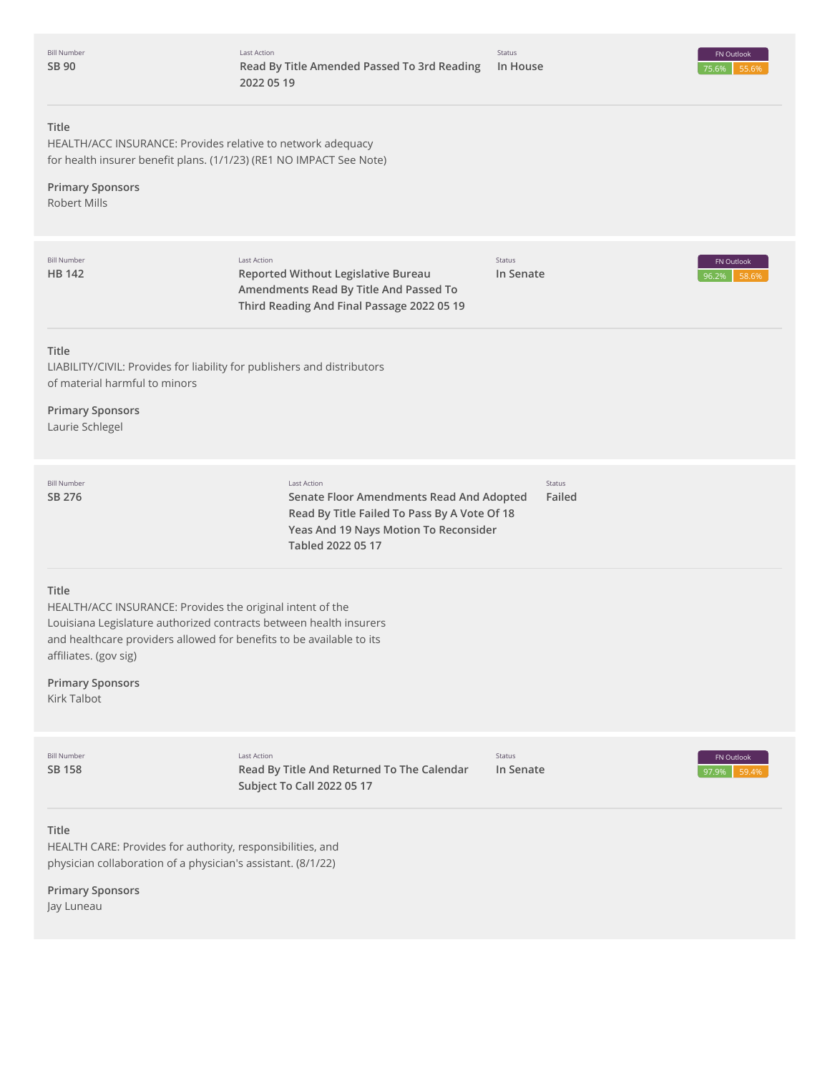Bill Number **[SB](http://app.fiscalnote.com/share/bill?url=c8293cd4748db3c889f2eb03968300a9) 90**



# **Title**

HEALTH/ACC INSURANCE: Provides relative to network adequacy for health insurer benefit plans. (1/1/23) (RE1 NO IMPACT See Note)

# **Primary Sponsors**

Robert Mills

| <b>Bill Number</b><br><b>HB 142</b>                                                                                                                                                                                                                                                 | <b>Last Action</b><br>Reported Without Legislative Bureau<br>Amendments Read By Title And Passed To<br>Third Reading And Final Passage 2022 05 19                            | Status<br>In Senate | FN Outlook<br>96.2%<br>58.69 |  |
|-------------------------------------------------------------------------------------------------------------------------------------------------------------------------------------------------------------------------------------------------------------------------------------|------------------------------------------------------------------------------------------------------------------------------------------------------------------------------|---------------------|------------------------------|--|
| <b>Title</b><br>LIABILITY/CIVIL: Provides for liability for publishers and distributors<br>of material harmful to minors<br><b>Primary Sponsors</b><br>Laurie Schlegel                                                                                                              |                                                                                                                                                                              |                     |                              |  |
| <b>Bill Number</b><br>SB 276                                                                                                                                                                                                                                                        | <b>Last Action</b><br>Senate Floor Amendments Read And Adopted<br>Read By Title Failed To Pass By A Vote Of 18<br>Yeas And 19 Nays Motion To Reconsider<br>Tabled 2022 05 17 | Status<br>Failed    |                              |  |
| Title<br>HEALTH/ACC INSURANCE: Provides the original intent of the<br>Louisiana Legislature authorized contracts between health insurers<br>and healthcare providers allowed for benefits to be available to its<br>affiliates. (gov sig)<br><b>Primary Sponsors</b><br>Kirk Talbot |                                                                                                                                                                              |                     |                              |  |
| <b>Bill Number</b><br><b>SB 158</b>                                                                                                                                                                                                                                                 | <b>Last Action</b><br>Read By Title And Returned To The Calendar<br>Subject To Call 2022 05 17                                                                               | Status<br>In Senate | FN Outlook<br>97.9%<br>59.4% |  |
| Title<br>HEALTH CARE: Provides for authority, responsibilities, and<br>physician collaboration of a physician's assistant. (8/1/22)                                                                                                                                                 |                                                                                                                                                                              |                     |                              |  |

**Primary Sponsors**

Jay Luneau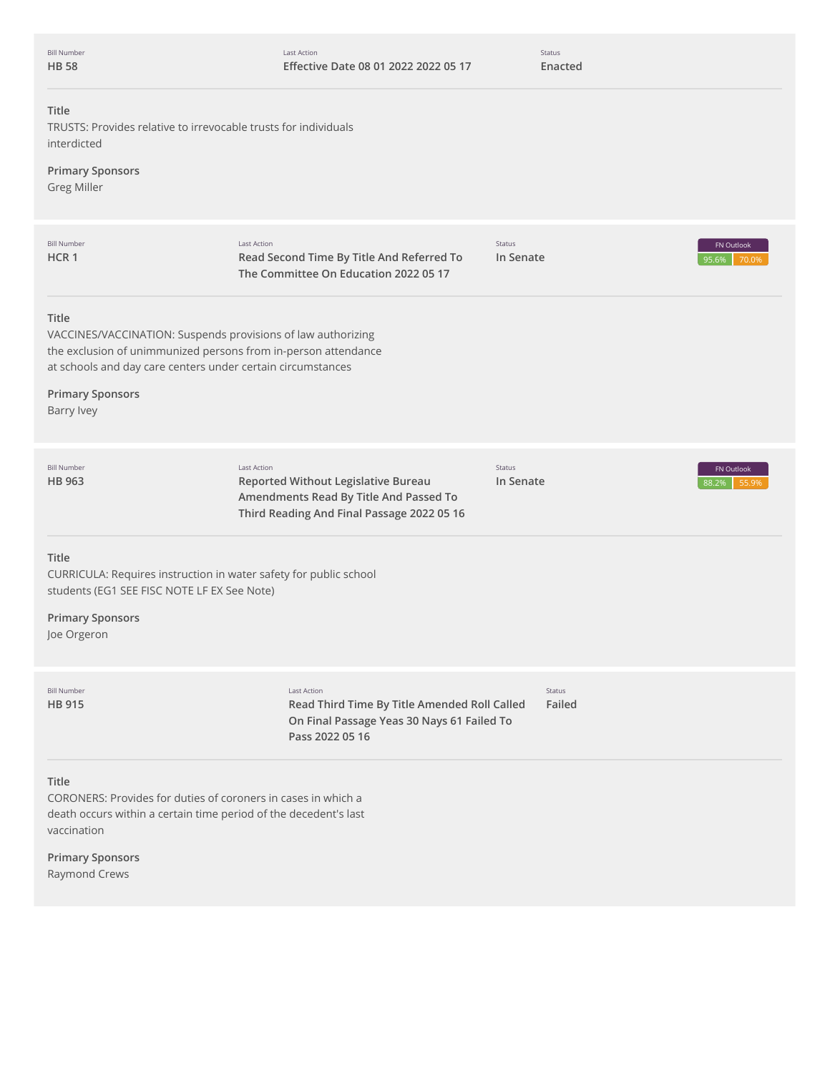| <b>Bill Number</b> |
|--------------------|
| <b>HB 58</b>       |

Status **Enacted**

# **Title**

TRUSTS: Provides relative to irrevocable trusts for individuals interdicted

# **Primary Sponsors**

Greg Miller

| <b>Bill Number</b><br>HCR <sub>1</sub>                                                                                                                                                                                                                 | <b>Last Action</b><br>Read Second Time By Title And Referred To<br>The Committee On Education 2022 05 17                                          | Status<br>In Senate | 95.6%            | <b>FN</b> Outlook<br>70.0% |
|--------------------------------------------------------------------------------------------------------------------------------------------------------------------------------------------------------------------------------------------------------|---------------------------------------------------------------------------------------------------------------------------------------------------|---------------------|------------------|----------------------------|
| <b>Title</b><br>VACCINES/VACCINATION: Suspends provisions of law authorizing<br>the exclusion of unimmunized persons from in-person attendance<br>at schools and day care centers under certain circumstances<br><b>Primary Sponsors</b><br>Barry Ivey |                                                                                                                                                   |                     |                  |                            |
| <b>Bill Number</b><br>HB 963                                                                                                                                                                                                                           | <b>Last Action</b><br>Reported Without Legislative Bureau<br>Amendments Read By Title And Passed To<br>Third Reading And Final Passage 2022 05 16 | Status<br>In Senate | 88.2%            | FN Outlook<br>55.9%        |
| Title<br>CURRICULA: Requires instruction in water safety for public school<br>students (EG1 SEE FISC NOTE LF EX See Note)                                                                                                                              |                                                                                                                                                   |                     |                  |                            |
| <b>Primary Sponsors</b><br>Joe Orgeron                                                                                                                                                                                                                 |                                                                                                                                                   |                     |                  |                            |
| <b>Bill Number</b><br><b>HB 915</b>                                                                                                                                                                                                                    | Last Action<br>Read Third Time By Title Amended Roll Called<br>On Final Passage Yeas 30 Nays 61 Failed To<br>Pass 2022 05 16                      |                     | Status<br>Failed |                            |
| <b>Title</b><br>CORONERS: Provides for duties of coroners in cases in which a<br>death occurs within a certain time period of the decedent's last<br>vaccination                                                                                       |                                                                                                                                                   |                     |                  |                            |
| <b>Primary Sponsors</b><br>Raymond Crews                                                                                                                                                                                                               |                                                                                                                                                   |                     |                  |                            |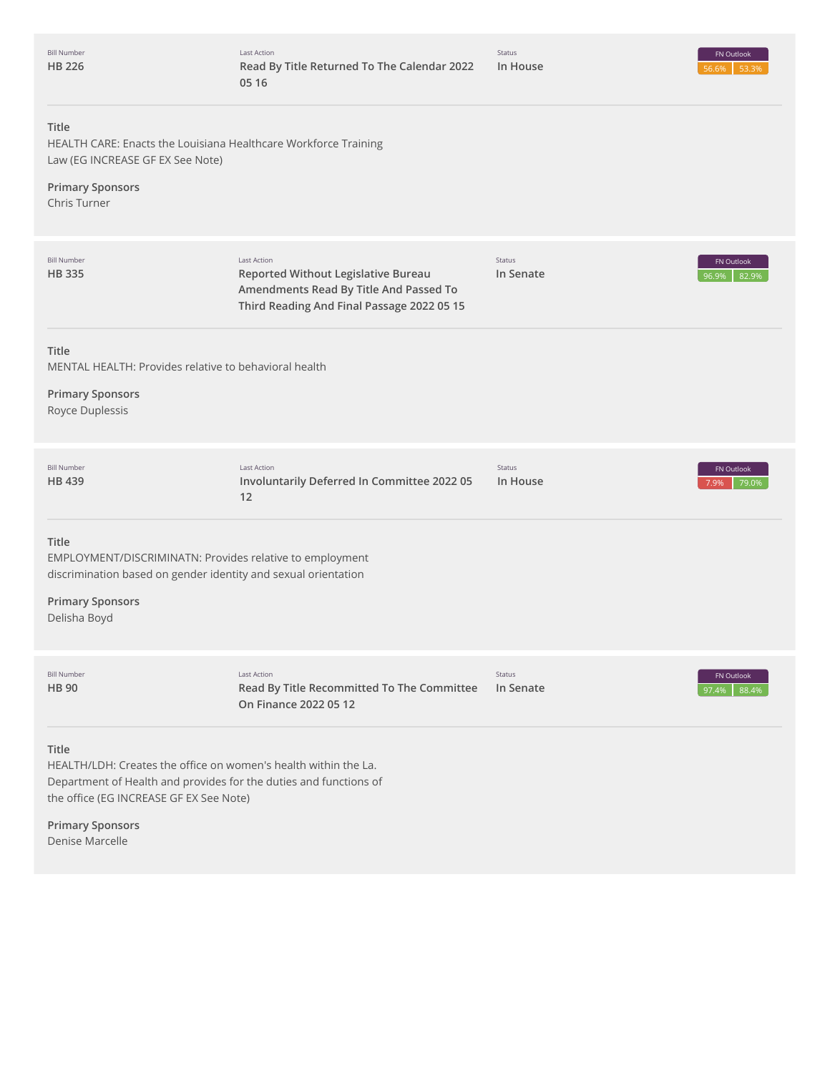| <b>Bill Number</b> |
|--------------------|
| <b>HB 226</b>      |

Status

# **Title**

HEALTH CARE: Enacts the Louisiana Healthcare Workforce Training Law (EG INCREASE GF EX See Note)

# **Primary Sponsors**

Chris Turner

| <b>Bill Number</b><br><b>HB335</b>                                                                                                                                                       | Last Action<br>Reported Without Legislative Bureau<br>Amendments Read By Title And Passed To<br>Third Reading And Final Passage 2022 05 15 | Status<br>In Senate       | FN Outlook<br>96.9%<br>82.9%        |
|------------------------------------------------------------------------------------------------------------------------------------------------------------------------------------------|--------------------------------------------------------------------------------------------------------------------------------------------|---------------------------|-------------------------------------|
| Title<br>MENTAL HEALTH: Provides relative to behavioral health<br><b>Primary Sponsors</b><br>Royce Duplessis                                                                             |                                                                                                                                            |                           |                                     |
| <b>Bill Number</b><br><b>HB439</b>                                                                                                                                                       | Last Action<br>Involuntarily Deferred In Committee 2022 05<br>12                                                                           | <b>Status</b><br>In House | FN Outlook<br>7.9%<br>79.0%         |
| <b>Title</b><br>EMPLOYMENT/DISCRIMINATN: Provides relative to employment<br>discrimination based on gender identity and sexual orientation<br><b>Primary Sponsors</b><br>Delisha Boyd    |                                                                                                                                            |                           |                                     |
| <b>Bill Number</b><br><b>HB 90</b>                                                                                                                                                       | Last Action<br>Read By Title Recommitted To The Committee<br>On Finance 2022 05 12                                                         | Status<br>In Senate       | <b>FN Outlook</b><br>88.4%<br>97.4% |
| Title<br>HEALTH/LDH: Creates the office on women's health within the La.<br>Department of Health and provides for the duties and functions of<br>the office (EG INCREASE GF EX See Note) |                                                                                                                                            |                           |                                     |

**Primary Sponsors** Denise Marcelle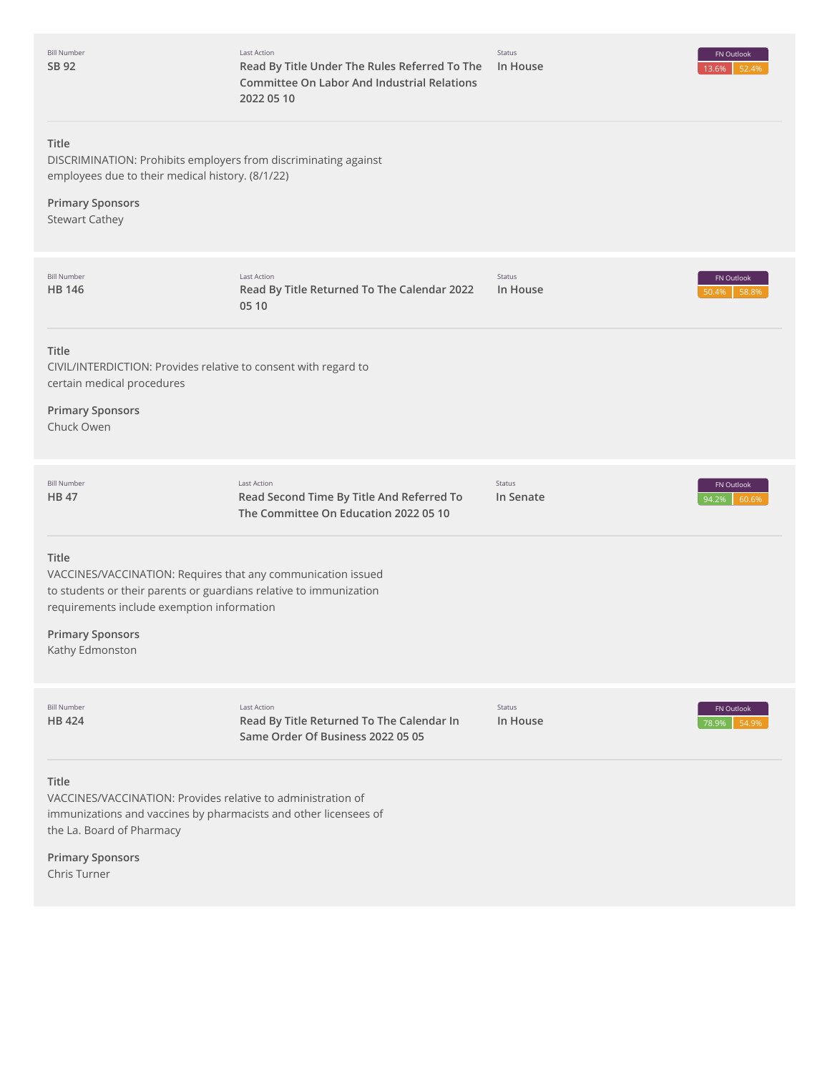| <b>Bill Number</b><br>SB 92                                                                        | <b>Last Action</b><br>Read By Title Under The Rules Referred To The<br><b>Committee On Labor And Industrial Relations</b><br>2022 05 10 | Status<br>In House  | FN Outlook<br>13.6%<br>52.4% |
|----------------------------------------------------------------------------------------------------|-----------------------------------------------------------------------------------------------------------------------------------------|---------------------|------------------------------|
| Title<br>employees due to their medical history. (8/1/22)                                          | DISCRIMINATION: Prohibits employers from discriminating against                                                                         |                     |                              |
| <b>Primary Sponsors</b><br><b>Stewart Cathey</b>                                                   |                                                                                                                                         |                     |                              |
| <b>Bill Number</b><br><b>HB 146</b>                                                                | <b>Last Action</b><br>Read By Title Returned To The Calendar 2022<br>05 10                                                              | Status<br>In House  | FN Outlook<br>58.8%<br>50.4% |
| Title<br>certain medical procedures<br><b>Primary Sponsors</b><br>Chuck Owen                       | CIVIL/INTERDICTION: Provides relative to consent with regard to                                                                         |                     |                              |
| <b>Bill Number</b><br><b>HB47</b>                                                                  | <b>Last Action</b><br>Read Second Time By Title And Referred To<br>The Committee On Education 2022 05 10                                | Status<br>In Senate | FN Outlook<br>60.6%<br>94.2% |
| Title<br>requirements include exemption information<br><b>Primary Sponsors</b><br>Kathy Edmonston  | VACCINES/VACCINATION: Requires that any communication issued<br>to students or their parents or guardians relative to immunization      |                     |                              |
| <b>Bill Number</b><br><b>HB 424</b>                                                                | <b>Last Action</b><br>Read By Title Returned To The Calendar In<br>Same Order Of Business 2022 05 05                                    | Status<br>In House  | FN Outlook<br>78.9%<br>54.9% |
| Title<br>VACCINES/VACCINATION: Provides relative to administration of<br>the La. Board of Pharmacy | immunizations and vaccines by pharmacists and other licensees of                                                                        |                     |                              |
| <b>Primary Sponsors</b><br>Chris Turner                                                            |                                                                                                                                         |                     |                              |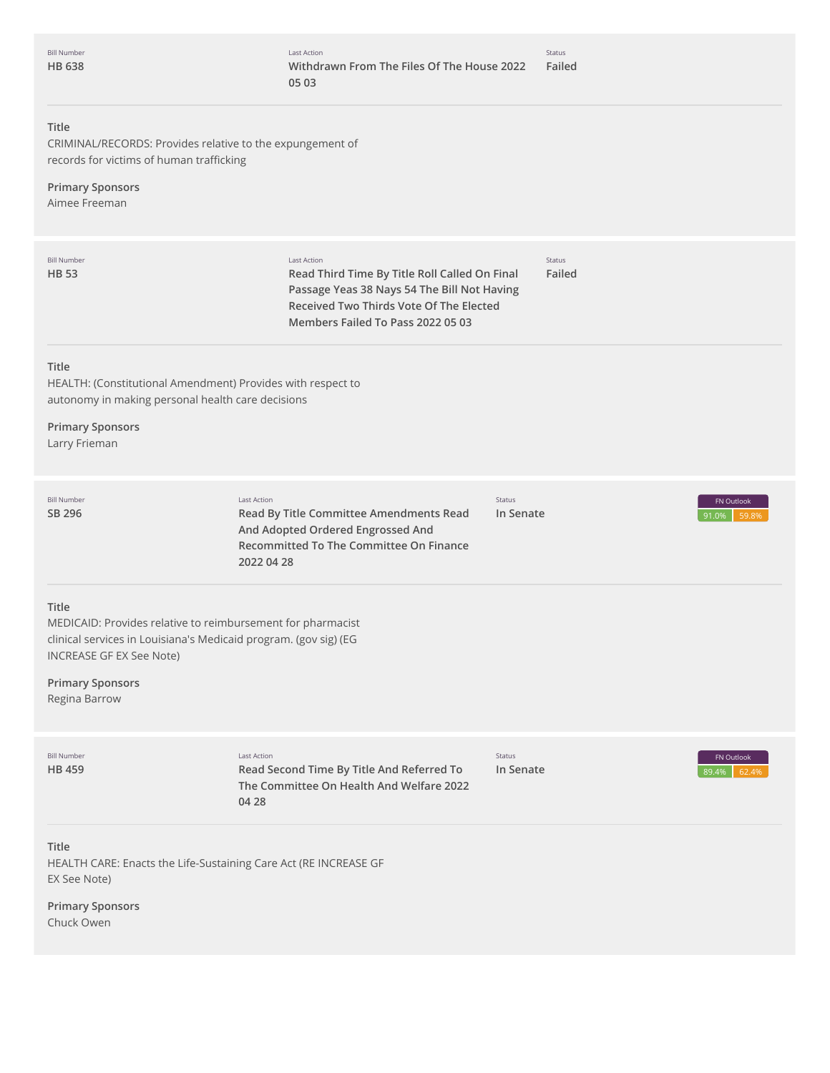# **Title**

CRIMINAL/RECORDS: Provides relative to the expungement of records for victims of human trafficking

# **Primary Sponsors**

Aimee Freeman

| <b>Bill Number</b><br><b>HB 53</b>                                                                                                                                          | Last Action<br>Read Third Time By Title Roll Called On Final<br>Passage Yeas 38 Nays 54 The Bill Not Having<br>Received Two Thirds Vote Of The Elected<br>Members Failed To Pass 2022 05 03 | <b>Status</b><br>Failed |                              |
|-----------------------------------------------------------------------------------------------------------------------------------------------------------------------------|---------------------------------------------------------------------------------------------------------------------------------------------------------------------------------------------|-------------------------|------------------------------|
| Title<br>HEALTH: (Constitutional Amendment) Provides with respect to<br>autonomy in making personal health care decisions<br><b>Primary Sponsors</b>                        |                                                                                                                                                                                             |                         |                              |
| Larry Frieman                                                                                                                                                               |                                                                                                                                                                                             |                         |                              |
| <b>Bill Number</b><br>SB 296                                                                                                                                                | <b>Last Action</b><br>Read By Title Committee Amendments Read<br>And Adopted Ordered Engrossed And<br><b>Recommitted To The Committee On Finance</b><br>2022 04 28                          | Status<br>In Senate     | FN Outlook<br>59.89<br>91.0% |
| Title<br>MEDICAID: Provides relative to reimbursement for pharmacist<br>clinical services in Louisiana's Medicaid program. (gov sig) (EG<br><b>INCREASE GF EX See Note)</b> |                                                                                                                                                                                             |                         |                              |
| <b>Primary Sponsors</b><br>Regina Barrow                                                                                                                                    |                                                                                                                                                                                             |                         |                              |
| <b>Bill Number</b><br><b>HB459</b>                                                                                                                                          | Last Action<br>Read Second Time By Title And Referred To<br>The Committee On Health And Welfare 2022<br>04 28                                                                               | Status<br>In Senate     | FN Outlook<br>89.4%<br>62.49 |
| <b>Title</b>                                                                                                                                                                |                                                                                                                                                                                             |                         |                              |

HEALTH CARE: Enacts the Life-Sustaining Care Act (RE INCREASE GF EX See Note)

**Primary Sponsors** Chuck Owen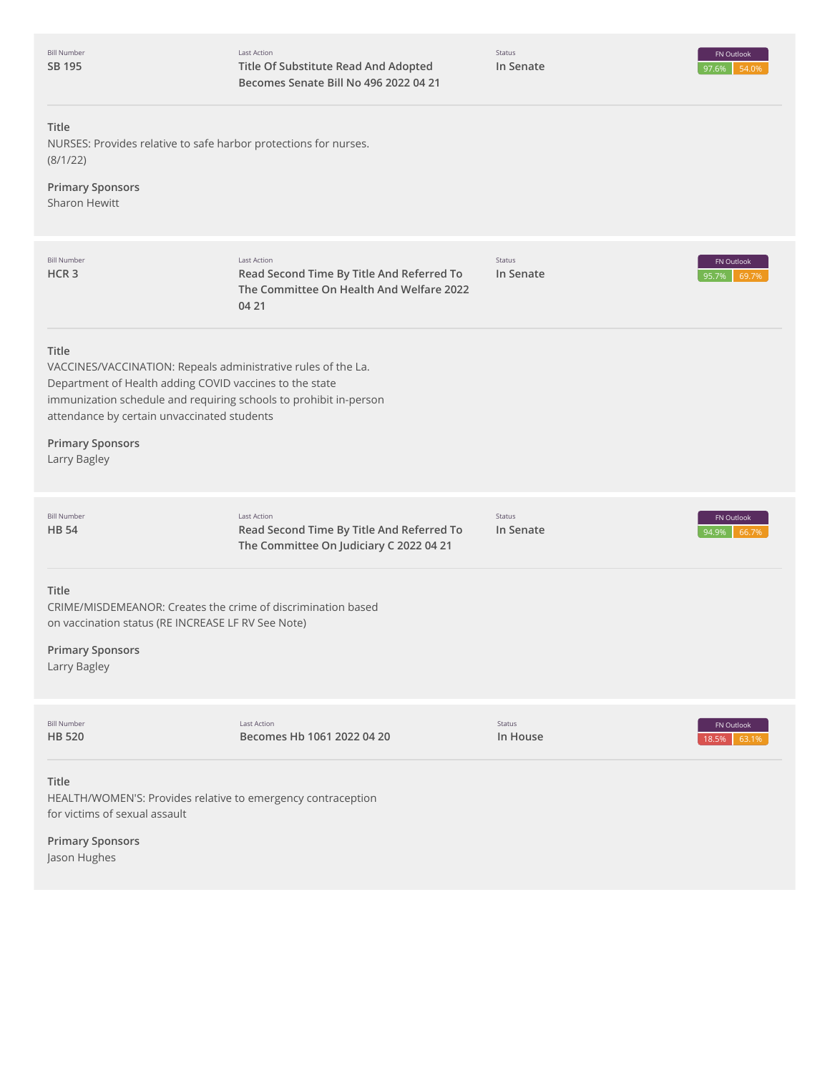| <b>Bill Number</b><br>SB 195                                                                                                                                                                                                                                                                     | Last Action<br>Title Of Substitute Read And Adopted<br>Becomes Senate Bill No 496 2022 04 21                  | Status<br>In Senate | FN Outlook<br>97.6%<br>54.0% |
|--------------------------------------------------------------------------------------------------------------------------------------------------------------------------------------------------------------------------------------------------------------------------------------------------|---------------------------------------------------------------------------------------------------------------|---------------------|------------------------------|
| <b>Title</b><br>NURSES: Provides relative to safe harbor protections for nurses.<br>(8/1/22)<br><b>Primary Sponsors</b><br><b>Sharon Hewitt</b>                                                                                                                                                  |                                                                                                               |                     |                              |
| <b>Bill Number</b><br>HCR 3                                                                                                                                                                                                                                                                      | Last Action<br>Read Second Time By Title And Referred To<br>The Committee On Health And Welfare 2022<br>04 21 | Status<br>In Senate | FN Outlook<br>69.7%<br>95.7% |
| Title<br>VACCINES/VACCINATION: Repeals administrative rules of the La.<br>Department of Health adding COVID vaccines to the state<br>immunization schedule and requiring schools to prohibit in-person<br>attendance by certain unvaccinated students<br><b>Primary Sponsors</b><br>Larry Bagley |                                                                                                               |                     |                              |
| <b>Bill Number</b><br>HB 54                                                                                                                                                                                                                                                                      | Last Action<br>Read Second Time By Title And Referred To<br>The Committee On Judiciary C 2022 04 21           | Status<br>In Senate | FN Outlook<br>94.9%<br>66.79 |
| <b>Title</b><br>CRIME/MISDEMEANOR: Creates the crime of discrimination based<br>on vaccination status (RE INCREASE LF RV See Note)<br><b>Primary Sponsors</b><br>Larry Bagley                                                                                                                    |                                                                                                               |                     |                              |
| <b>Bill Number</b><br>HB 520                                                                                                                                                                                                                                                                     | <b>Last Action</b><br>Becomes Hb 1061 2022 04 20                                                              | Status<br>In House  | FN Outlook<br>18.5%<br>63.1% |
| <b>Title</b><br>HEALTH/WOMEN'S: Provides relative to emergency contraception<br>for victims of sexual assault<br><b>Primary Sponsors</b>                                                                                                                                                         |                                                                                                               |                     |                              |

Jason Hughes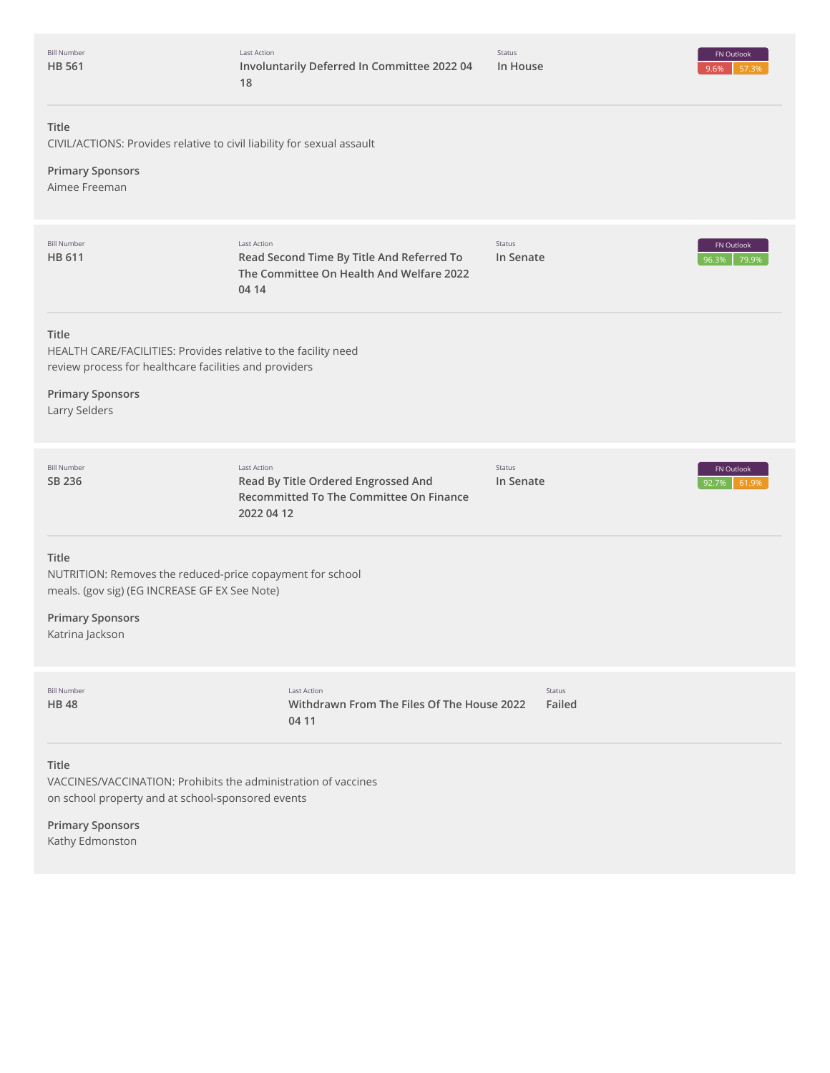| <b>Bill Number</b> |  |
|--------------------|--|
| <b>HB 561</b>      |  |

Status

# **Title**

CIVIL/ACTIONS: Provides relative to civil liability for sexual assault

**Primary Sponsors**

Aimee Freeman

| <b>Bill Number</b><br><b>HB 611</b>                                                                                                                                                  | <b>Last Action</b><br>Read Second Time By Title And Referred To<br>The Committee On Health And Welfare 2022<br>04 14 | Status<br>In Senate     | FN Outlook<br>96.3%<br>79.9% |
|--------------------------------------------------------------------------------------------------------------------------------------------------------------------------------------|----------------------------------------------------------------------------------------------------------------------|-------------------------|------------------------------|
| <b>Title</b><br>HEALTH CARE/FACILITIES: Provides relative to the facility need<br>review process for healthcare facilities and providers<br><b>Primary Sponsors</b><br>Larry Selders |                                                                                                                      |                         |                              |
| <b>Bill Number</b><br>SB 236                                                                                                                                                         | <b>Last Action</b><br>Read By Title Ordered Engrossed And<br>Recommitted To The Committee On Finance<br>2022 04 12   | Status<br>In Senate     | FN Outlook<br>92.7%<br>61.9% |
| <b>Title</b><br>NUTRITION: Removes the reduced-price copayment for school<br>meals. (gov sig) (EG INCREASE GF EX See Note)<br><b>Primary Sponsors</b><br>Katrina Jackson             |                                                                                                                      |                         |                              |
| <b>Bill Number</b><br><b>HB48</b>                                                                                                                                                    | <b>Last Action</b><br>Withdrawn From The Files Of The House 2022<br>04 11                                            | <b>Status</b><br>Failed |                              |
| <b>Title</b><br>VACCINES/VACCINATION: Prohibits the administration of vaccines<br>on school property and at school-sponsored events                                                  |                                                                                                                      |                         |                              |

**Primary Sponsors** Kathy Edmonston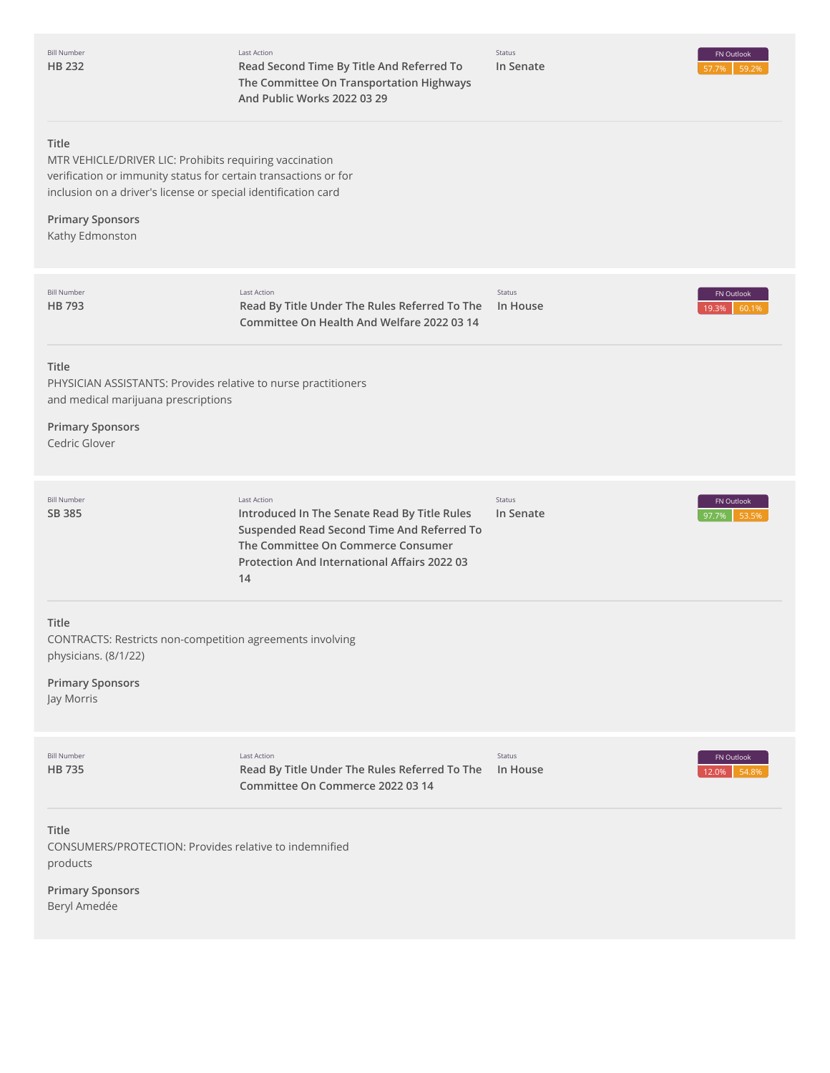Last Action **Read Second Time By Title And Referred To The Committee On Transportation Highways And Public Works 2022 03 29**

Status **In Senate**

#### **Title**

MTR VEHICLE/DRIVER LIC: Prohibits requiring vaccination verification or immunity status for certain transactions or for inclusion on a driver's license or special identification card

# **Primary Sponsors** Kathy Edmonston

| <b>Bill Number</b><br><b>HB793</b>                                                                                                               | <b>Last Action</b><br>Read By Title Under The Rules Referred To The<br>Committee On Health And Welfare 2022 03 14                                                                                            | Status<br>In House  | FN Outlook<br>60.1%<br>19.3% |
|--------------------------------------------------------------------------------------------------------------------------------------------------|--------------------------------------------------------------------------------------------------------------------------------------------------------------------------------------------------------------|---------------------|------------------------------|
| <b>Title</b><br>PHYSICIAN ASSISTANTS: Provides relative to nurse practitioners<br>and medical marijuana prescriptions<br><b>Primary Sponsors</b> |                                                                                                                                                                                                              |                     |                              |
| Cedric Glover                                                                                                                                    |                                                                                                                                                                                                              |                     |                              |
| <b>Bill Number</b><br><b>SB 385</b>                                                                                                              | <b>Last Action</b><br>Introduced In The Senate Read By Title Rules<br>Suspended Read Second Time And Referred To<br>The Committee On Commerce Consumer<br>Protection And International Affairs 2022 03<br>14 | Status<br>In Senate | FN Outlook<br>53.59<br>97.7% |
| Title<br>CONTRACTS: Restricts non-competition agreements involving<br>physicians. (8/1/22)<br><b>Primary Sponsors</b><br>Jay Morris              |                                                                                                                                                                                                              |                     |                              |
| <b>Bill Number</b><br><b>HB 735</b>                                                                                                              | Last Action<br>Read By Title Under The Rules Referred To The<br>Committee On Commerce 2022 03 14                                                                                                             | Status<br>In House  | FN Outlook<br>54.8%<br>12.0% |
| <b>Title</b><br>CONSUMERS/PROTECTION: Provides relative to indemnified<br>products                                                               |                                                                                                                                                                                                              |                     |                              |

**Primary Sponsors** Beryl Amedée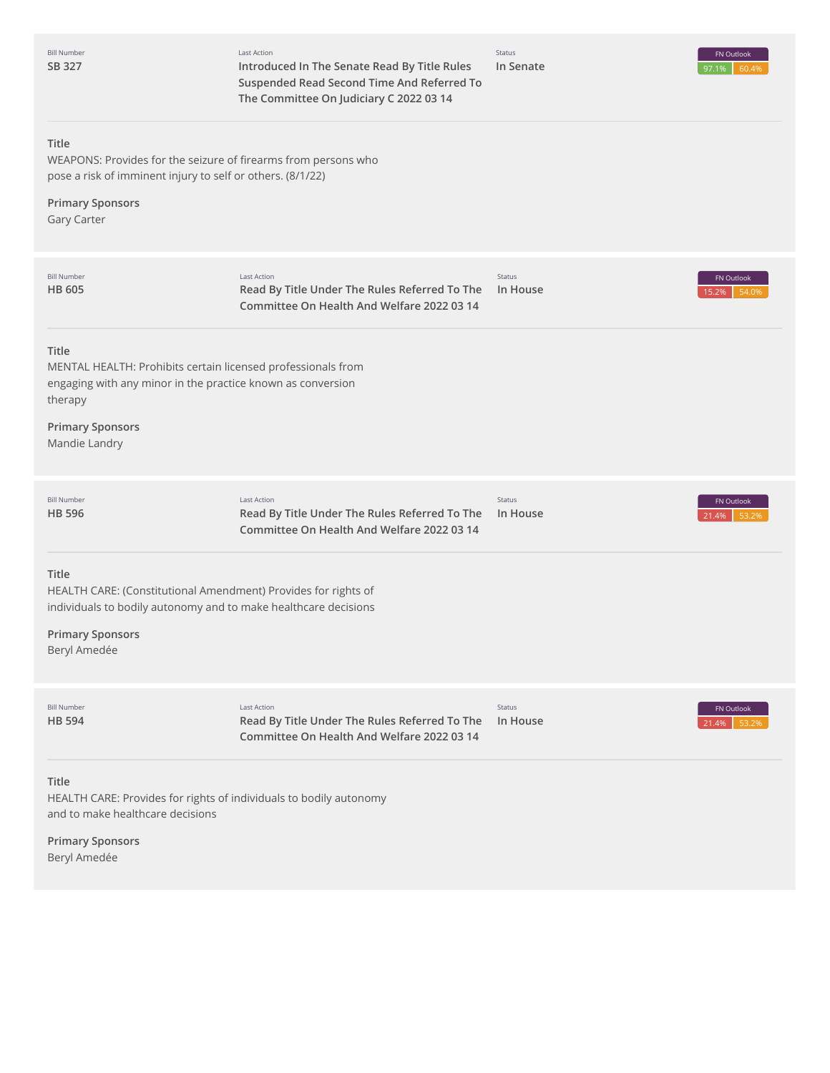| <b>Bill Number</b><br>SB 327                                                                                                                                                                | Last Action<br>Introduced In The Senate Read By Title Rules<br>Suspended Read Second Time And Referred To<br>The Committee On Judiciary C 2022 03 14 | Status<br>In Senate | FN Outlook<br>60.4%<br>97.1% |
|---------------------------------------------------------------------------------------------------------------------------------------------------------------------------------------------|------------------------------------------------------------------------------------------------------------------------------------------------------|---------------------|------------------------------|
| Title<br>WEAPONS: Provides for the seizure of firearms from persons who<br>pose a risk of imminent injury to self or others. (8/1/22)<br><b>Primary Sponsors</b><br>Gary Carter             |                                                                                                                                                      |                     |                              |
| <b>Bill Number</b><br><b>HB 605</b>                                                                                                                                                         | <b>Last Action</b><br>Read By Title Under The Rules Referred To The<br>Committee On Health And Welfare 2022 03 14                                    | Status<br>In House  | FN Outlook<br>54.0%<br>15.2% |
| Title<br>MENTAL HEALTH: Prohibits certain licensed professionals from<br>engaging with any minor in the practice known as conversion<br>therapy<br><b>Primary Sponsors</b><br>Mandie Landry |                                                                                                                                                      |                     |                              |
| <b>Bill Number</b><br><b>HB 596</b>                                                                                                                                                         | Last Action<br>Read By Title Under The Rules Referred To The<br>Committee On Health And Welfare 2022 03 14                                           | Status<br>In House  | FN Outlook<br>21.4%<br>53.29 |
| Title<br>HEALTH CARE: (Constitutional Amendment) Provides for rights of<br>individuals to bodily autonomy and to make healthcare decisions<br><b>Primary Sponsors</b><br>Beryl Amedée       |                                                                                                                                                      |                     |                              |
| <b>Bill Number</b><br><b>HB 594</b>                                                                                                                                                         | Last Action<br>Read By Title Under The Rules Referred To The<br>Committee On Health And Welfare 2022 03 14                                           | Status<br>In House  | FN Outlook<br>21.4%<br>53.2% |
| Title<br>HEALTH CARE: Provides for rights of individuals to bodily autonomy<br>and to make healthcare decisions<br><b>Primary Sponsors</b><br>Beryl Amedée                                  |                                                                                                                                                      |                     |                              |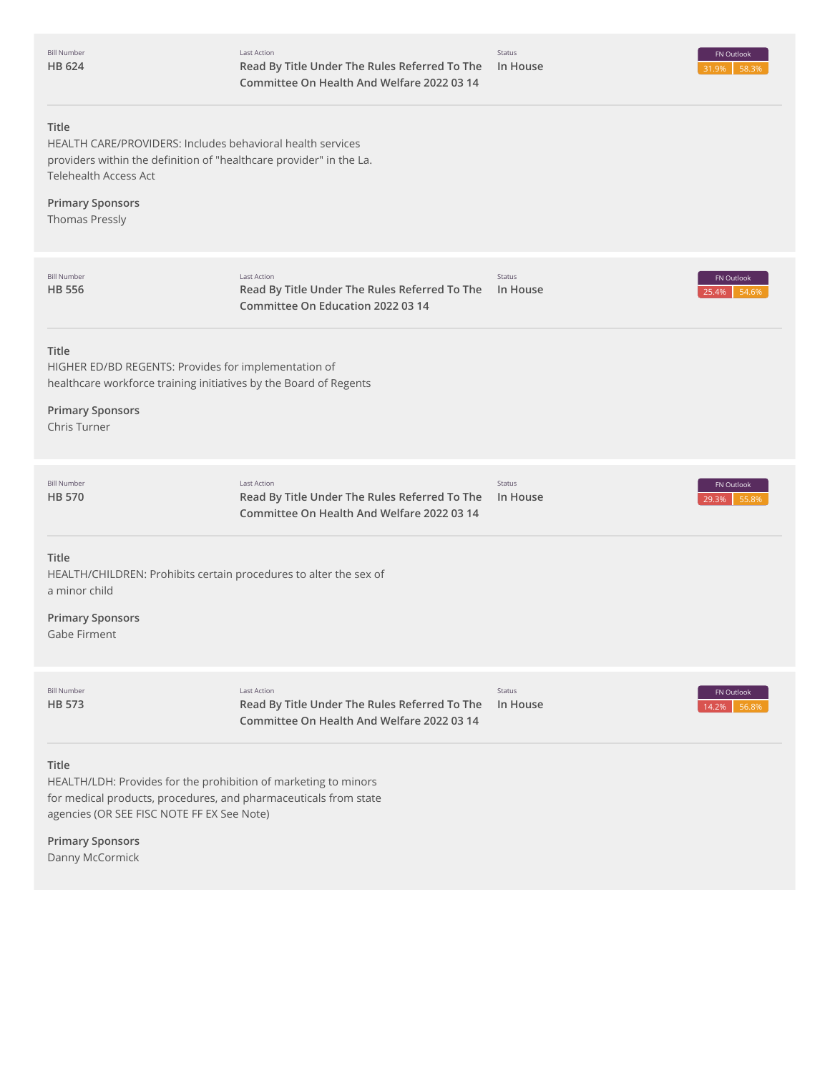| <b>Bill Number</b><br>HB 624                                                                                                                                                                                          | Last Action<br>Read By Title Under The Rules Referred To The<br>Committee On Health And Welfare 2022 03 14        | Status<br>In House | FN Outlook<br>31.9%<br>58.3% |
|-----------------------------------------------------------------------------------------------------------------------------------------------------------------------------------------------------------------------|-------------------------------------------------------------------------------------------------------------------|--------------------|------------------------------|
| Title<br>HEALTH CARE/PROVIDERS: Includes behavioral health services<br>providers within the definition of "healthcare provider" in the La.<br>Telehealth Access Act<br><b>Primary Sponsors</b><br>Thomas Pressly      |                                                                                                                   |                    |                              |
| <b>Bill Number</b><br>HB 556                                                                                                                                                                                          | Last Action<br>Read By Title Under The Rules Referred To The<br>Committee On Education 2022 03 14                 | Status<br>In House | FN Outlook<br>25.4%<br>54.6% |
| Title<br>HIGHER ED/BD REGENTS: Provides for implementation of<br>healthcare workforce training initiatives by the Board of Regents<br><b>Primary Sponsors</b><br><b>Chris Turner</b>                                  |                                                                                                                   |                    |                              |
| <b>Bill Number</b><br>HB 570                                                                                                                                                                                          | Last Action<br>Read By Title Under The Rules Referred To The<br>Committee On Health And Welfare 2022 03 14        | Status<br>In House | FN Outlook<br>29.3%<br>55.8% |
| Title<br>HEALTH/CHILDREN: Prohibits certain procedures to alter the sex of<br>a minor child<br><b>Primary Sponsors</b><br>Gabe Firment                                                                                |                                                                                                                   |                    |                              |
| <b>Bill Number</b><br>HB 573                                                                                                                                                                                          | <b>Last Action</b><br>Read By Title Under The Rules Referred To The<br>Committee On Health And Welfare 2022 03 14 | Status<br>In House | FN Outlook<br>14.2%<br>56.8% |
| Title<br>HEALTH/LDH: Provides for the prohibition of marketing to minors<br>for medical products, procedures, and pharmaceuticals from state<br>agencies (OR SEE FISC NOTE FF EX See Note)<br><b>Primary Sponsors</b> |                                                                                                                   |                    |                              |

Danny McCormick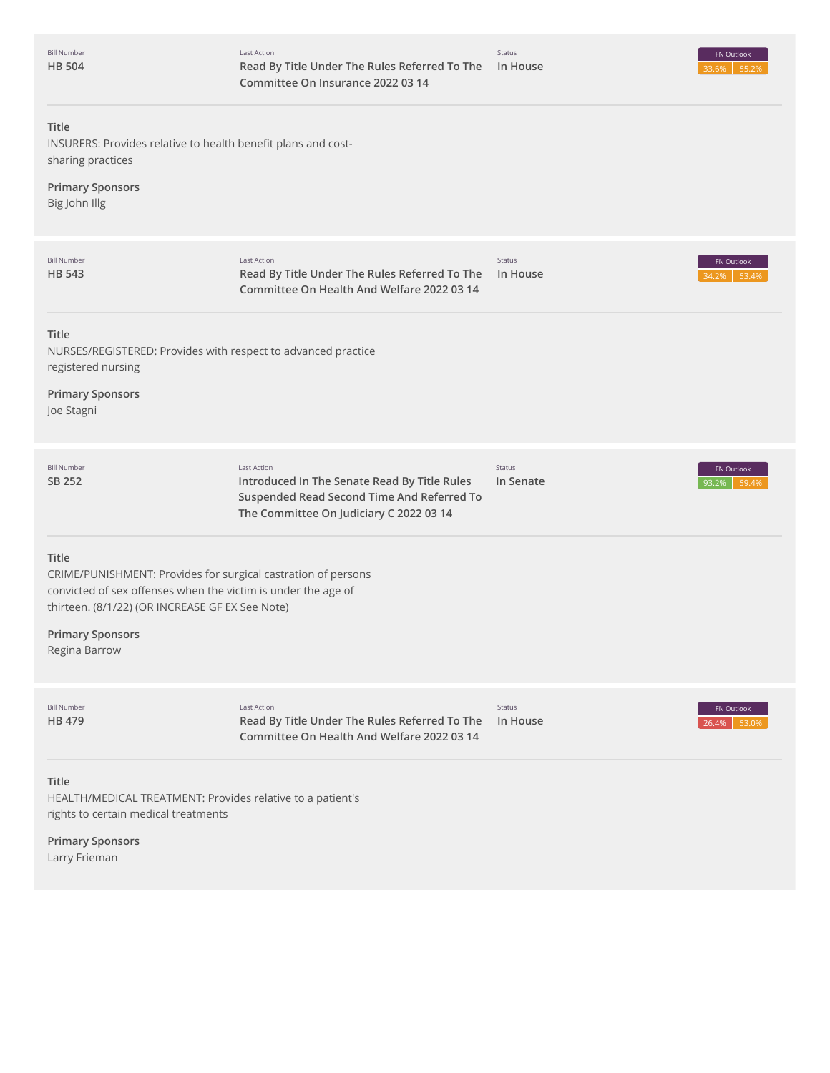| <b>Bill Number</b> |
|--------------------|
| <b>HB 504</b>      |



# **Title** INSURERS: Provides relative to health benefit plans and costsharing practices **Primary Sponsors** Big John Illg 34.2% 53.4% **Title** NURSES/REGISTERED: Provides with respect to advanced practice registered nursing **Primary Sponsors** Joe Stagni 93.2% 59.4% **Title** CRIME/PUNISHMENT: Provides for surgical castration of persons convicted of sex offenses when the victim is under the age of thirteen. (8/1/22) (OR INCREASE GF EX See Note) **Primary Sponsors** Regina Barrow 26.4% 53.0% **Title** HEALTH/MEDICAL TREATMENT: Provides relative to a patient's rights to certain medical treatments **Primary Sponsors** Larry Frieman Bill Number **HB [543](http://app.fiscalnote.com/share/bill?url=79dcf01cf8b37dcd6ac609130e61e793)** Last Action **Read By Title Under The Rules Referred To The Committee On Health And Welfare 2022 03 14** Status **In House** FN Outlook Bill Number **SB [252](http://app.fiscalnote.com/share/bill?url=8dd022e271512e2de56d9956b03443f2)** Last Action **Introduced In The Senate Read By Title Rules Suspended Read Second Time And Referred To The Committee On Judiciary C 2022 03 14** Status **In Senate** FN Outlook Bill Number **HB [479](http://app.fiscalnote.com/share/bill?url=11d9de9106fd2f470d5a697bb8df4c39)** Last Action **Read By Title Under The Rules Referred To The In House Committee On Health And Welfare 2022 03 14** Status FN Outlook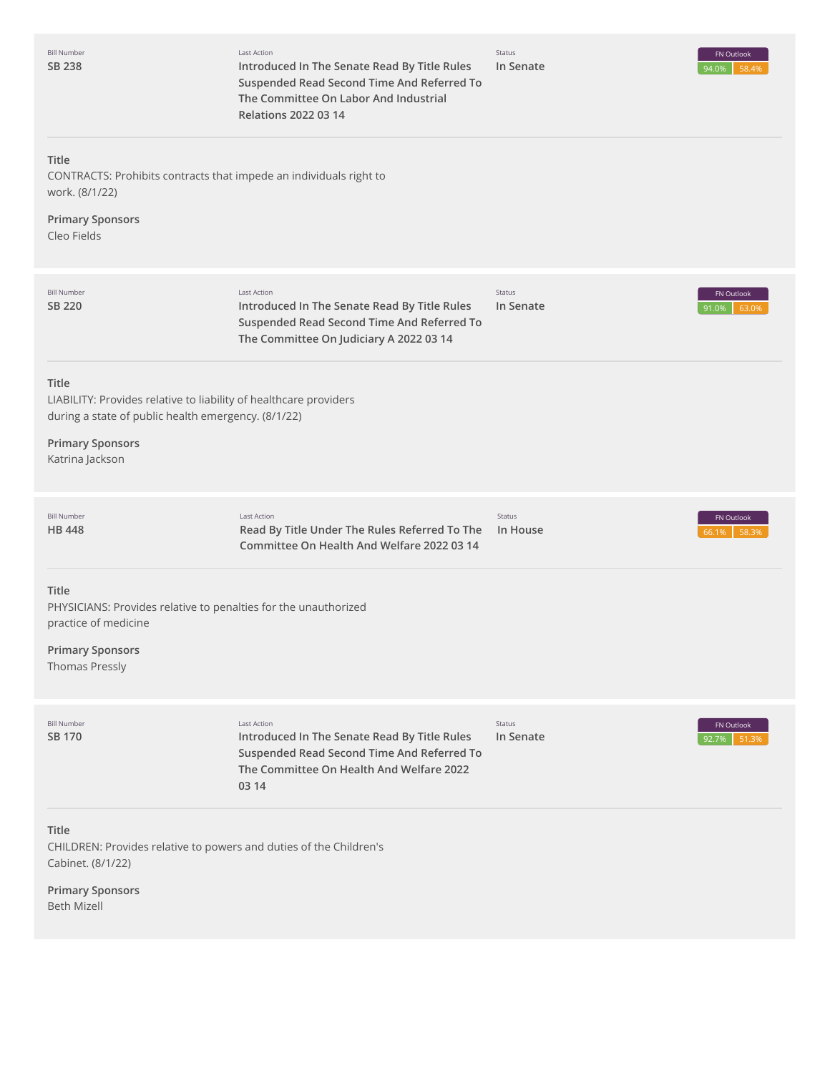| <b>Bill Number</b><br>SB 238                                                                                                                                                    | <b>Last Action</b><br>Introduced In The Senate Read By Title Rules<br>Suspended Read Second Time And Referred To<br>The Committee On Labor And Industrial<br><b>Relations 2022 03 14</b> | Status<br>In Senate | FN Outlook<br>94.0%<br>58.4% |
|---------------------------------------------------------------------------------------------------------------------------------------------------------------------------------|------------------------------------------------------------------------------------------------------------------------------------------------------------------------------------------|---------------------|------------------------------|
| Title<br>CONTRACTS: Prohibits contracts that impede an individuals right to<br>work. (8/1/22)<br><b>Primary Sponsors</b><br>Cleo Fields                                         |                                                                                                                                                                                          |                     |                              |
| <b>Bill Number</b><br>SB 220                                                                                                                                                    | <b>Last Action</b><br>Introduced In The Senate Read By Title Rules<br>Suspended Read Second Time And Referred To<br>The Committee On Judiciary A 2022 03 14                              | Status<br>In Senate | FN Outlook<br>91.0%<br>63.09 |
| Title<br>LIABILITY: Provides relative to liability of healthcare providers<br>during a state of public health emergency. (8/1/22)<br><b>Primary Sponsors</b><br>Katrina Jackson |                                                                                                                                                                                          |                     |                              |
| <b>Bill Number</b><br><b>HB 448</b>                                                                                                                                             | <b>Last Action</b><br>Read By Title Under The Rules Referred To The<br>Committee On Health And Welfare 2022 03 14                                                                        | Status<br>In House  | FN Outlook<br>58.3%<br>56.1% |
| Title<br>PHYSICIANS: Provides relative to penalties for the unauthorized<br>practice of medicine<br><b>Primary Sponsors</b><br>Thomas Pressly                                   |                                                                                                                                                                                          |                     |                              |
| <b>Bill Number</b><br>SB 170                                                                                                                                                    | <b>Last Action</b><br>Introduced In The Senate Read By Title Rules<br>Suspended Read Second Time And Referred To<br>The Committee On Health And Welfare 2022<br>03 14                    | Status<br>In Senate | FN Outlook<br>92.7%<br>51.39 |
| Title<br>CHILDREN: Provides relative to powers and duties of the Children's<br>Cabinet. (8/1/22)                                                                                |                                                                                                                                                                                          |                     |                              |
| <b>Primary Sponsors</b><br><b>Beth Mizell</b>                                                                                                                                   |                                                                                                                                                                                          |                     |                              |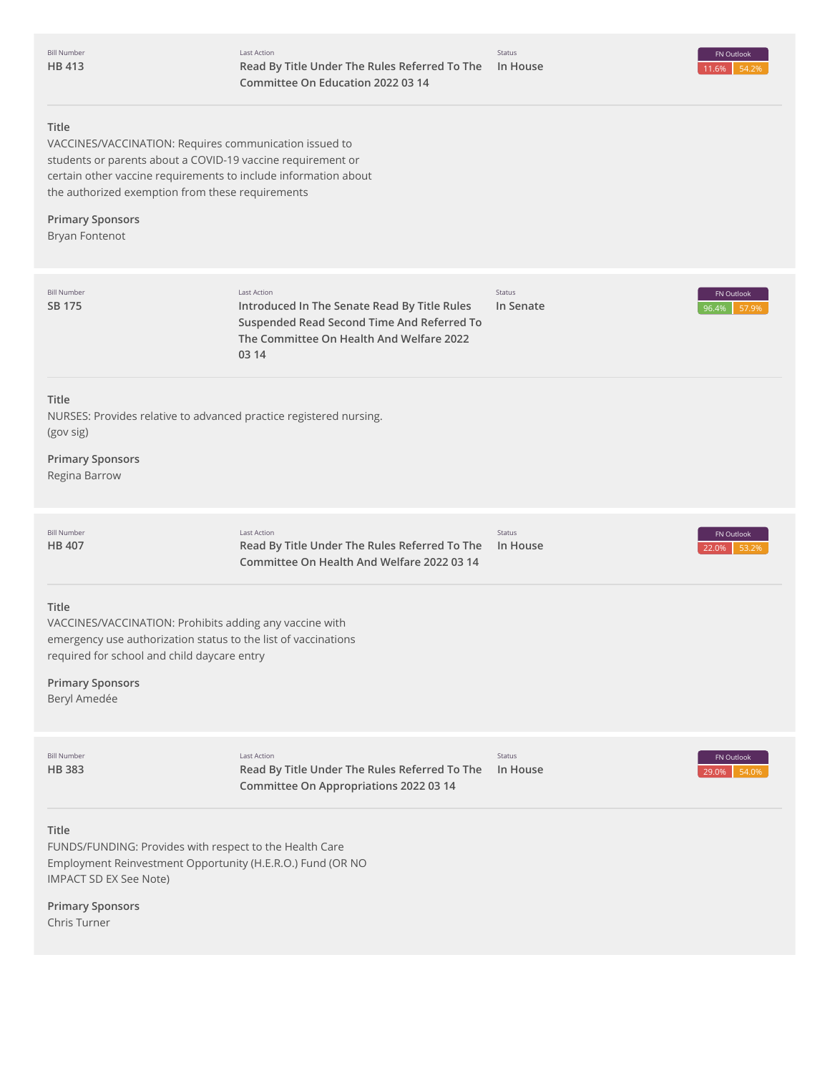# **Title**

VACCINES/VACCINATION: Requires communication issued to students or parents about a COVID-19 vaccine requirement or certain other vaccine requirements to include information about the authorized exemption from these requirements

# **Primary Sponsors**

Bryan Fontenot

| <b>Bill Number</b><br>SB 175                                                                                                                                                                                                 | <b>Last Action</b><br>Introduced In The Senate Read By Title Rules<br>Suspended Read Second Time And Referred To<br>The Committee On Health And Welfare 2022<br>03 14 | Status<br>In Senate | FN Outlook<br>96.4%<br>57.9% |
|------------------------------------------------------------------------------------------------------------------------------------------------------------------------------------------------------------------------------|-----------------------------------------------------------------------------------------------------------------------------------------------------------------------|---------------------|------------------------------|
| <b>Title</b><br>(gov sig)<br><b>Primary Sponsors</b><br>Regina Barrow                                                                                                                                                        | NURSES: Provides relative to advanced practice registered nursing.                                                                                                    |                     |                              |
| <b>Bill Number</b><br><b>HB 407</b>                                                                                                                                                                                          | <b>Last Action</b><br>Read By Title Under The Rules Referred To The<br>Committee On Health And Welfare 2022 03 14                                                     | Status<br>In House  | FN Outlook<br>22.0%<br>53.2% |
| Title<br>VACCINES/VACCINATION: Prohibits adding any vaccine with<br>emergency use authorization status to the list of vaccinations<br>required for school and child daycare entry<br><b>Primary Sponsors</b><br>Beryl Amedée |                                                                                                                                                                       |                     |                              |
| <b>Bill Number</b><br><b>HB383</b>                                                                                                                                                                                           | Last Action<br>Read By Title Under The Rules Referred To The<br>Committee On Appropriations 2022 03 14                                                                | Status<br>In House  | FN Outlook<br>54.0%<br>29.0% |
| Title<br>FUNDS/FUNDING: Provides with respect to the Health Care<br>Employment Reinvestment Opportunity (H.E.R.O.) Fund (OR NO<br><b>IMPACT SD EX See Note)</b><br><b>Primary Sponsors</b><br>Chris Turner                   |                                                                                                                                                                       |                     |                              |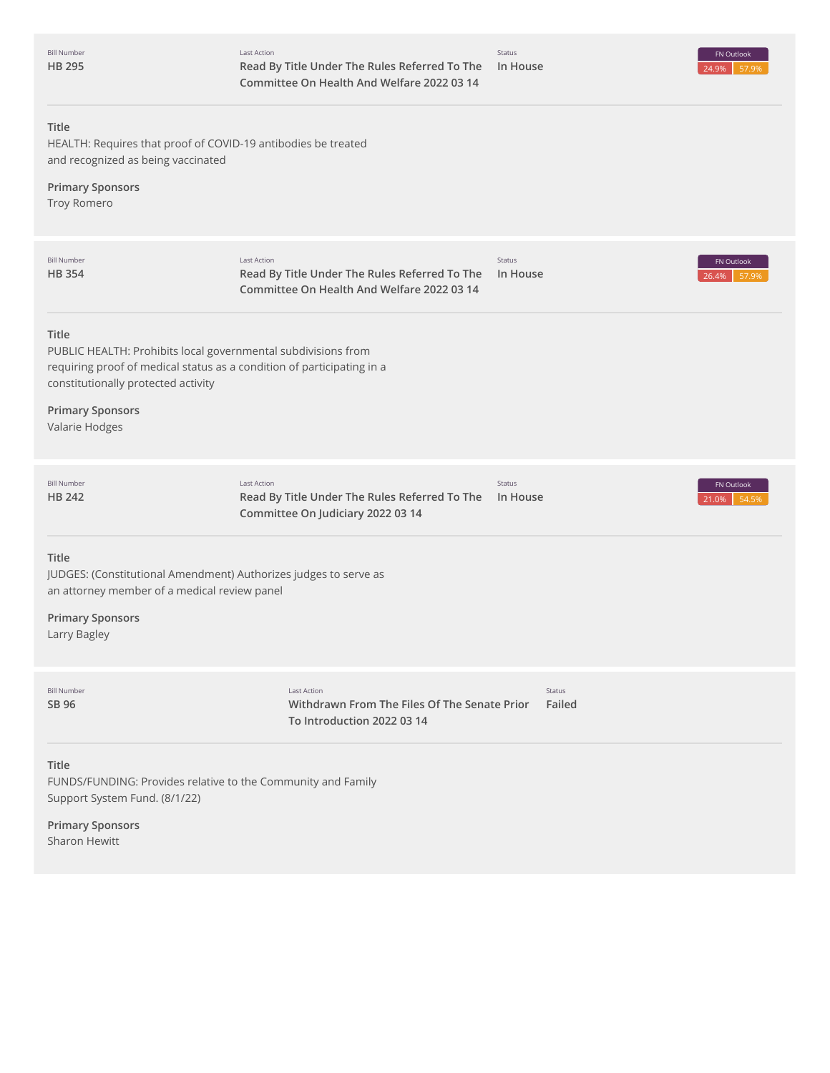|               | <b>Bill Number</b> |
|---------------|--------------------|
| <b>HB 295</b> |                    |

Status



# **Title**

HEALTH: Requires that proof of COVID-19 antibodies be treated and recognized as being vaccinated

# **Primary Sponsors**

Troy Romero

| <b>Bill Number</b><br><b>HB354</b>                                                                                                                                                             | <b>Last Action</b><br>Read By Title Under The Rules Referred To The<br>Committee On Health And Welfare 2022 03 14 | Status<br>In House |                  | FN Outlook<br>26.4%<br>57.9% |
|------------------------------------------------------------------------------------------------------------------------------------------------------------------------------------------------|-------------------------------------------------------------------------------------------------------------------|--------------------|------------------|------------------------------|
| <b>Title</b><br>PUBLIC HEALTH: Prohibits local governmental subdivisions from<br>requiring proof of medical status as a condition of participating in a<br>constitutionally protected activity |                                                                                                                   |                    |                  |                              |
| <b>Primary Sponsors</b><br>Valarie Hodges                                                                                                                                                      |                                                                                                                   |                    |                  |                              |
| <b>Bill Number</b><br><b>HB 242</b>                                                                                                                                                            | <b>Last Action</b><br>Read By Title Under The Rules Referred To The<br>Committee On Judiciary 2022 03 14          | Status<br>In House |                  | FN Outlook<br>54.5%<br>21.0% |
| Title<br>JUDGES: (Constitutional Amendment) Authorizes judges to serve as<br>an attorney member of a medical review panel                                                                      |                                                                                                                   |                    |                  |                              |
| <b>Primary Sponsors</b><br>Larry Bagley                                                                                                                                                        |                                                                                                                   |                    |                  |                              |
| <b>Bill Number</b><br>SB 96                                                                                                                                                                    | <b>Last Action</b><br>Withdrawn From The Files Of The Senate Prior<br>To Introduction 2022 03 14                  |                    | Status<br>Failed |                              |
| Title<br>FUNDS/FUNDING: Provides relative to the Community and Family<br>Support System Fund. (8/1/22)                                                                                         |                                                                                                                   |                    |                  |                              |
| <b>Primary Sponsors</b><br><b>Sharon Hewitt</b>                                                                                                                                                |                                                                                                                   |                    |                  |                              |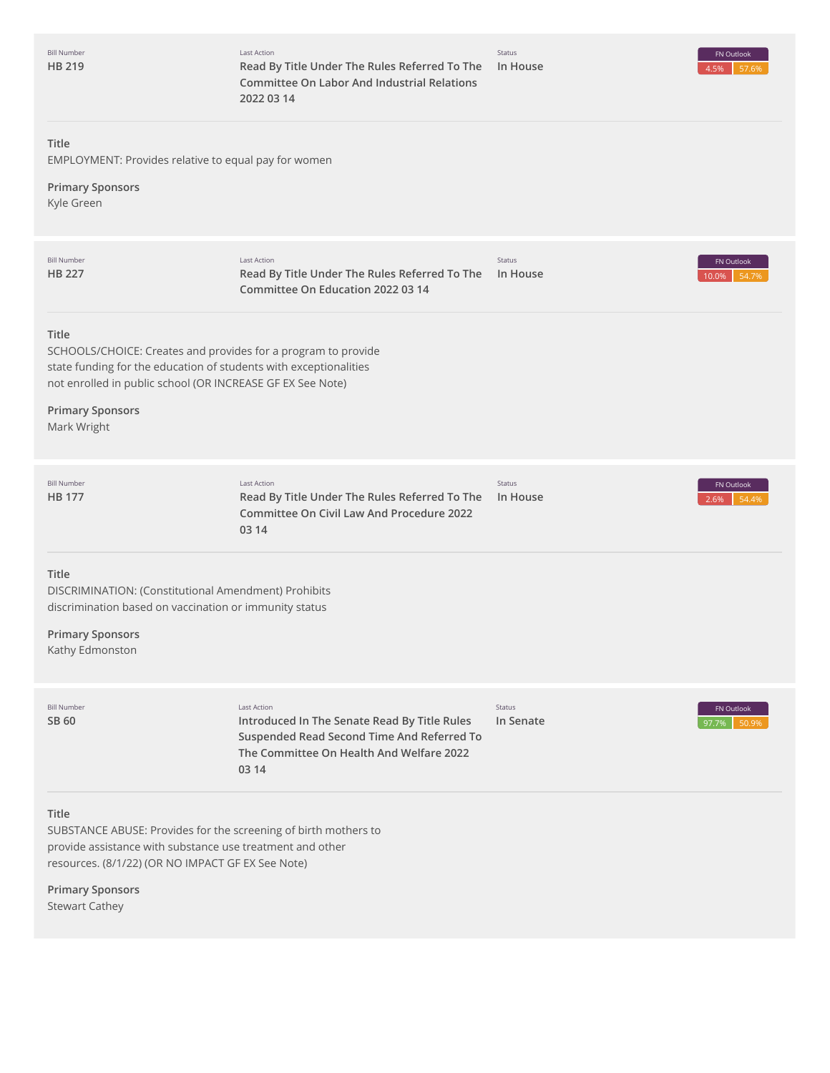| <b>Bill Number</b><br>HB 219                                                                                                                                                                                                                        | Last Action<br>Read By Title Under The Rules Referred To The<br><b>Committee On Labor And Industrial Relations</b><br>2022 03 14                               | Status<br>In House  | FN Outlook<br>4.5%<br>57.6%  |
|-----------------------------------------------------------------------------------------------------------------------------------------------------------------------------------------------------------------------------------------------------|----------------------------------------------------------------------------------------------------------------------------------------------------------------|---------------------|------------------------------|
| Title<br>EMPLOYMENT: Provides relative to equal pay for women                                                                                                                                                                                       |                                                                                                                                                                |                     |                              |
| <b>Primary Sponsors</b><br>Kyle Green                                                                                                                                                                                                               |                                                                                                                                                                |                     |                              |
| <b>Bill Number</b><br><b>HB 227</b>                                                                                                                                                                                                                 | Last Action<br>Read By Title Under The Rules Referred To The<br>Committee On Education 2022 03 14                                                              | Status<br>In House  | FN Outlook<br>54.7%<br>10.0% |
| Title<br>SCHOOLS/CHOICE: Creates and provides for a program to provide<br>state funding for the education of students with exceptionalities<br>not enrolled in public school (OR INCREASE GF EX See Note)<br><b>Primary Sponsors</b><br>Mark Wright |                                                                                                                                                                |                     |                              |
| <b>Bill Number</b><br><b>HB 177</b>                                                                                                                                                                                                                 | Last Action<br>Read By Title Under The Rules Referred To The<br><b>Committee On Civil Law And Procedure 2022</b><br>03 14                                      | Status<br>In House  | FN Outlook<br>54.4%<br>2.6%  |
| Title<br>DISCRIMINATION: (Constitutional Amendment) Prohibits<br>discrimination based on vaccination or immunity status<br><b>Primary Sponsors</b><br>Kathy Edmonston                                                                               |                                                                                                                                                                |                     |                              |
| <b>Bill Number</b><br>SB 60                                                                                                                                                                                                                         | Last Action<br>Introduced In The Senate Read By Title Rules<br>Suspended Read Second Time And Referred To<br>The Committee On Health And Welfare 2022<br>03 14 | Status<br>In Senate | FN Outlook<br>97.7%<br>50.9% |
| Title<br>SUBSTANCE ABUSE: Provides for the screening of birth mothers to<br>provide assistance with substance use treatment and other<br>resources. (8/1/22) (OR NO IMPACT GF EX See Note)                                                          |                                                                                                                                                                |                     |                              |
| <b>Primary Sponsors</b>                                                                                                                                                                                                                             |                                                                                                                                                                |                     |                              |

Stewart Cathey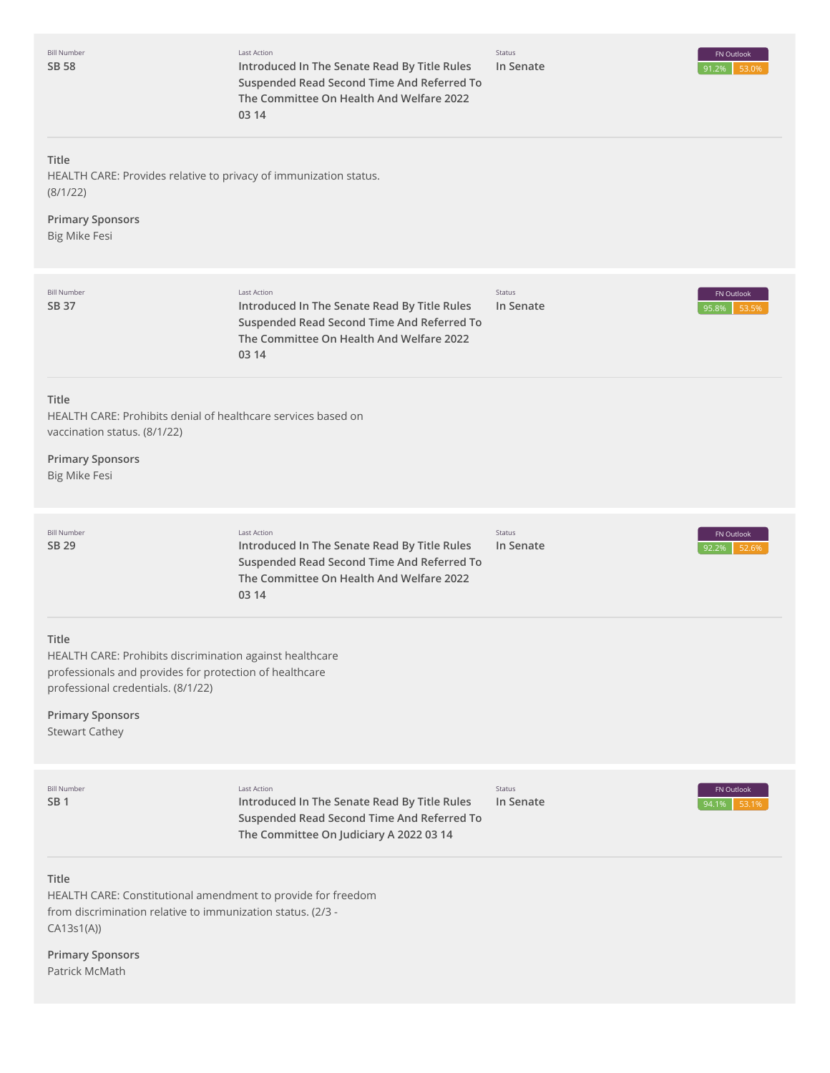| <b>Bill Number</b><br>SB 58                                                                                                                                                                                            | Last Action<br>Introduced In The Senate Read By Title Rules<br>Suspended Read Second Time And Referred To<br>The Committee On Health And Welfare 2022<br>03 14        | Status<br>In Senate | FN Outlook<br>91.2%<br>53.0% |
|------------------------------------------------------------------------------------------------------------------------------------------------------------------------------------------------------------------------|-----------------------------------------------------------------------------------------------------------------------------------------------------------------------|---------------------|------------------------------|
| Title<br>HEALTH CARE: Provides relative to privacy of immunization status.<br>(8/1/22)<br><b>Primary Sponsors</b><br>Big Mike Fesi                                                                                     |                                                                                                                                                                       |                     |                              |
| <b>Bill Number</b><br>SB 37                                                                                                                                                                                            | <b>Last Action</b><br>Introduced In The Senate Read By Title Rules<br>Suspended Read Second Time And Referred To<br>The Committee On Health And Welfare 2022<br>03 14 | Status<br>In Senate | FN Outlook<br>95.8%<br>53.59 |
| <b>Title</b><br>HEALTH CARE: Prohibits denial of healthcare services based on<br>vaccination status. (8/1/22)<br><b>Primary Sponsors</b><br>Big Mike Fesi                                                              |                                                                                                                                                                       |                     |                              |
| <b>Bill Number</b><br>SB 29                                                                                                                                                                                            | <b>Last Action</b><br>Introduced In The Senate Read By Title Rules<br>Suspended Read Second Time And Referred To<br>The Committee On Health And Welfare 2022<br>03 14 | Status<br>In Senate | FN Outlook<br>92.2%<br>52.6% |
| Title<br>HEALTH CARE: Prohibits discrimination against healthcare<br>professionals and provides for protection of healthcare<br>professional credentials. (8/1/22)<br><b>Primary Sponsors</b><br><b>Stewart Cathey</b> |                                                                                                                                                                       |                     |                              |
| <b>Bill Number</b><br>SB 1                                                                                                                                                                                             | <b>Last Action</b><br>Introduced In The Senate Read By Title Rules<br>Suspended Read Second Time And Referred To<br>The Committee On Judiciary A 2022 03 14           | Status<br>In Senate | FN Outlook<br>94.1%<br>53.19 |
| <b>Title</b><br>HEALTH CARE: Constitutional amendment to provide for freedom<br>from discrimination relative to immunization status. (2/3 -<br>CA13s1(A))<br><b>Primary Sponsors</b><br>Patrick McMath                 |                                                                                                                                                                       |                     |                              |